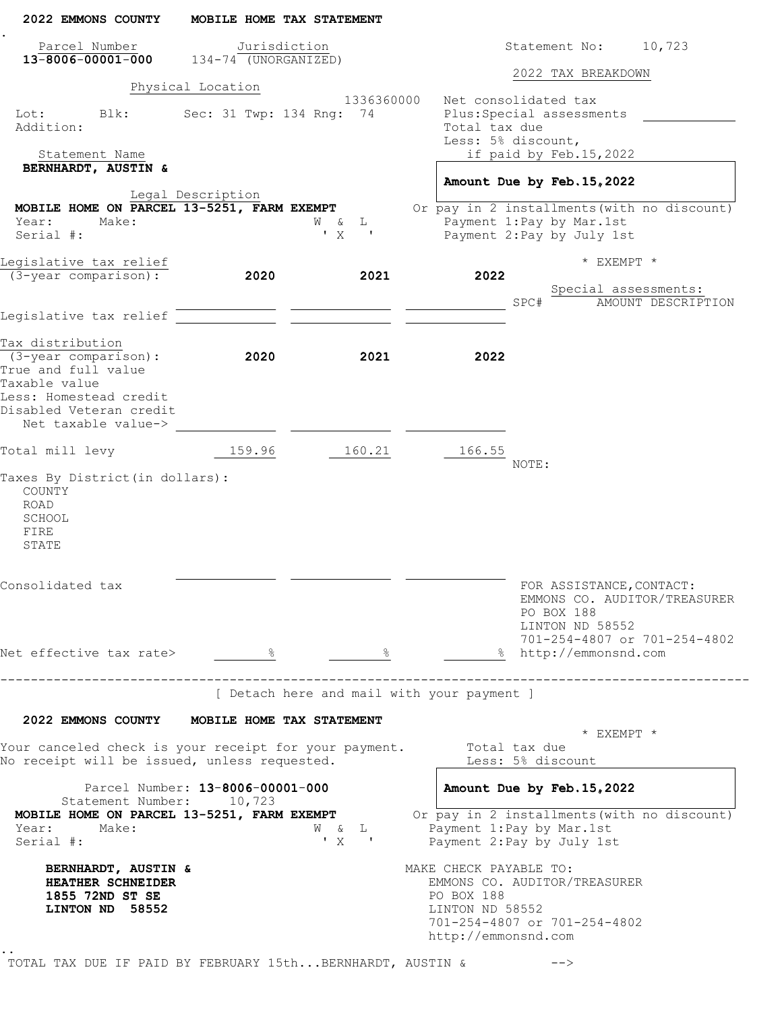| 2022 EMMONS COUNTY                                                                                    |                                               | MOBILE HOME TAX STATEMENT            |                                                                                                                                                |
|-------------------------------------------------------------------------------------------------------|-----------------------------------------------|--------------------------------------|------------------------------------------------------------------------------------------------------------------------------------------------|
| Parcel Number<br>$13 - 8006 - 00001 - 000$ $134 - 74$ (UNORGANIZED)                                   |                                               | Jurisdiction                         | 10,723<br>Statement No:                                                                                                                        |
|                                                                                                       |                                               |                                      | 2022 TAX BREAKDOWN                                                                                                                             |
| Blk:<br>Lot:<br>Addition:<br>Statement Name                                                           | Physical Location<br>Sec: 31 Twp: 134 Rng: 74 | 1336360000                           | Net consolidated tax<br>Plus: Special assessments<br>Total tax due<br>Less: 5% discount,<br>if paid by Feb.15,2022                             |
| BERNHARDT, AUSTIN &                                                                                   |                                               |                                      | Amount Due by Feb. 15, 2022                                                                                                                    |
|                                                                                                       | Legal Description                             |                                      |                                                                                                                                                |
| MOBILE HOME ON PARCEL 13-5251, FARM EXEMPT                                                            |                                               |                                      | Or pay in 2 installments (with no discount)                                                                                                    |
| Year:<br>Make:<br>Serial #:                                                                           |                                               | W & L<br>'X<br>$\sim$ 100 $\pm$      | Payment 1: Pay by Mar. 1st<br>Payment 2: Pay by July 1st                                                                                       |
| Legislative tax relief                                                                                |                                               |                                      | * EXEMPT *                                                                                                                                     |
| (3-year comparison):                                                                                  | 2020                                          | 2021                                 | 2022<br>Special assessments:<br>SPC#<br>AMOUNT DESCRIPTION                                                                                     |
| Legislative tax relief                                                                                |                                               |                                      |                                                                                                                                                |
| Tax distribution<br>$(3 - year \text{ comparison})$ :<br>True and full value                          | 2020                                          | 2021                                 | 2022                                                                                                                                           |
| Taxable value<br>Less: Homestead credit<br>Disabled Veteran credit<br>Net taxable value->             |                                               |                                      |                                                                                                                                                |
| Total mill levy                                                                                       | 159.96                                        | 160.21                               | 166.55<br>NOTE:                                                                                                                                |
| Taxes By District (in dollars):<br>COUNTY<br>ROAD<br>SCHOOL<br>FIRE<br>STATE                          |                                               |                                      |                                                                                                                                                |
| Consolidated tax                                                                                      |                                               |                                      | FOR ASSISTANCE, CONTACT:<br>EMMONS CO. AUDITOR/TREASURER<br>PO BOX 188<br>LINTON ND 58552                                                      |
| Net effective tax rate> 8                                                                             |                                               | $\frac{1}{2}$                        | 701-254-4807 or 701-254-4802<br>% http://emmonsnd.com                                                                                          |
|                                                                                                       |                                               |                                      | [ Detach here and mail with your payment ]                                                                                                     |
| 2022 EMMONS COUNTY MOBILE HOME TAX STATEMENT                                                          |                                               |                                      |                                                                                                                                                |
| Your canceled check is your receipt for your payment.<br>No receipt will be issued, unless requested. |                                               |                                      | * EXEMPT *<br>Total tax due<br>Less: 5% discount                                                                                               |
| Statement Number: 10,723                                                                              | Parcel Number: 13-8006-00001-000              |                                      | Amount Due by Feb. 15, 2022                                                                                                                    |
| MOBILE HOME ON PARCEL 13-5251, FARM EXEMPT<br>Year:<br>Make:<br>Serial #:                             |                                               | W & L<br>$\mathbf{y}$ x $\mathbf{y}$ | Or pay in 2 installments (with no discount)<br>Payment 1: Pay by Mar. 1st<br>Payment 2: Pay by July 1st                                        |
| BERNHARDT, AUSTIN &<br>HEATHER SCHNEIDER<br>1855 72ND ST SE<br>LINTON ND 58552                        |                                               |                                      | MAKE CHECK PAYABLE TO:<br>EMMONS CO. AUDITOR/TREASURER<br>PO BOX 188<br>LINTON ND 58552<br>701-254-4807 or 701-254-4802<br>http://emmonsnd.com |
| TOTAL TAX DUE IF PAID BY FEBRUARY 15thBERNHARDT, AUSTIN &                                             |                                               |                                      | -->                                                                                                                                            |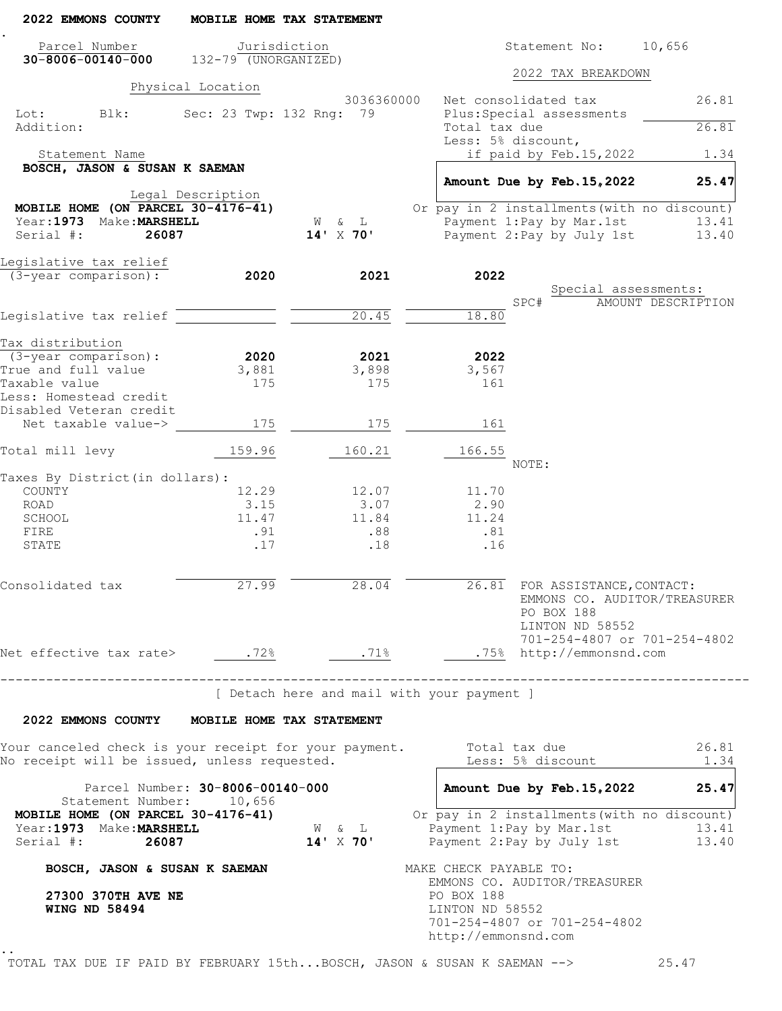| Parcel Number                                                   |                   | MOBILE HOME TAX STATEMENT                  |                                                                           |       |                                                               |                    |                |
|-----------------------------------------------------------------|-------------------|--------------------------------------------|---------------------------------------------------------------------------|-------|---------------------------------------------------------------|--------------------|----------------|
|                                                                 |                   | Jurisdiction                               |                                                                           |       | Statement No: 10,656                                          |                    |                |
| $30 - 8006 - 00140 - 000$ 132-79 (UNORGANIZED)                  |                   |                                            |                                                                           |       | 2022 TAX BREAKDOWN                                            |                    |                |
|                                                                 | Physical Location |                                            |                                                                           |       |                                                               |                    |                |
|                                                                 |                   | 3036360000                                 | Net consolidated tax                                                      |       |                                                               |                    | 26.81          |
| Lot: Blk:<br>Addition:                                          |                   | Sec: 23 Twp: 132 Rng: 79                   | Plus: Special assessments<br>Total tax due                                |       |                                                               |                    | 26.81          |
|                                                                 |                   |                                            | Less: 5% discount,                                                        |       |                                                               |                    |                |
| Statement Name                                                  |                   |                                            |                                                                           |       | if paid by Feb.15,2022                                        |                    | 1.34           |
| BOSCH, JASON & SUSAN K SAEMAN                                   |                   |                                            | Amount Due by Feb. 15, 2022                                               |       |                                                               |                    | 25.47          |
|                                                                 | Legal Description |                                            |                                                                           |       |                                                               |                    |                |
| MOBILE HOME (ON PARCEL $30-4176-41$ )                           |                   |                                            | Or pay in 2 installments (with no discount)                               |       |                                                               |                    |                |
| Year: 1973 Make: MARSHELL                                       |                   | W & L                                      | Payment 1:Pay by Mar.1st                                                  |       |                                                               |                    | 13.41          |
| Serial #:<br>26087                                              |                   | $14'$ X 70'                                | Payment 2: Pay by July 1st                                                |       |                                                               |                    | 13.40          |
| Legislative tax relief                                          |                   |                                            |                                                                           |       |                                                               |                    |                |
| (3-year comparison):                                            | 2020              | 2021                                       | 2022                                                                      |       |                                                               |                    |                |
|                                                                 |                   |                                            |                                                                           |       | Special assessments:                                          |                    |                |
|                                                                 |                   |                                            |                                                                           | SPC#  |                                                               | AMOUNT DESCRIPTION |                |
| Legislative tax relief                                          |                   | 20.45                                      | 18.80                                                                     |       |                                                               |                    |                |
| Tax distribution                                                |                   |                                            |                                                                           |       |                                                               |                    |                |
| $(3 - year \ comparison):$                                      | 2020              | 2021                                       | 2022                                                                      |       |                                                               |                    |                |
| True and full value                                             | 3,881             | 3,898                                      | 3,567                                                                     |       |                                                               |                    |                |
| Taxable value                                                   | 175               | 175                                        | 161                                                                       |       |                                                               |                    |                |
| Less: Homestead credit                                          |                   |                                            |                                                                           |       |                                                               |                    |                |
| Disabled Veteran credit                                         |                   |                                            |                                                                           |       |                                                               |                    |                |
| Net taxable value->                                             | 175               | 175                                        | 161                                                                       |       |                                                               |                    |                |
| Total mill levy                                                 | 159.96            | 160.21                                     | 166.55                                                                    |       |                                                               |                    |                |
|                                                                 |                   |                                            |                                                                           | NOTE: |                                                               |                    |                |
| Taxes By District (in dollars):<br>COUNTY                       | 12.29             | 12.07                                      | 11.70                                                                     |       |                                                               |                    |                |
| ROAD                                                            | 3.15              | 3.07                                       | 2.90                                                                      |       |                                                               |                    |                |
| SCHOOL                                                          | 11.47             | 11.84                                      | 11.24                                                                     |       |                                                               |                    |                |
| FIRE                                                            | .91               | .88                                        | .81                                                                       |       |                                                               |                    |                |
| STATE                                                           | .17               | .18                                        | .16                                                                       |       |                                                               |                    |                |
| Consolidated tax                                                | 27.99             | $\frac{28.04}{ }$                          | 26.81 FOR ASSISTANCE, CONTACT:                                            |       | EMMONS CO. AUDITOR/TREASURER<br>PO BOX 188<br>LINTON ND 58552 |                    |                |
|                                                                 |                   |                                            |                                                                           |       | 701-254-4807 or 701-254-4802                                  |                    |                |
|                                                                 |                   |                                            |                                                                           |       |                                                               |                    |                |
| ------------------------------------                            |                   | [ Detach here and mail with your payment ] |                                                                           |       |                                                               |                    |                |
| 2022 EMMONS COUNTY MOBILE HOME TAX STATEMENT                    |                   |                                            |                                                                           |       |                                                               |                    |                |
| Your canceled check is your receipt for your payment.           |                   |                                            | Total tax due                                                             |       |                                                               |                    | 26.81          |
|                                                                 |                   |                                            |                                                                           |       | Less: 5% discount                                             |                    | 1.34           |
| No receipt will be issued, unless requested.                    |                   |                                            | Amount Due by Feb. 15, 2022                                               |       |                                                               |                    | 25.47          |
| Parcel Number: 30-8006-00140-000<br>Statement Number: 10,656    |                   |                                            |                                                                           |       |                                                               |                    |                |
| MOBILE HOME (ON PARCEL 30-4176-41)<br>Year: 1973 Make: MARSHELL |                   | ${\tt W}$ $\phantom{0}$ & $\phantom{0}$ L  | Or pay in 2 installments (with no discount)<br>Payment 1: Pay by Mar. 1st |       |                                                               |                    |                |
| Serial #: 26087                                                 |                   | $14' \times 70'$                           | Payment 2: Pay by July 1st                                                |       |                                                               |                    |                |
| BOSCH, JASON & SUSAN K SAEMAN                                   |                   |                                            | MAKE CHECK PAYABLE TO:                                                    |       |                                                               |                    |                |
|                                                                 |                   |                                            | EMMONS CO. AUDITOR/TREASURER                                              |       |                                                               |                    |                |
| 27300 370TH AVE NE                                              |                   |                                            | PO BOX 188                                                                |       |                                                               |                    |                |
| <b>WING ND 58494</b>                                            |                   |                                            | LINTON ND 58552                                                           |       |                                                               |                    |                |
|                                                                 |                   |                                            | 701-254-4807 or 701-254-4802<br>http://emmonsnd.com                       |       |                                                               |                    | 13.41<br>13.40 |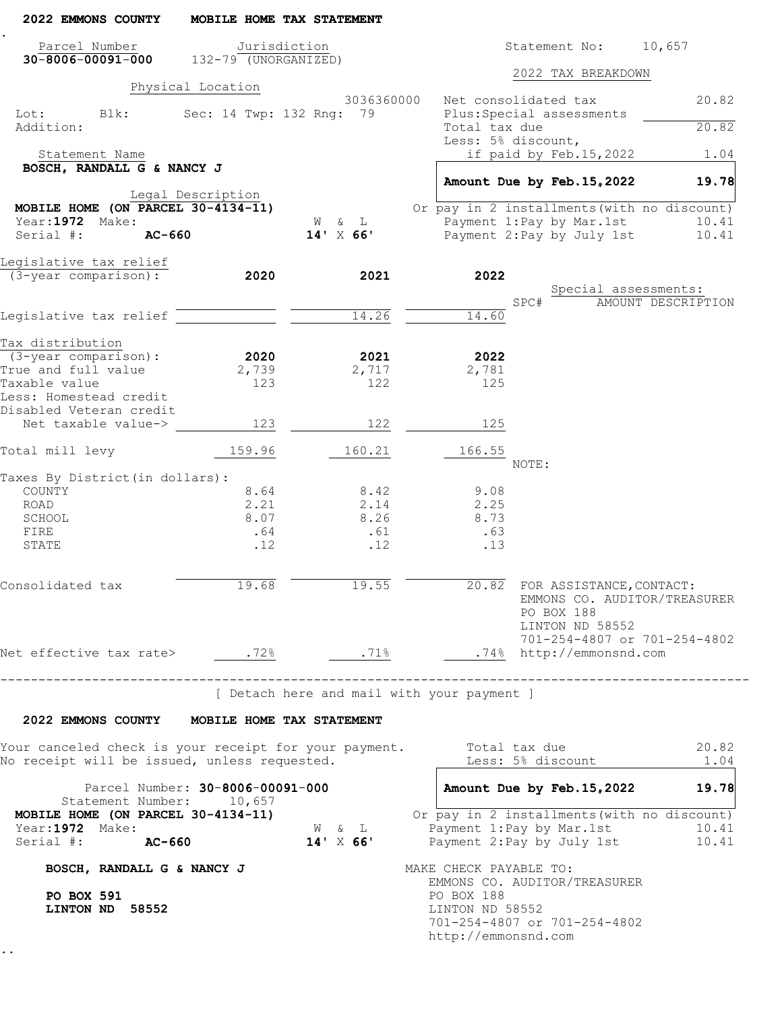| 2022 EMMONS COUNTY                                                                                           |                   | MOBILE HOME TAX STATEMENT |                                                                                                                           |
|--------------------------------------------------------------------------------------------------------------|-------------------|---------------------------|---------------------------------------------------------------------------------------------------------------------------|
| Parcel Number<br>$30 - 8006 - 00091 - 000$ 132-79 (UNORGANIZED)                                              |                   | Jurisdiction              | Statement No: 10,657                                                                                                      |
|                                                                                                              |                   |                           | 2022 TAX BREAKDOWN                                                                                                        |
|                                                                                                              | Physical Location | 3036360000                | Net consolidated tax<br>20.82                                                                                             |
| Lot: Blk:<br>Addition:                                                                                       |                   | Sec: 14 Twp: 132 Rng: 79  | Plus: Special assessments<br>20.82<br>Total tax due                                                                       |
| Statement Name                                                                                               |                   |                           | Less: 5% discount,<br>if paid by Feb.15,2022<br>1.04                                                                      |
| BOSCH, RANDALL G & NANCY J                                                                                   |                   |                           | Amount Due by Feb. 15, 2022<br>19.78                                                                                      |
|                                                                                                              | Legal Description |                           |                                                                                                                           |
| MOBILE HOME (ON PARCEL $30-4134-11$ )                                                                        |                   |                           | Or pay in 2 installments (with no discount)                                                                               |
| Year:1972 Make:<br>Serial #:<br>AC-660                                                                       |                   | W & L<br>$14'$ X 66'      | Payment 1:Pay by Mar.1st<br>10.41<br>Payment 2: Pay by July 1st<br>10.41                                                  |
|                                                                                                              |                   |                           |                                                                                                                           |
| Legislative tax relief                                                                                       |                   |                           |                                                                                                                           |
| (3-year comparison):                                                                                         | 2020              | 2021                      | 2022                                                                                                                      |
|                                                                                                              |                   |                           | Special assessments:<br>SPC#<br>AMOUNT DESCRIPTION                                                                        |
| Legislative tax relief                                                                                       |                   | 14.26                     | 14.60                                                                                                                     |
|                                                                                                              |                   |                           |                                                                                                                           |
| Tax distribution                                                                                             |                   |                           |                                                                                                                           |
| $(3 - year \ comparison):$<br>True and full value                                                            | 2020              | 2021                      | 2022                                                                                                                      |
| Taxable value                                                                                                | 2,739<br>123      | 2,717<br>122              | 2,781<br>125                                                                                                              |
| Less: Homestead credit<br>Disabled Veteran credit                                                            |                   |                           |                                                                                                                           |
| Net taxable value->                                                                                          | 123               | 122                       | 125                                                                                                                       |
| Total mill levy                                                                                              | 159.96            | 160.21                    | 166.55                                                                                                                    |
|                                                                                                              |                   |                           | NOTE:                                                                                                                     |
| Taxes By District (in dollars):<br>COUNTY                                                                    | 8.64              | 8.42                      | 9.08                                                                                                                      |
| ROAD                                                                                                         | 2.21              | 2.14                      | 2.25                                                                                                                      |
| SCHOOL                                                                                                       | 8.07              | 8.26                      | 8.73                                                                                                                      |
| FIRE                                                                                                         | .64               | .61                       | .63                                                                                                                       |
| STATE                                                                                                        | .12               | .12                       | .13                                                                                                                       |
| Consolidated tax                                                                                             | 19.68             | 19.55                     | 20.82 FOR ASSISTANCE, CONTACT:<br>EMMONS CO. AUDITOR/TREASURER<br>PO BOX 188<br>LINTON ND 58552                           |
| Net effective tax rate> .72% .71%                                                                            |                   |                           | 701-254-4807 or 701-254-4802<br>.74% http://emmonsnd.com                                                                  |
| --------------------------------                                                                             |                   |                           | [ Detach here and mail with your payment ]                                                                                |
| 2022 EMMONS COUNTY MOBILE HOME TAX STATEMENT                                                                 |                   |                           |                                                                                                                           |
| Your canceled check is your receipt for your payment.<br>No receipt will be issued, unless requested.        |                   |                           | Total tax due<br>20.82<br>Less: 5% discount<br>1.04                                                                       |
| Parcel Number: 30-8006-00091-000                                                                             |                   |                           | Amount Due by Feb. 15, 2022<br>19.78                                                                                      |
| Statement Number: 10,657<br>MOBILE HOME (ON PARCEL 30-4134-11)<br>Year:1972 Make:<br>Serial #: <b>AC-660</b> |                   | W & L<br>$14' \times 66'$ | Or pay in 2 installments (with no discount)<br>Payment 1: Pay by Mar. 1st<br>10.41<br>Payment 2: Pay by July 1st<br>10.41 |
| BOSCH, RANDALL G & NANCY J                                                                                   |                   |                           | MAKE CHECK PAYABLE TO:                                                                                                    |
| <b>PO BOX 591</b><br>LINTON ND 58552                                                                         |                   |                           | EMMONS CO. AUDITOR/TREASURER<br>PO BOX 188<br>LINTON ND 58552                                                             |
|                                                                                                              |                   |                           | 701-254-4807 or 701-254-4802<br>http://emmonsnd.com                                                                       |
|                                                                                                              |                   |                           |                                                                                                                           |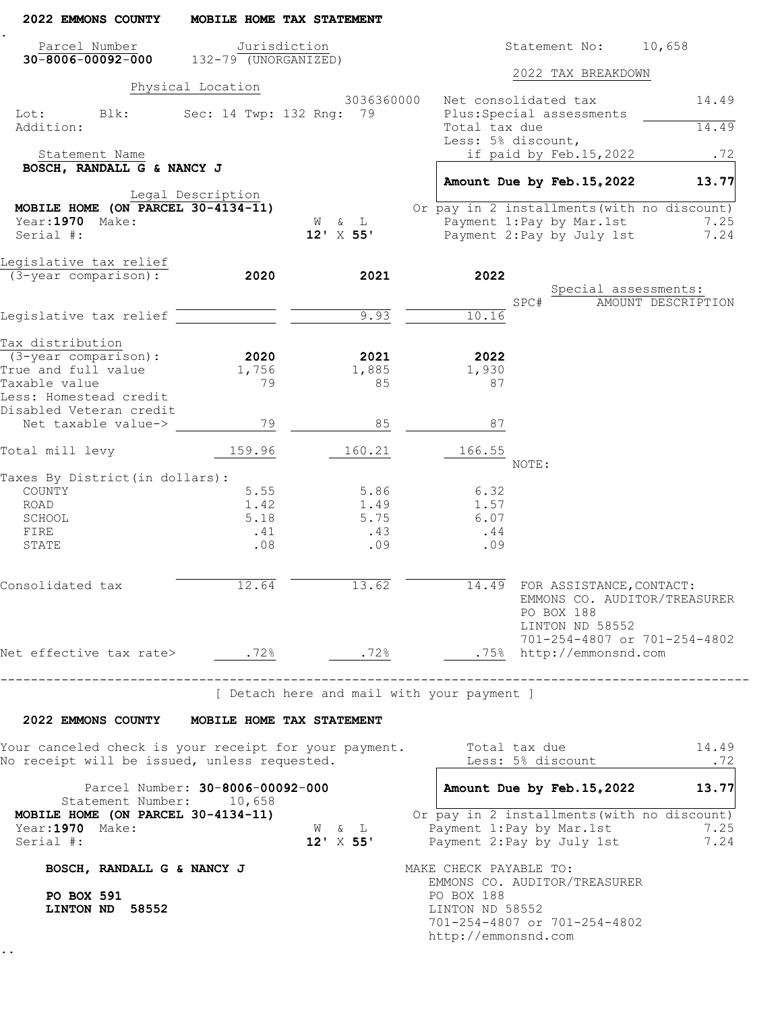| 2022 EMMONS COUNTY                                                                                    |                                  | MOBILE HOME TAX STATEMENT |                                                                                                                                 |
|-------------------------------------------------------------------------------------------------------|----------------------------------|---------------------------|---------------------------------------------------------------------------------------------------------------------------------|
| Parcel Number<br>$30 - 8006 - 00092 - 000$ 132-79 (UNORGANIZED)                                       |                                  | Jurisdiction              | Statement No: 10,658                                                                                                            |
|                                                                                                       |                                  |                           | 2022 TAX BREAKDOWN                                                                                                              |
|                                                                                                       | Physical Location                | 3036360000                | Net consolidated tax<br>14.49                                                                                                   |
| Lot: Blk:<br>Addition:                                                                                |                                  | Sec: 14 Twp: 132 Rng: 79  | Plus: Special assessments<br>Total tax due<br>14.49                                                                             |
| Statement Name                                                                                        |                                  |                           | Less: 5% discount,<br>if paid by Feb.15,2022<br>.72                                                                             |
| BOSCH, RANDALL G & NANCY J                                                                            |                                  |                           |                                                                                                                                 |
|                                                                                                       | Legal Description                |                           | Amount Due by Feb. 15, 2022<br>13.77                                                                                            |
| MOBILE HOME (ON PARCEL $30-4134-11$ )                                                                 |                                  |                           | Or pay in 2 installments (with no discount)                                                                                     |
| Year:1970 Make:                                                                                       |                                  | & L<br><b>M</b>           | Payment 1:Pay by Mar.1st<br>7.25                                                                                                |
| Serial #:                                                                                             |                                  | $12' \times 55'$          | Payment 2: Pay by July 1st<br>7.24                                                                                              |
| Legislative tax relief                                                                                |                                  |                           |                                                                                                                                 |
| (3-year comparison):                                                                                  | 2020                             | 2021                      | 2022                                                                                                                            |
|                                                                                                       |                                  |                           | Special assessments:<br>SPC#<br>AMOUNT DESCRIPTION                                                                              |
| Legislative tax relief                                                                                |                                  | 9.93                      | 10.16                                                                                                                           |
|                                                                                                       |                                  |                           |                                                                                                                                 |
| Tax distribution<br>(3-year comparison):                                                              | 2020                             | 2021                      | 2022                                                                                                                            |
| True and full value                                                                                   | 1,756                            | 1,885                     | 1,930                                                                                                                           |
| Taxable value                                                                                         | 79                               | 85                        | 87                                                                                                                              |
| Less: Homestead credit<br>Disabled Veteran credit                                                     |                                  |                           |                                                                                                                                 |
| Net taxable value->                                                                                   | 79                               | 85                        | 87                                                                                                                              |
| Total mill levy                                                                                       | 159.96                           | 160.21                    | 166.55                                                                                                                          |
|                                                                                                       |                                  |                           | NOTE:                                                                                                                           |
| Taxes By District (in dollars):<br>COUNTY                                                             | 5.55                             | 5.86                      | 6.32                                                                                                                            |
| ROAD                                                                                                  | 1.42                             | 1.49                      | 1.57                                                                                                                            |
| SCHOOL                                                                                                | 5.18                             | 5.75                      | 6.07                                                                                                                            |
| FIRE                                                                                                  | .41                              | .43                       | .44                                                                                                                             |
| STATE                                                                                                 | .08                              | .09                       | .09                                                                                                                             |
| Consolidated tax                                                                                      | 12.64                            | 13.62                     | 14.49 FOR ASSISTANCE, CONTACT:<br>EMMONS CO. AUDITOR/TREASURER<br>PO BOX 188<br>LINTON ND 58552<br>701-254-4807 or 701-254-4802 |
| Net effective tax rate> .72%                                                                          |                                  | .72%                      | .75% http://emmonsnd.com                                                                                                        |
| ---------------------------------<br>2022 EMMONS COUNTY MOBILE HOME TAX STATEMENT                     |                                  |                           | [ Detach here and mail with your payment ]                                                                                      |
| Your canceled check is your receipt for your payment.<br>No receipt will be issued, unless requested. |                                  |                           | Total tax due<br>14.49<br>Less: 5% discount<br>.72                                                                              |
|                                                                                                       | Parcel Number: 30-8006-00092-000 |                           | Amount Due by Feb. 15, 2022<br>13.77                                                                                            |
| Statement Number: 10,658<br>MOBILE HOME (ON PARCEL 30-4134-11)<br>Year:1970 Make:<br>Serial #:        |                                  | W & L<br>$12' \times 55'$ | Or pay in 2 installments (with no discount)<br>Payment 1: Pay by Mar. 1st<br>7.25<br>Payment 2: Pay by July 1st<br>7.24         |
| BOSCH, RANDALL G & NANCY J                                                                            |                                  |                           | MAKE CHECK PAYABLE TO:                                                                                                          |
| <b>PO BOX 591</b><br>LINTON ND 58552                                                                  |                                  |                           | EMMONS CO. AUDITOR/TREASURER<br>PO BOX 188<br>LINTON ND 58552<br>701-254-4807 or 701-254-4802<br>http://emmonsnd.com            |
|                                                                                                       |                                  |                           |                                                                                                                                 |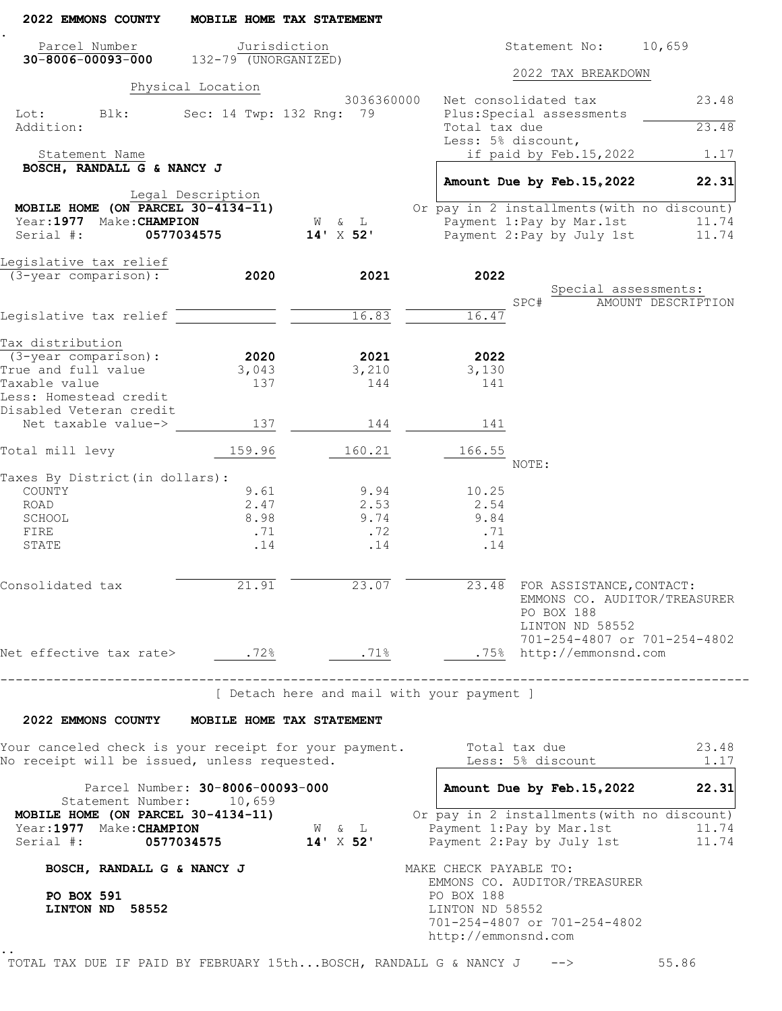| 2022 EMMONS COUNTY                                                                                    |                                    | MOBILE HOME TAX STATEMENT         |                                                                                                                           |
|-------------------------------------------------------------------------------------------------------|------------------------------------|-----------------------------------|---------------------------------------------------------------------------------------------------------------------------|
| Parcel Number<br>$30-8006-00093-000$ $132-79$ (UNORGANIZED)                                           |                                    | Jurisdiction                      | Statement No: 10,659                                                                                                      |
|                                                                                                       |                                    |                                   | 2022 TAX BREAKDOWN                                                                                                        |
|                                                                                                       | Physical Location                  | 3036360000                        | Net consolidated tax<br>23.48                                                                                             |
| Lot: Blk:<br>Addition:                                                                                |                                    | Sec: 14 Twp: 132 Rng: 79          | Plus: Special assessments<br>Total tax due<br>23.48                                                                       |
| Statement Name                                                                                        |                                    |                                   | Less: 5% discount,<br>if paid by Feb.15,2022<br>1.17                                                                      |
| BOSCH, RANDALL G & NANCY J                                                                            |                                    |                                   | Amount Due by Feb. 15, 2022<br>22.31                                                                                      |
|                                                                                                       | Legal Description                  |                                   |                                                                                                                           |
| MOBILE HOME (ON PARCEL $30-4134-11$ )<br>Year: 1977 Make: CHAMPION                                    |                                    | W & L                             | Or pay in 2 installments (with no discount)<br>Payment 1:Pay by Mar.1st<br>11.74                                          |
| Serial #:                                                                                             | 0577034575                         | $14' \times 52'$                  | Payment 2: Pay by July 1st<br>11.74                                                                                       |
| Legislative tax relief                                                                                |                                    |                                   |                                                                                                                           |
| (3-year comparison):                                                                                  | 2020                               | 2021                              | 2022<br>Special assessments:                                                                                              |
|                                                                                                       |                                    |                                   | SPC#<br>AMOUNT DESCRIPTION                                                                                                |
| Legislative tax relief                                                                                |                                    | 16.83                             | 16.47                                                                                                                     |
| Tax distribution                                                                                      |                                    |                                   |                                                                                                                           |
| $(3 - year \text{ comparison})$ :                                                                     | 2020                               | 2021                              | 2022                                                                                                                      |
| True and full value                                                                                   | 3,043                              | 3,210                             | 3,130                                                                                                                     |
| Taxable value<br>Less: Homestead credit<br>Disabled Veteran credit                                    | 137                                | 144                               | 141                                                                                                                       |
| Net taxable value->                                                                                   | 137                                | 144                               | 141                                                                                                                       |
| Total mill levy                                                                                       | 159.96                             | 160.21                            | 166.55                                                                                                                    |
| Taxes By District (in dollars):                                                                       |                                    |                                   | NOTE:                                                                                                                     |
| COUNTY                                                                                                | 9.61                               | 9.94                              | 10.25                                                                                                                     |
| ROAD                                                                                                  | 2.47                               | 2.53                              | 2.54                                                                                                                      |
| SCHOOL                                                                                                | 8.98                               | 9.74                              | 9.84                                                                                                                      |
| FIRE<br>STATE                                                                                         | .71<br>.14                         | .72<br>.14                        | .71<br>.14                                                                                                                |
|                                                                                                       |                                    |                                   |                                                                                                                           |
| Consolidated tax                                                                                      | 21.91                              | 23.07                             | 23.48 FOR ASSISTANCE, CONTACT:<br>EMMONS CO. AUDITOR/TREASURER<br>PO BOX 188<br>LINTON ND 58552                           |
| Net effective tax rate> .72%                                                                          |                                    | .71%                              | 701-254-4807 or 701-254-4802<br>.75% http://emmonsnd.com                                                                  |
|                                                                                                       | __________________________________ |                                   | --------------------------------------<br>[ Detach here and mail with your payment ]                                      |
| 2022 EMMONS COUNTY MOBILE HOME TAX STATEMENT                                                          |                                    |                                   |                                                                                                                           |
|                                                                                                       |                                    |                                   |                                                                                                                           |
| Your canceled check is your receipt for your payment.<br>No receipt will be issued, unless requested. |                                    |                                   | Total tax due<br>23.48<br>Less: 5% discount<br>1.17                                                                       |
| Statement Number: 10,659                                                                              | Parcel Number: 30-8006-00093-000   |                                   | Amount Due by Feb. 15, 2022<br>22.31                                                                                      |
| MOBILE HOME (ON PARCEL 30-4134-11)<br>Year: 1977 Make: CHAMPION<br>Serial #: 0577034575 14' X 52'     |                                    | $\mathbbmss{W}$ & $\mathbbmss{L}$ | Or pay in 2 installments (with no discount)<br>Payment 1: Pay by Mar. 1st<br>11.74<br>Payment 2: Pay by July 1st<br>11.74 |
| BOSCH, RANDALL G & NANCY J                                                                            |                                    |                                   | MAKE CHECK PAYABLE TO:                                                                                                    |
| PO BOX 591<br>LINTON ND 58552                                                                         |                                    |                                   | EMMONS CO. AUDITOR/TREASURER<br>PO BOX 188<br>LINTON ND 58552<br>701-254-4807 or 701-254-4802<br>http://emmonsnd.com      |
|                                                                                                       |                                    |                                   |                                                                                                                           |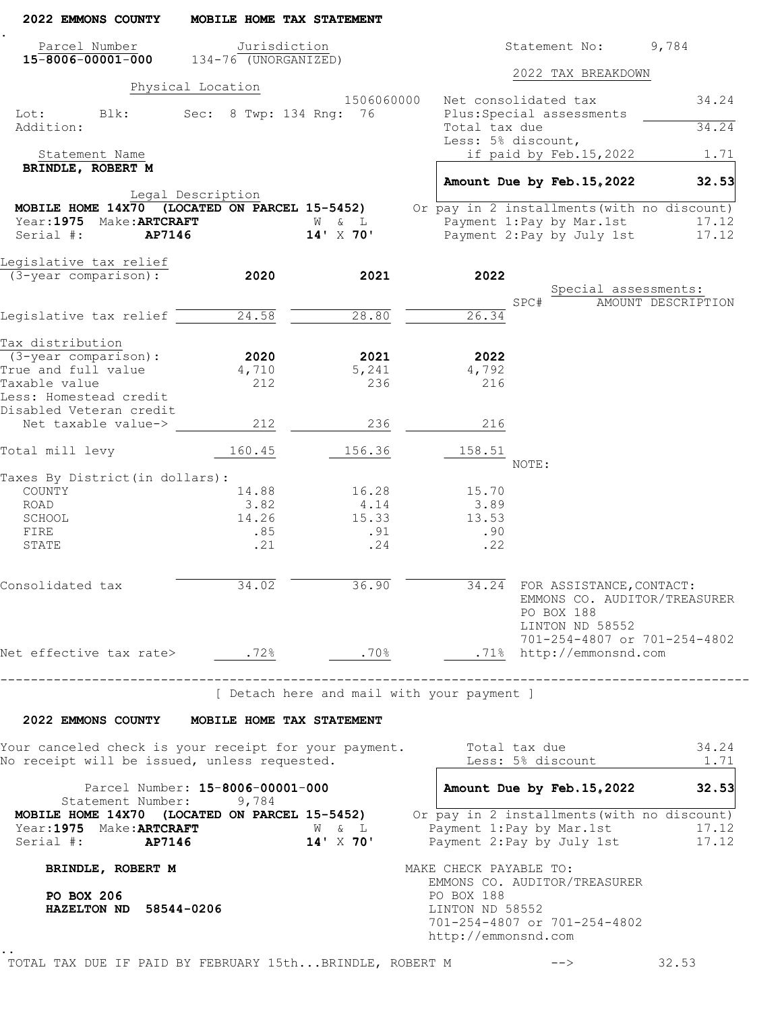| 2022 EMMONS COUNTY                                                                                                          | MOBILE HOME TAX STATEMENT           |                                            |                               |                                                                                                 |                    |
|-----------------------------------------------------------------------------------------------------------------------------|-------------------------------------|--------------------------------------------|-------------------------------|-------------------------------------------------------------------------------------------------|--------------------|
| Parcel Number                                                                                                               | Jurisdiction                        |                                            |                               | Statement No:                                                                                   | 9,784              |
| $15 - 8006 - 00001 - 000$ $134 - 76$ (UNORGANIZED)                                                                          |                                     |                                            |                               | 2022 TAX BREAKDOWN                                                                              |                    |
|                                                                                                                             | Physical Location                   | 1506060000                                 |                               | Net consolidated tax                                                                            | 34.24              |
| Lot:<br>Blk:<br>Addition:                                                                                                   | Sec: 8 Twp: 134 Rng: 76             |                                            | Total tax due                 | Plus: Special assessments                                                                       |                    |
|                                                                                                                             |                                     |                                            |                               | Less: 5% discount,                                                                              | 34.24              |
| Statement Name                                                                                                              |                                     |                                            |                               | if paid by Feb.15,2022                                                                          | 1.71               |
| BRINDLE, ROBERT M                                                                                                           |                                     |                                            |                               | Amount Due by Feb. 15, 2022                                                                     | 32.53              |
|                                                                                                                             | Legal Description                   |                                            |                               |                                                                                                 |                    |
| MOBILE HOME 14X70 (LOCATED ON PARCEL 15-5452)                                                                               |                                     |                                            |                               | Or pay in 2 installments (with no discount)                                                     |                    |
| Year: 1975 Make: ARTCRAFT<br>Serial #:<br><b>AP7146</b>                                                                     |                                     | W & L<br>14' X 70'                         |                               | Payment 1:Pay by Mar.1st<br>Payment 2: Pay by July 1st                                          | 17.12<br>17.12     |
|                                                                                                                             |                                     |                                            |                               |                                                                                                 |                    |
| Legislative tax relief                                                                                                      |                                     |                                            |                               |                                                                                                 |                    |
| (3-year comparison):                                                                                                        | 2020                                | 2021                                       | 2022                          |                                                                                                 |                    |
|                                                                                                                             |                                     |                                            |                               | Special assessments:<br>SPC#                                                                    | AMOUNT DESCRIPTION |
| Legislative tax relief                                                                                                      | 24.58                               | 28.80                                      | 26.34                         |                                                                                                 |                    |
|                                                                                                                             |                                     |                                            |                               |                                                                                                 |                    |
| Tax distribution                                                                                                            |                                     |                                            |                               |                                                                                                 |                    |
| $(3 - year \text{ comparison})$ :                                                                                           | 2020                                | 2021                                       | 2022                          |                                                                                                 |                    |
| True and full value<br>Taxable value                                                                                        | 4,710<br>212                        | 5,241<br>236                               | 4,792<br>216                  |                                                                                                 |                    |
| Less: Homestead credit                                                                                                      |                                     |                                            |                               |                                                                                                 |                    |
| Disabled Veteran credit                                                                                                     |                                     |                                            |                               |                                                                                                 |                    |
| Net taxable value->                                                                                                         | 212                                 | 236                                        | 216                           |                                                                                                 |                    |
| Total mill levy                                                                                                             | 160.45                              | 156.36                                     | 158.51                        | NOTE:                                                                                           |                    |
| Taxes By District (in dollars):                                                                                             |                                     |                                            |                               |                                                                                                 |                    |
| COUNTY                                                                                                                      | 14.88                               | 16.28                                      | 15.70                         |                                                                                                 |                    |
| ROAD                                                                                                                        | 3.82                                | 4.14                                       | 3.89                          |                                                                                                 |                    |
| SCHOOL<br>FIRE                                                                                                              | 14.26<br>.85                        | 15.33<br>.91                               | 13.53<br>.90                  |                                                                                                 |                    |
| STATE                                                                                                                       | .21                                 | .24                                        | .22                           |                                                                                                 |                    |
| Consolidated tax                                                                                                            | 34.02                               | 36.90                                      |                               | 34.24 FOR ASSISTANCE, CONTACT:<br>EMMONS CO. AUDITOR/TREASURER<br>PO BOX 188<br>LINTON ND 58552 |                    |
|                                                                                                                             |                                     |                                            |                               | 701-254-4807 or 701-254-4802                                                                    |                    |
|                                                                                                                             |                                     |                                            |                               |                                                                                                 |                    |
|                                                                                                                             | ----------------------------------- | [ Detach here and mail with your payment ] |                               |                                                                                                 |                    |
| 2022 EMMONS COUNTY MOBILE HOME TAX STATEMENT                                                                                |                                     |                                            |                               |                                                                                                 |                    |
| Your canceled check is your receipt for your payment.<br>No receipt will be issued, unless requested.                       |                                     |                                            |                               | Total tax due<br>Less: 5% discount                                                              | 34.24<br>1.71      |
|                                                                                                                             | Parcel Number: 15-8006-00001-000    |                                            |                               | Amount Due by Feb. 15, 2022                                                                     | 32.53              |
| Statement Number: 9,784<br><b>MOBILE HOME 14X70</b> (LOCATED ON PARCEL 15-5452) Or pay in 2 installments (with no discount) |                                     |                                            |                               |                                                                                                 |                    |
| Year: 1975 Make: ARTCRAFT<br>Serial #: <b>AP7146</b>                                                                        |                                     | W & L<br>$14' \times 70'$                  |                               | Payment 1: Pay by Mar. 1st<br>Payment 2: Pay by July 1st                                        | 17.12<br>17.12     |
| BRINDLE, ROBERT M                                                                                                           |                                     |                                            | MAKE CHECK PAYABLE TO:        |                                                                                                 |                    |
| PO BOX 206<br>HAZELTON ND 58544-0206                                                                                        |                                     |                                            | PO BOX 188<br>LINTON ND 58552 | EMMONS CO. AUDITOR/TREASURER<br>701-254-4807 or 701-254-4802                                    |                    |
|                                                                                                                             |                                     |                                            | http://emmonsnd.com           |                                                                                                 |                    |
| TOTAL TAX DUE IF PAID BY FEBRUARY 15thBRINDLE, ROBERT M                                                                     |                                     |                                            |                               | $-->$                                                                                           | 32.53              |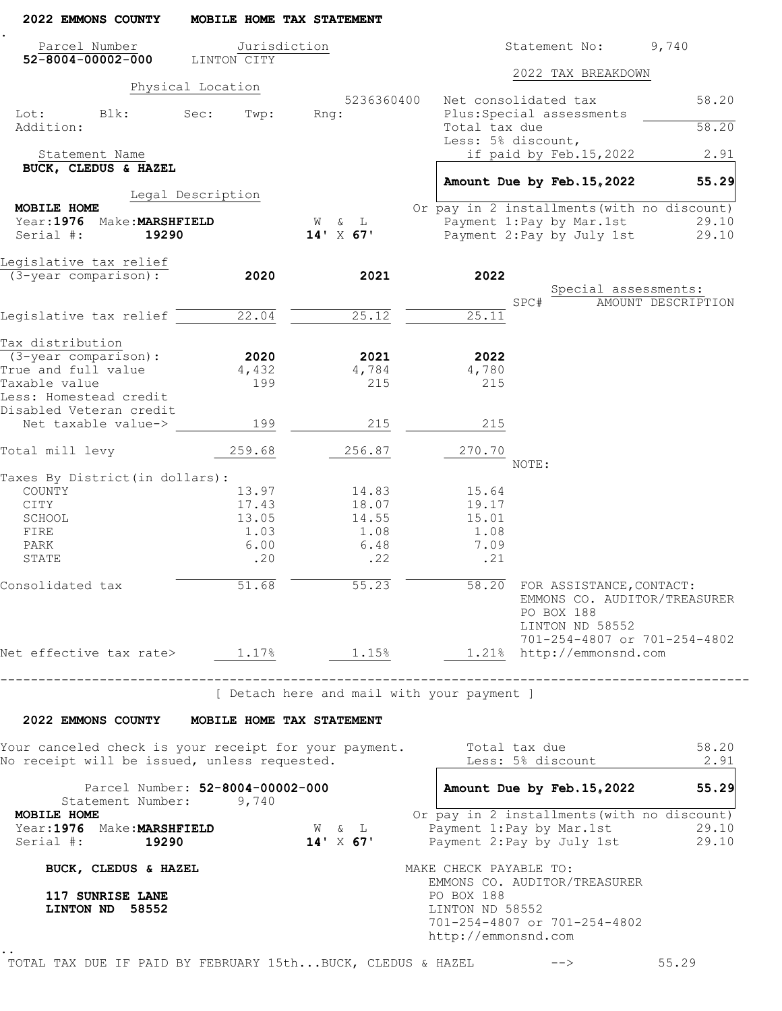| 2022 EMMONS COUNTY                                                                                    | MOBILE HOME TAX STATEMENT        |                                            |                                                                                                                                 |                    |
|-------------------------------------------------------------------------------------------------------|----------------------------------|--------------------------------------------|---------------------------------------------------------------------------------------------------------------------------------|--------------------|
| Parcel Number                                                                                         | Jurisdiction                     |                                            | Statement No:                                                                                                                   | 9,740              |
| $52 - 8004 - 00002 - 000$                                                                             | LINTON CITY                      |                                            | 2022 TAX BREAKDOWN                                                                                                              |                    |
|                                                                                                       | Physical Location                | 5236360400                                 | Net consolidated tax                                                                                                            | 58.20              |
| Lot:<br>Blk:<br>Addition:                                                                             | Sec:<br>Twp:                     | Rng:                                       | Plus: Special assessments<br>Total tax due                                                                                      | 58.20              |
| Statement Name                                                                                        |                                  |                                            | Less: 5% discount,<br>if paid by Feb.15,2022                                                                                    | 2.91               |
| BUCK, CLEDUS & HAZEL                                                                                  |                                  |                                            |                                                                                                                                 |                    |
|                                                                                                       | Legal Description                |                                            | Amount Due by Feb. 15, 2022                                                                                                     | 55.29              |
| MOBILE HOME                                                                                           |                                  |                                            | Or pay in 2 installments (with no discount)                                                                                     |                    |
| Year: 1976 Make: MARSHFIELD<br>Serial #:<br>19290                                                     |                                  | W & L<br>$14' \times 67'$                  | Payment 1: Pay by Mar. 1st<br>Payment 2: Pay by July 1st                                                                        | 29.10<br>29.10     |
| Legislative tax relief<br>(3-year comparison):                                                        | 2020                             | 2021                                       | 2022                                                                                                                            |                    |
|                                                                                                       |                                  |                                            | Special assessments:                                                                                                            |                    |
|                                                                                                       |                                  |                                            | SPC#                                                                                                                            | AMOUNT DESCRIPTION |
| Legislative tax relief $\overline{\phantom{a}}$                                                       | 22.04                            | 25.12                                      | 25.11                                                                                                                           |                    |
| Tax distribution                                                                                      |                                  |                                            |                                                                                                                                 |                    |
| $(3 - year \text{ comparison})$ :                                                                     | 2020                             | 2021                                       | 2022                                                                                                                            |                    |
| True and full value                                                                                   | 4,432                            | 4,784                                      | 4,780                                                                                                                           |                    |
| Taxable value<br>Less: Homestead credit                                                               | 199                              | 215                                        | 215                                                                                                                             |                    |
| Disabled Veteran credit<br>Net taxable value->                                                        | 199                              | 215                                        | 215                                                                                                                             |                    |
| Total mill levy                                                                                       | 259.68                           | 256.87                                     | 270.70                                                                                                                          |                    |
| Taxes By District(in dollars):                                                                        |                                  |                                            | NOTE:                                                                                                                           |                    |
| COUNTY                                                                                                | 13.97                            | 14.83                                      | 15.64                                                                                                                           |                    |
| CITY                                                                                                  | 17.43                            | 18.07                                      | 19.17                                                                                                                           |                    |
| SCHOOL                                                                                                | 13.05                            | 14.55                                      | 15.01                                                                                                                           |                    |
| FIRE                                                                                                  | 1.03                             | 1.08                                       | 1.08                                                                                                                            |                    |
| PARK                                                                                                  | 6.00                             | 6.48                                       | 7.09                                                                                                                            |                    |
| STATE                                                                                                 | .20                              | .22                                        | .21                                                                                                                             |                    |
| Consolidated tax                                                                                      | 51.68                            | 55.23                                      | 58.20 FOR ASSISTANCE, CONTACT:<br>EMMONS CO. AUDITOR/TREASURER<br>PO BOX 188<br>LINTON ND 58552<br>701-254-4807 or 701-254-4802 |                    |
| Net effective tax rate> $1.17%$ $1.15%$                                                               |                                  |                                            | 1.21% http://emmonsnd.com                                                                                                       |                    |
| --------------------------------------                                                                |                                  | [ Detach here and mail with your payment ] |                                                                                                                                 |                    |
| 2022 EMMONS COUNTY MOBILE HOME TAX STATEMENT                                                          |                                  |                                            |                                                                                                                                 |                    |
|                                                                                                       |                                  |                                            | Total tax due                                                                                                                   | 58.20              |
| Your canceled check is your receipt for your payment.<br>No receipt will be issued, unless requested. |                                  |                                            | Less: 5% discount                                                                                                               | 2.91               |
| Statement Number: 9,740                                                                               | Parcel Number: 52-8004-00002-000 |                                            | Amount Due by Feb. 15, 2022                                                                                                     | 55.29              |
| MOBILE HOME                                                                                           |                                  |                                            | Or pay in 2 installments (with no discount)                                                                                     |                    |
| Year: 1976 Make: MARSHFIELD<br>Serial #:<br>19290                                                     |                                  | W & L<br>$14' \times 67'$                  | Payment 1: Pay by Mar. 1st<br>Payment 2: Pay by July 1st                                                                        | 29.10<br>29.10     |
| BUCK, CLEDUS & HAZEL                                                                                  |                                  |                                            | MAKE CHECK PAYABLE TO:                                                                                                          |                    |
| 117 SUNRISE LANE<br>LINTON ND 58552                                                                   |                                  |                                            | EMMONS CO. AUDITOR/TREASURER<br>PO BOX 188<br>LINTON ND 58552<br>701-254-4807 or 701-254-4802<br>http://emmonsnd.com            |                    |
|                                                                                                       |                                  |                                            |                                                                                                                                 |                    |

TOTAL TAX DUE IF PAID BY FEBRUARY 15th...BUCK, CLEDUS & HAZEL --> 55.29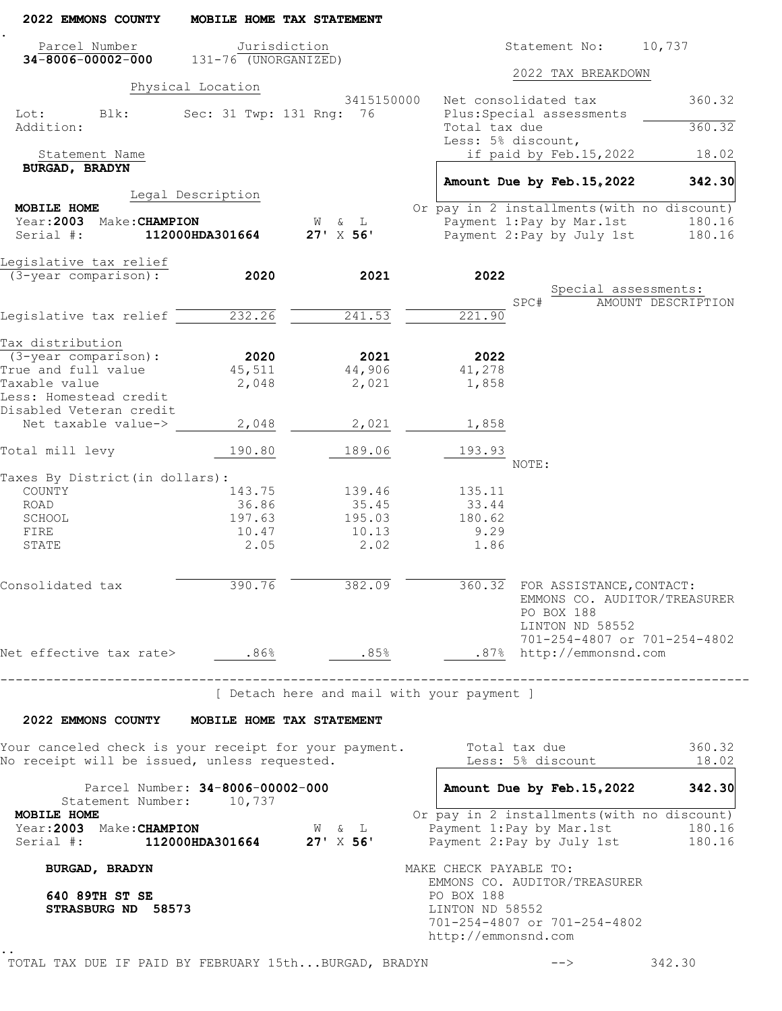| Parcel Number<br>$34 - 8006 - 00002 - 000$ 131-76 (UNORGANIZED)                 |                                  | Jurisdiction     | 10,737<br>Statement No:                                                                                              |        |
|---------------------------------------------------------------------------------|----------------------------------|------------------|----------------------------------------------------------------------------------------------------------------------|--------|
|                                                                                 |                                  |                  |                                                                                                                      |        |
|                                                                                 |                                  |                  | 2022 TAX BREAKDOWN                                                                                                   |        |
|                                                                                 | Physical Location                | 3415150000       | Net consolidated tax                                                                                                 | 360.32 |
| Lot: Blk:<br>Addition:                                                          | Sec: 31 Twp: 131 Rng: 76         |                  | Plus: Special assessments<br>Total tax due<br>Less: 5% discount,                                                     | 360.32 |
| Statement Name                                                                  |                                  |                  | if paid by Feb.15,2022                                                                                               | 18.02  |
| <b>BURGAD, BRADYN</b>                                                           |                                  |                  | Amount Due by Feb. 15, 2022                                                                                          | 342.30 |
| MOBILE HOME                                                                     | Legal Description                |                  | Or pay in 2 installments (with no discount)                                                                          |        |
| Year:2003 Make:CHAMPION                                                         |                                  | W & L            | Payment 1: Pay by Mar. 1st                                                                                           | 180.16 |
| Serial #:                                                                       | 112000HDA301664                  | $27' \times 56'$ | Payment 2: Pay by July 1st                                                                                           | 180.16 |
| Legislative tax relief                                                          |                                  |                  |                                                                                                                      |        |
| (3-year comparison):                                                            | 2020                             | 2021             | 2022                                                                                                                 |        |
|                                                                                 |                                  |                  | Special assessments:<br>SPC#<br>AMOUNT DESCRIPTION                                                                   |        |
| Legislative tax relief 232.26                                                   |                                  | 241.53           | 221.90                                                                                                               |        |
|                                                                                 |                                  |                  |                                                                                                                      |        |
| Tax distribution<br>$(3 - year \text{ comparison})$ :                           | 2020                             | 2021             | 2022                                                                                                                 |        |
| True and full value                                                             | 45,511                           | 44,906           | 41,278                                                                                                               |        |
| Taxable value                                                                   | 2,048                            | 2,021            | 1,858                                                                                                                |        |
| Less: Homestead credit<br>Disabled Veteran credit                               |                                  |                  |                                                                                                                      |        |
| Net taxable value->                                                             | 2,048                            | 2,021            | 1,858                                                                                                                |        |
| Total mill levy                                                                 | 190.80                           | 189.06           | 193.93                                                                                                               |        |
| Taxes By District (in dollars):                                                 |                                  |                  | NOTE:                                                                                                                |        |
| COUNTY                                                                          | 143.75                           | 139.46           | 135.11                                                                                                               |        |
| ROAD                                                                            | 36.86                            | 35.45            | 33.44                                                                                                                |        |
| SCHOOL                                                                          | 197.63                           | 195.03           | 180.62                                                                                                               |        |
| FIRE                                                                            | 10.47                            | 10.13            | 9.29                                                                                                                 |        |
| STATE                                                                           | 2.05                             | 2.02             | 1.86                                                                                                                 |        |
| Consolidated tax                                                                | 390.76                           | 382.09           | 360.32 FOR ASSISTANCE, CONTACT:<br>EMMONS CO. AUDITOR/TREASURER<br>PO BOX 188<br>LINTON ND 58552                     |        |
| Net effective tax rate> .86%                                                    |                                  | .85%             | 701-254-4807 or 701-254-4802<br>.87% http://emmonsnd.com                                                             |        |
| 2022 EMMONS COUNTY MOBILE HOME TAX STATEMENT                                    | -------------------------------  |                  | [ Detach here and mail with your payment ]                                                                           |        |
| Your canceled check is your receipt for your payment.                           |                                  |                  | Total tax due                                                                                                        | 360.32 |
| No receipt will be issued, unless requested.                                    |                                  |                  | Less: 5% discount                                                                                                    | 18.02  |
| Statement Number: 10,737                                                        | Parcel Number: 34-8006-00002-000 |                  | Amount Due by Feb. 15, 2022                                                                                          | 342.30 |
| MOBILE HOME<br>Year: 2003 Make: CHAMPION<br>Serial #: 112000HDA301664 27' X 56' |                                  | W & L            | Or pay in 2 installments (with no discount)<br>Payment 1: Pay by Mar. 1st<br>Payment 2: Pay by July 1st 180.16       | 180.16 |
| <b>BURGAD, BRADYN</b>                                                           |                                  |                  | MAKE CHECK PAYABLE TO:                                                                                               |        |
| 640 89TH ST SE<br>STRASBURG ND 58573                                            |                                  |                  | EMMONS CO. AUDITOR/TREASURER<br>PO BOX 188<br>LINTON ND 58552<br>701-254-4807 or 701-254-4802<br>http://emmonsnd.com |        |

TOTAL TAX DUE IF PAID BY FEBRUARY 15th...BURGAD, BRADYN --> 342.30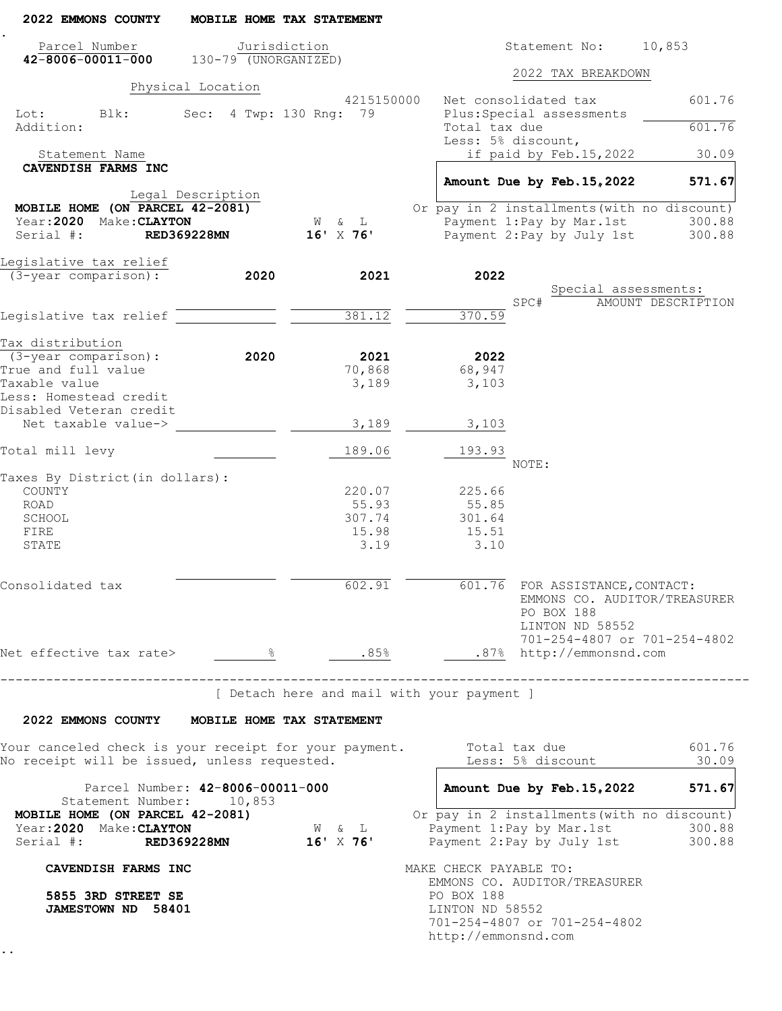| 2022 EMMONS COUNTY                                                                                                          |                                              | MOBILE HOME TAX STATEMENT                               |                                                      |                                                                  |                                                                     |
|-----------------------------------------------------------------------------------------------------------------------------|----------------------------------------------|---------------------------------------------------------|------------------------------------------------------|------------------------------------------------------------------|---------------------------------------------------------------------|
| Parcel Number<br>$42 - 8006 - 00011 - 000$                                                                                  | $130-79$ (UNORGANIZED)                       | Jurisdiction                                            |                                                      | Statement No:                                                    | 10,853                                                              |
|                                                                                                                             |                                              |                                                         |                                                      | 2022 TAX BREAKDOWN                                               |                                                                     |
| Blk:<br>Lot:                                                                                                                | Physical Location<br>Sec: 4 Twp: 130 Rng: 79 | 4215150000                                              | Net consolidated tax                                 | Plus: Special assessments                                        | 601.76                                                              |
| Addition:                                                                                                                   |                                              |                                                         | Total tax due<br>Less: 5% discount,                  |                                                                  | 601.76                                                              |
| Statement Name                                                                                                              |                                              |                                                         |                                                      | if paid by Feb.15,2022                                           | 30.09                                                               |
| CAVENDISH FARMS INC                                                                                                         |                                              |                                                         |                                                      | Amount Due by Feb. 15, 2022                                      | 571.67                                                              |
| MOBILE HOME (ON PARCEL 42-2081)                                                                                             | Legal Description                            |                                                         |                                                      | Or pay in 2 installments (with no discount)                      |                                                                     |
| Year: 2020 Make: CLAYTON                                                                                                    |                                              | W & L                                                   |                                                      | Payment 1: Pay by Mar. 1st                                       | 300.88                                                              |
| Serial #:                                                                                                                   | <b>RED369228MN</b>                           | $16'$ X 76'                                             |                                                      | Payment 2: Pay by July 1st                                       | 300.88                                                              |
| Legislative tax relief                                                                                                      |                                              |                                                         |                                                      |                                                                  |                                                                     |
| (3-year comparison):                                                                                                        | 2020                                         | 2021                                                    | 2022                                                 |                                                                  |                                                                     |
|                                                                                                                             |                                              |                                                         | SPC#                                                 | Special assessments:                                             | AMOUNT DESCRIPTION                                                  |
| Legislative tax relief                                                                                                      |                                              | 381.12                                                  | 370.59                                               |                                                                  |                                                                     |
|                                                                                                                             |                                              |                                                         |                                                      |                                                                  |                                                                     |
| Tax distribution<br>$(3 - year \text{ comparison})$ :                                                                       | 2020                                         | 2021                                                    | 2022                                                 |                                                                  |                                                                     |
| True and full value                                                                                                         |                                              | 70,868                                                  | 68,947                                               |                                                                  |                                                                     |
| Taxable value                                                                                                               |                                              | 3,189                                                   | 3,103                                                |                                                                  |                                                                     |
| Less: Homestead credit                                                                                                      |                                              |                                                         |                                                      |                                                                  |                                                                     |
| Disabled Veteran credit<br>Net taxable value->                                                                              |                                              | 3,189                                                   | 3,103                                                |                                                                  |                                                                     |
|                                                                                                                             |                                              |                                                         |                                                      |                                                                  |                                                                     |
| Total mill levy                                                                                                             |                                              | 189.06                                                  | 193.93<br>NOTE:                                      |                                                                  |                                                                     |
| Taxes By District (in dollars):                                                                                             |                                              |                                                         |                                                      |                                                                  |                                                                     |
| COUNTY                                                                                                                      |                                              | 220.07                                                  | 225.66                                               |                                                                  |                                                                     |
| ROAD                                                                                                                        |                                              | 55.93                                                   | 55.85                                                |                                                                  |                                                                     |
| SCHOOL                                                                                                                      |                                              | 307.74                                                  | 301.64                                               |                                                                  |                                                                     |
| FIRE<br>STATE                                                                                                               |                                              | 15.98<br>3.19                                           | 15.51<br>3.10                                        |                                                                  |                                                                     |
|                                                                                                                             |                                              |                                                         |                                                      |                                                                  |                                                                     |
| Consolidated tax                                                                                                            |                                              | 602.91                                                  |                                                      | 601.76 FOR ASSISTANCE, CONTACT:<br>PO BOX 188<br>LINTON ND 58552 | EMMONS CO. AUDITOR/TREASURER<br>701-254-4807 or 701-254-4802        |
| Net effective tax rate> $\frac{8}{2}$ $\frac{8}{2}$ .85% .87% http://emmonsnd.com                                           |                                              |                                                         |                                                      |                                                                  |                                                                     |
| -----------------------------------                                                                                         |                                              |                                                         |                                                      |                                                                  |                                                                     |
|                                                                                                                             |                                              | [ Detach here and mail with your payment ]              |                                                      |                                                                  |                                                                     |
| 2022 EMMONS COUNTY MOBILE HOME TAX STATEMENT                                                                                |                                              |                                                         |                                                      |                                                                  |                                                                     |
| Your canceled check is your receipt for your payment.         Total tax due<br>No receipt will be issued, unless requested. |                                              |                                                         |                                                      | Less: 5% discount                                                | 601.76<br>30.09                                                     |
|                                                                                                                             | Parcel Number: 42-8006-00011-000             |                                                         |                                                      |                                                                  | Amount Due by Feb. 15, 2022 571.67                                  |
| Statement Number: 10,853<br>MOBILE HOME (ON PARCEL 42-2081)<br>Year: 2020 Make: CLAYTON<br>Serial #: RED369228MN            |                                              | $\mathbb{W}\qquad \&\qquad \mathbb{L}$<br>$16'$ X $76'$ |                                                      | Or pay in 2 installments (with no discount)                      | Payment 1:Pay by Mar.1st 300.88<br>Payment 2:Pay by July 1st 300.88 |
| CAVENDISH FARMS INC                                                                                                         |                                              |                                                         | MAKE CHECK PAYABLE TO:                               |                                                                  |                                                                     |
| 5855 3RD STREET SE<br><b>JAMESTOWN ND 58401</b>                                                                             |                                              |                                                         | PO BOX 188<br>LINTON ND 58552<br>http://emmonsnd.com | EMMONS CO. AUDITOR/TREASURER<br>701-254-4807 or 701-254-4802     |                                                                     |
|                                                                                                                             |                                              |                                                         |                                                      |                                                                  |                                                                     |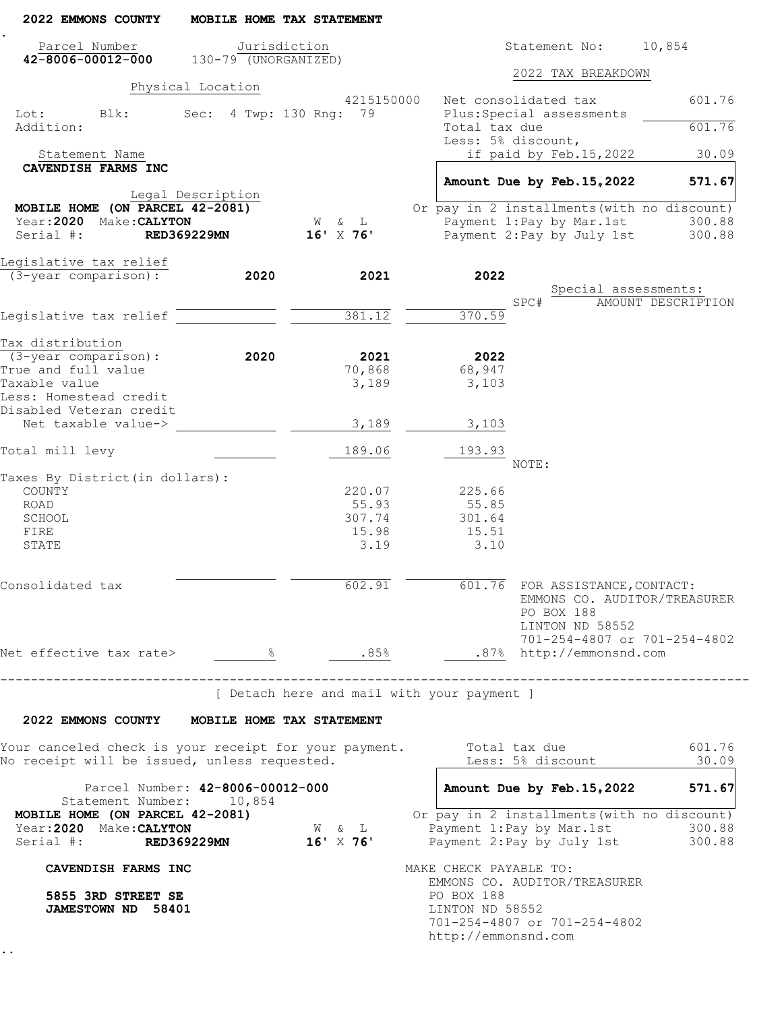| 2022 EMMONS COUNTY                                                                    |                                              | MOBILE HOME TAX STATEMENT                               |                                     |       |                                                                  |                                                                     |
|---------------------------------------------------------------------------------------|----------------------------------------------|---------------------------------------------------------|-------------------------------------|-------|------------------------------------------------------------------|---------------------------------------------------------------------|
| Parcel Number<br>$42 - 8006 - 00012 - 000$                                            | Jurisdiction<br>$130-79$ (UNORGANIZED)       |                                                         |                                     |       | Statement No:                                                    | 10,854                                                              |
|                                                                                       |                                              |                                                         |                                     |       | 2022 TAX BREAKDOWN                                               |                                                                     |
| Blk:<br>Lot:                                                                          | Physical Location<br>Sec: 4 Twp: 130 Rng: 79 | 4215150000                                              | Net consolidated tax                |       | Plus: Special assessments                                        | 601.76                                                              |
| Addition:                                                                             |                                              |                                                         | Total tax due<br>Less: 5% discount, |       |                                                                  | 601.76                                                              |
| Statement Name                                                                        |                                              |                                                         |                                     |       | if paid by Feb.15,2022                                           | 30.09                                                               |
| CAVENDISH FARMS INC                                                                   |                                              |                                                         |                                     |       |                                                                  |                                                                     |
|                                                                                       | Legal Description                            |                                                         |                                     |       | Amount Due by Feb. 15, 2022                                      | 571.67                                                              |
| MOBILE HOME (ON PARCEL 42-2081)                                                       |                                              |                                                         |                                     |       |                                                                  | Or pay in 2 installments (with no discount)                         |
| Year: 2020 Make: CALYTON                                                              |                                              | W & L                                                   |                                     |       | Payment 1: Pay by Mar. 1st                                       | 300.88                                                              |
| Serial #:                                                                             | <b>RED369229MN</b>                           | $16'$ X 76'                                             |                                     |       | Payment 2: Pay by July 1st                                       | 300.88                                                              |
| Legislative tax relief                                                                |                                              |                                                         |                                     |       |                                                                  |                                                                     |
| (3-year comparison):                                                                  | 2020                                         | 2021                                                    | 2022                                |       |                                                                  |                                                                     |
|                                                                                       |                                              |                                                         |                                     | SPC#  | Special assessments:                                             | AMOUNT DESCRIPTION                                                  |
| Legislative tax relief                                                                |                                              | 381.12                                                  | 370.59                              |       |                                                                  |                                                                     |
|                                                                                       |                                              |                                                         |                                     |       |                                                                  |                                                                     |
| Tax distribution                                                                      |                                              |                                                         |                                     |       |                                                                  |                                                                     |
| $(3 - year \text{ comparison})$ :                                                     | 2020                                         | 2021                                                    | 2022                                |       |                                                                  |                                                                     |
| True and full value<br>Taxable value                                                  |                                              | 70,868<br>3,189                                         | 68,947<br>3,103                     |       |                                                                  |                                                                     |
| Less: Homestead credit                                                                |                                              |                                                         |                                     |       |                                                                  |                                                                     |
| Disabled Veteran credit                                                               |                                              |                                                         |                                     |       |                                                                  |                                                                     |
| Net taxable value->                                                                   |                                              | 3,189                                                   | 3,103                               |       |                                                                  |                                                                     |
| Total mill levy                                                                       |                                              | 189.06                                                  | 193.93                              | NOTE: |                                                                  |                                                                     |
| Taxes By District (in dollars):                                                       |                                              |                                                         |                                     |       |                                                                  |                                                                     |
| COUNTY                                                                                |                                              | 220.07                                                  | 225.66                              |       |                                                                  |                                                                     |
| <b>ROAD</b>                                                                           |                                              | 55.93                                                   | 55.85                               |       |                                                                  |                                                                     |
| SCHOOL                                                                                |                                              | 307.74                                                  | 301.64                              |       |                                                                  |                                                                     |
| FIRE                                                                                  |                                              | 15.98                                                   | 15.51                               |       |                                                                  |                                                                     |
| STATE                                                                                 |                                              | 3.19                                                    | 3.10                                |       |                                                                  |                                                                     |
| Consolidated tax                                                                      |                                              | 602.91                                                  |                                     |       | 601.76 FOR ASSISTANCE, CONTACT:<br>PO BOX 188<br>LINTON ND 58552 | EMMONS CO. AUDITOR/TREASURER                                        |
| Net effective tax rate> $\frac{8}{1000}$ $\frac{85}{8}$ .85% .87% http://emmonsnd.com |                                              |                                                         |                                     |       |                                                                  | 701-254-4807 or 701-254-4802                                        |
|                                                                                       |                                              |                                                         |                                     |       |                                                                  |                                                                     |
| -----------------------------------                                                   |                                              | [ Detach here and mail with your payment ]              |                                     |       |                                                                  |                                                                     |
| 2022 EMMONS COUNTY MOBILE HOME TAX STATEMENT                                          |                                              |                                                         |                                     |       |                                                                  |                                                                     |
|                                                                                       |                                              |                                                         |                                     |       |                                                                  |                                                                     |
| No receipt will be issued, unless requested.                                          |                                              |                                                         |                                     |       | Less: 5% discount                                                | 601.76<br>30.09                                                     |
|                                                                                       | Parcel Number: 42-8006-00012-000             |                                                         |                                     |       |                                                                  | Amount Due by Feb. 15, 2022 571.67                                  |
| Statement Number: 10,854<br>MOBILE HOME (ON PARCEL 42-2081)                           |                                              |                                                         |                                     |       |                                                                  | Or pay in 2 installments (with no discount)                         |
| Year: 2020 Make: CALYTON<br>Serial #: RED369229MN                                     |                                              | $\mathbb{W}\qquad \&\qquad \mathbb{L}$<br>$16'$ X $76'$ |                                     |       |                                                                  | Payment 1:Pay by Mar.1st 300.88<br>Payment 2:Pay by July 1st 300.88 |
|                                                                                       |                                              |                                                         |                                     |       |                                                                  |                                                                     |
| CAVENDISH FARMS INC                                                                   |                                              |                                                         | MAKE CHECK PAYABLE TO:              |       | EMMONS CO. AUDITOR/TREASURER                                     |                                                                     |
| 5855 3RD STREET SE<br><b>JAMESTOWN ND 58401</b>                                       |                                              |                                                         | PO BOX 188<br>LINTON ND 58552       |       |                                                                  |                                                                     |
|                                                                                       |                                              |                                                         | http://emmonsnd.com                 |       | 701-254-4807 or 701-254-4802                                     |                                                                     |
|                                                                                       |                                              |                                                         |                                     |       |                                                                  |                                                                     |
|                                                                                       |                                              |                                                         |                                     |       |                                                                  |                                                                     |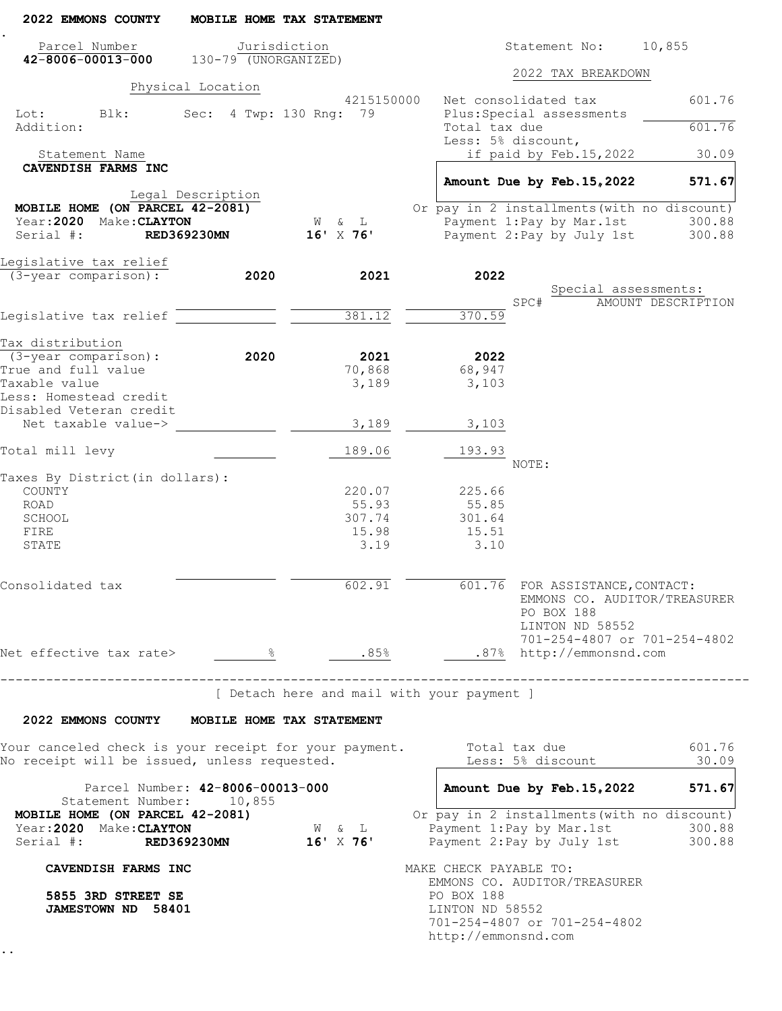| 2022 EMMONS COUNTY                                                                                                          |                                              | MOBILE HOME TAX STATEMENT                  |            |                                        |                                                                            |                                                                     |
|-----------------------------------------------------------------------------------------------------------------------------|----------------------------------------------|--------------------------------------------|------------|----------------------------------------|----------------------------------------------------------------------------|---------------------------------------------------------------------|
| Parcel Number<br>$42 - 8006 - 00013 - 000$                                                                                  | Jurisdiction<br>$130-79$ (UNORGANIZED)       |                                            |            |                                        | Statement No:                                                              | 10,855                                                              |
|                                                                                                                             |                                              |                                            |            |                                        | 2022 TAX BREAKDOWN                                                         |                                                                     |
| Blk:<br>Lot:                                                                                                                | Physical Location<br>Sec: 4 Twp: 130 Rng: 79 | 4215150000                                 |            | Net consolidated tax                   | Plus: Special assessments                                                  | 601.76                                                              |
| Addition:                                                                                                                   |                                              |                                            |            | Total tax due<br>Less: 5% discount,    |                                                                            | 601.76                                                              |
| Statement Name                                                                                                              |                                              |                                            |            |                                        | if paid by Feb.15,2022                                                     | 30.09                                                               |
| CAVENDISH FARMS INC                                                                                                         |                                              |                                            |            |                                        |                                                                            | 571.67                                                              |
| MOBILE HOME (ON PARCEL 42-2081)                                                                                             | Legal Description                            |                                            |            |                                        | Amount Due by Feb. 15, 2022<br>Or pay in 2 installments (with no discount) |                                                                     |
| Year: 2020 Make: CLAYTON                                                                                                    |                                              | W & L                                      |            |                                        | Payment 1: Pay by Mar. 1st                                                 | 300.88                                                              |
| Serial #:                                                                                                                   | <b>RED369230MN</b>                           | $16'$ X 76'                                |            |                                        | Payment 2: Pay by July 1st                                                 | 300.88                                                              |
| Legislative tax relief                                                                                                      |                                              |                                            |            |                                        |                                                                            |                                                                     |
| (3-year comparison):                                                                                                        | 2020                                         | 2021                                       |            | 2022                                   |                                                                            |                                                                     |
|                                                                                                                             |                                              |                                            |            | SPC#                                   | Special assessments:                                                       | AMOUNT DESCRIPTION                                                  |
| Legislative tax relief                                                                                                      |                                              | 381.12                                     |            | 370.59                                 |                                                                            |                                                                     |
|                                                                                                                             |                                              |                                            |            |                                        |                                                                            |                                                                     |
| Tax distribution                                                                                                            |                                              |                                            |            |                                        |                                                                            |                                                                     |
| $(3 - year \text{ comparison})$ :<br>True and full value                                                                    | 2020                                         | 2021<br>70,868                             |            | 2022<br>68,947                         |                                                                            |                                                                     |
| Taxable value                                                                                                               |                                              | 3,189                                      |            | 3,103                                  |                                                                            |                                                                     |
| Less: Homestead credit                                                                                                      |                                              |                                            |            |                                        |                                                                            |                                                                     |
| Disabled Veteran credit                                                                                                     |                                              |                                            |            |                                        |                                                                            |                                                                     |
| Net taxable value->                                                                                                         |                                              | 3,189                                      |            | 3,103                                  |                                                                            |                                                                     |
| Total mill levy                                                                                                             |                                              | 189.06                                     |            | 193.93<br>NOTE:                        |                                                                            |                                                                     |
| Taxes By District (in dollars):                                                                                             |                                              |                                            |            |                                        |                                                                            |                                                                     |
| COUNTY                                                                                                                      |                                              | 220.07                                     |            | 225.66                                 |                                                                            |                                                                     |
| ROAD                                                                                                                        |                                              | 55.93                                      |            | 55.85                                  |                                                                            |                                                                     |
| SCHOOL                                                                                                                      |                                              | 307.74                                     |            | 301.64                                 |                                                                            |                                                                     |
| FIRE                                                                                                                        |                                              | 15.98                                      |            | 15.51                                  |                                                                            |                                                                     |
| STATE                                                                                                                       |                                              | 3.19                                       |            | 3.10                                   |                                                                            |                                                                     |
| Consolidated tax                                                                                                            |                                              | 602.91                                     |            |                                        | 601.76 FOR ASSISTANCE, CONTACT:<br>PO BOX 188<br>LINTON ND 58552           | EMMONS CO. AUDITOR/TREASURER                                        |
|                                                                                                                             |                                              |                                            |            |                                        | 701-254-4807 or 701-254-4802                                               |                                                                     |
| Net effective tax rate> $\frac{8}{2}$ $\frac{8}{2}$ .85% .87% http://emmonsnd.com                                           |                                              |                                            |            |                                        |                                                                            |                                                                     |
| 2022 EMMONS COUNTY MOBILE HOME TAX STATEMENT                                                                                | ----------------------------------           | [ Detach here and mail with your payment ] |            |                                        |                                                                            |                                                                     |
| Your canceled check is your receipt for your payment.         Total tax due<br>No receipt will be issued, unless requested. |                                              |                                            |            |                                        | Less: 5% discount                                                          | 601.76<br>30.09                                                     |
| Statement Number: 10,855                                                                                                    | Parcel Number: 42-8006-00013-000             |                                            |            |                                        |                                                                            | Amount Due by Feb. 15, 2022 571.67                                  |
| MOBILE HOME (ON PARCEL 42-2081)<br>Year: 2020 Make: CLAYTON<br>Serial #: RED369230MN                                        |                                              | W & L<br>$16'$ X $76'$                     |            |                                        | Or pay in 2 installments (with no discount)                                | Payment 1:Pay by Mar.1st 300.88<br>Payment 2:Pay by July 1st 300.88 |
| CAVENDISH FARMS INC                                                                                                         |                                              |                                            |            | MAKE CHECK PAYABLE TO:                 |                                                                            |                                                                     |
| 5855 3RD STREET SE<br><b>JAMESTOWN ND 58401</b>                                                                             |                                              |                                            | PO BOX 188 | LINTON ND 58552<br>http://emmonsnd.com | EMMONS CO. AUDITOR/TREASURER<br>701-254-4807 or 701-254-4802               |                                                                     |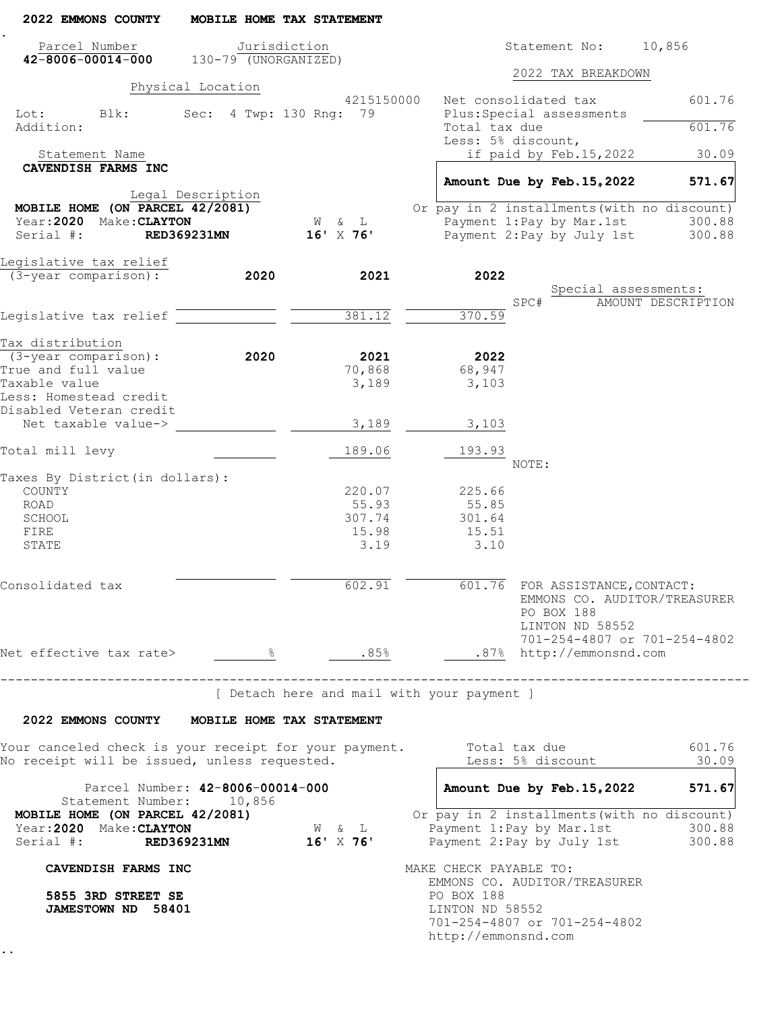| 2022 EMMONS COUNTY                                                                                                          |                                              | MOBILE HOME TAX STATEMENT                  |                                                      |       |                                                                  |                                                                                                                    |
|-----------------------------------------------------------------------------------------------------------------------------|----------------------------------------------|--------------------------------------------|------------------------------------------------------|-------|------------------------------------------------------------------|--------------------------------------------------------------------------------------------------------------------|
| Parcel Number<br>$42 - 8006 - 00014 - 000$                                                                                  | $130-79$ (UNORGANIZED)                       | Jurisdiction                               |                                                      |       | Statement No:                                                    | 10,856                                                                                                             |
|                                                                                                                             |                                              |                                            |                                                      |       | 2022 TAX BREAKDOWN                                               |                                                                                                                    |
| Blk:<br>Lot:                                                                                                                | Physical Location<br>Sec: 4 Twp: 130 Rng: 79 | 4215150000                                 | Net consolidated tax                                 |       | Plus: Special assessments                                        | 601.76                                                                                                             |
| Addition:                                                                                                                   |                                              |                                            | Total tax due<br>Less: 5% discount,                  |       |                                                                  | 601.76                                                                                                             |
| Statement Name                                                                                                              |                                              |                                            |                                                      |       | if paid by Feb.15,2022                                           | 30.09                                                                                                              |
| CAVENDISH FARMS INC                                                                                                         |                                              |                                            |                                                      |       |                                                                  | 571.67                                                                                                             |
| MOBILE HOME (ON PARCEL 42/2081)                                                                                             | Legal Description                            |                                            |                                                      |       | Amount Due by Feb. 15, 2022                                      | Or pay in 2 installments (with no discount)                                                                        |
| Year: 2020 Make: CLAYTON                                                                                                    |                                              | W & L                                      |                                                      |       | Payment 1: Pay by Mar. 1st                                       | 300.88                                                                                                             |
| Serial #:                                                                                                                   | <b>RED369231MN</b>                           | $16'$ X 76'                                |                                                      |       | Payment 2: Pay by July 1st                                       | 300.88                                                                                                             |
| Legislative tax relief                                                                                                      |                                              |                                            |                                                      |       |                                                                  |                                                                                                                    |
| (3-year comparison):                                                                                                        | 2020                                         | 2021                                       | 2022                                                 |       |                                                                  |                                                                                                                    |
|                                                                                                                             |                                              |                                            |                                                      | SPC#  | Special assessments:                                             | AMOUNT DESCRIPTION                                                                                                 |
| Legislative tax relief                                                                                                      |                                              | 381.12                                     | 370.59                                               |       |                                                                  |                                                                                                                    |
|                                                                                                                             |                                              |                                            |                                                      |       |                                                                  |                                                                                                                    |
| Tax distribution<br>$(3 - year \text{ comparison})$ :                                                                       | 2020                                         | 2021                                       | 2022                                                 |       |                                                                  |                                                                                                                    |
| True and full value                                                                                                         |                                              | 70,868                                     | 68,947                                               |       |                                                                  |                                                                                                                    |
| Taxable value                                                                                                               |                                              | 3,189                                      | 3,103                                                |       |                                                                  |                                                                                                                    |
| Less: Homestead credit                                                                                                      |                                              |                                            |                                                      |       |                                                                  |                                                                                                                    |
| Disabled Veteran credit                                                                                                     |                                              |                                            |                                                      |       |                                                                  |                                                                                                                    |
| Net taxable value->                                                                                                         |                                              | 3,189                                      | 3,103                                                |       |                                                                  |                                                                                                                    |
| Total mill levy                                                                                                             |                                              | 189.06                                     | 193.93                                               | NOTE: |                                                                  |                                                                                                                    |
| Taxes By District (in dollars):                                                                                             |                                              |                                            |                                                      |       |                                                                  |                                                                                                                    |
| COUNTY                                                                                                                      |                                              | 220.07                                     | 225.66                                               |       |                                                                  |                                                                                                                    |
| ROAD                                                                                                                        |                                              | 55.93                                      | 55.85                                                |       |                                                                  |                                                                                                                    |
| SCHOOL                                                                                                                      |                                              | 307.74                                     | 301.64                                               |       |                                                                  |                                                                                                                    |
| FIRE<br>STATE                                                                                                               |                                              | 15.98<br>3.19                              | 15.51<br>3.10                                        |       |                                                                  |                                                                                                                    |
|                                                                                                                             |                                              |                                            |                                                      |       |                                                                  |                                                                                                                    |
| Consolidated tax                                                                                                            |                                              | 602.91                                     |                                                      |       | 601.76 FOR ASSISTANCE, CONTACT:<br>PO BOX 188<br>LINTON ND 58552 | EMMONS CO. AUDITOR/TREASURER<br>701-254-4807 or 701-254-4802                                                       |
| Net effective tax rate> $\frac{8}{2}$ $\frac{8}{2}$ .85% .87% http://emmonsnd.com                                           |                                              |                                            |                                                      |       |                                                                  |                                                                                                                    |
| -----------------------------------                                                                                         |                                              | [ Detach here and mail with your payment ] |                                                      |       |                                                                  |                                                                                                                    |
|                                                                                                                             |                                              |                                            |                                                      |       |                                                                  |                                                                                                                    |
| 2022 EMMONS COUNTY MOBILE HOME TAX STATEMENT                                                                                |                                              |                                            |                                                      |       |                                                                  |                                                                                                                    |
| Your canceled check is your receipt for your payment.         Total tax due<br>No receipt will be issued, unless requested. |                                              |                                            |                                                      |       | Less: 5% discount                                                | 601.76<br>30.09                                                                                                    |
|                                                                                                                             | Parcel Number: 42-8006-00014-000             |                                            |                                                      |       |                                                                  | Amount Due by Feb. 15, 2022 571.67                                                                                 |
| Statement Number: 10,856                                                                                                    |                                              |                                            |                                                      |       |                                                                  |                                                                                                                    |
| MOBILE HOME (ON PARCEL 42/2081)<br>Year: 2020 Make: CLAYTON<br>Serial #: RED369231MN                                        |                                              | W & L<br>$16'$ X $76'$                     |                                                      |       |                                                                  | Or pay in 2 installments (with no discount)<br>Payment 1:Pay by Mar.1st 300.88<br>Payment 2:Pay by July 1st 300.88 |
| CAVENDISH FARMS INC                                                                                                         |                                              |                                            | MAKE CHECK PAYABLE TO:                               |       |                                                                  |                                                                                                                    |
| 5855 3RD STREET SE<br><b>JAMESTOWN ND 58401</b>                                                                             |                                              |                                            | PO BOX 188<br>LINTON ND 58552<br>http://emmonsnd.com |       | EMMONS CO. AUDITOR/TREASURER<br>701-254-4807 or 701-254-4802     |                                                                                                                    |
|                                                                                                                             |                                              |                                            |                                                      |       |                                                                  |                                                                                                                    |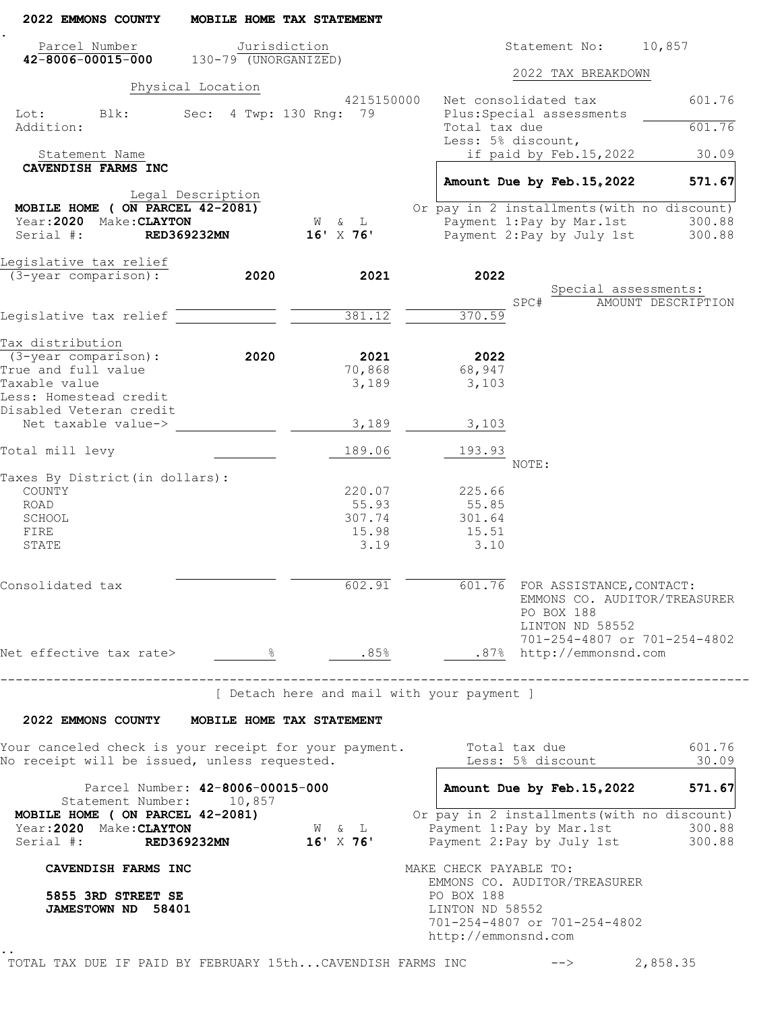| 2022 EMMONS COUNTY                                                                                                  |                                              | MOBILE HOME TAX STATEMENT                             |                                                                                |                                                                                                                    |                             |
|---------------------------------------------------------------------------------------------------------------------|----------------------------------------------|-------------------------------------------------------|--------------------------------------------------------------------------------|--------------------------------------------------------------------------------------------------------------------|-----------------------------|
| Parcel Number<br>$42 - 8006 - 00015 - 000$                                                                          | Jurisdiction<br>$130-79$ (UNORGANIZED)       |                                                       |                                                                                | Statement No: 10,857                                                                                               |                             |
|                                                                                                                     |                                              |                                                       |                                                                                | 2022 TAX BREAKDOWN                                                                                                 |                             |
| Lot:<br>Blk:                                                                                                        | Physical Location<br>Sec: 4 Twp: 130 Rng: 79 | 4215150000                                            |                                                                                | Net consolidated tax<br>Plus: Special assessments                                                                  | 601.76                      |
| Addition:                                                                                                           |                                              |                                                       | Total tax due                                                                  | Less: 5% discount,                                                                                                 | 601.76                      |
| Statement Name                                                                                                      |                                              |                                                       |                                                                                | if paid by Feb.15,2022                                                                                             | 30.09                       |
| CAVENDISH FARMS INC                                                                                                 |                                              |                                                       |                                                                                | Amount Due by Feb. 15, 2022                                                                                        | 571.67                      |
|                                                                                                                     | Legal Description                            |                                                       |                                                                                |                                                                                                                    |                             |
| MOBILE HOME ( ON PARCEL 42-2081)                                                                                    |                                              |                                                       |                                                                                | Or pay in 2 installments (with no discount)                                                                        |                             |
| Year: 2020 Make: CLAYTON                                                                                            |                                              | W & L                                                 |                                                                                | Payment 1: Pay by Mar. 1st                                                                                         | 300.88                      |
| Serial #:                                                                                                           | <b>RED369232MN</b>                           | $16'$ X 76'                                           |                                                                                | Payment 2: Pay by July 1st                                                                                         | 300.88                      |
| Legislative tax relief                                                                                              |                                              |                                                       |                                                                                |                                                                                                                    |                             |
| $(3 - \overline{year} \text{ comparison})$ :                                                                        | 2020                                         | 2021                                                  | 2022                                                                           |                                                                                                                    |                             |
|                                                                                                                     |                                              |                                                       |                                                                                | Special assessments:<br>SPC#                                                                                       | AMOUNT DESCRIPTION          |
| Legislative tax relief                                                                                              |                                              | 381.12                                                | 370.59                                                                         |                                                                                                                    |                             |
|                                                                                                                     |                                              |                                                       |                                                                                |                                                                                                                    |                             |
| Tax distribution                                                                                                    |                                              |                                                       |                                                                                |                                                                                                                    |                             |
| $(3 - year \text{ comparison})$ :<br>True and full value                                                            | 2020                                         | 2021<br>70,868                                        | 2022<br>68,947                                                                 |                                                                                                                    |                             |
| Taxable value                                                                                                       |                                              | 3,189                                                 | 3,103                                                                          |                                                                                                                    |                             |
| Less: Homestead credit                                                                                              |                                              |                                                       |                                                                                |                                                                                                                    |                             |
| Disabled Veteran credit                                                                                             |                                              |                                                       |                                                                                |                                                                                                                    |                             |
| Net taxable value->                                                                                                 |                                              | 3,189                                                 | 3,103                                                                          |                                                                                                                    |                             |
| Total mill levy                                                                                                     |                                              | 189.06                                                | 193.93                                                                         | NOTE:                                                                                                              |                             |
| Taxes By District (in dollars):                                                                                     |                                              |                                                       |                                                                                |                                                                                                                    |                             |
| COUNTY                                                                                                              |                                              | 220.07                                                | 225.66                                                                         |                                                                                                                    |                             |
| ROAD                                                                                                                |                                              | 55.93                                                 | 55.85                                                                          |                                                                                                                    |                             |
| SCHOOL                                                                                                              |                                              | 307.74                                                | 301.64                                                                         |                                                                                                                    |                             |
| FIRE                                                                                                                |                                              | 15.98                                                 | 15.51                                                                          |                                                                                                                    |                             |
| STATE                                                                                                               |                                              | 3.19                                                  | 3.10                                                                           |                                                                                                                    |                             |
| Consolidated tax                                                                                                    |                                              | 602.91                                                |                                                                                | 601.76 FOR ASSISTANCE, CONTACT:<br>EMMONS CO. AUDITOR/TREASURER<br>PO BOX 188<br>LINTON ND 58552                   |                             |
|                                                                                                                     |                                              |                                                       |                                                                                | 701-254-4807 or 701-254-4802                                                                                       |                             |
| Net effective tax rate> $\frac{8}{1000}$ $\frac{85}{8}$ .85% .87% http://emmonsnd.com                               |                                              |                                                       |                                                                                |                                                                                                                    |                             |
|                                                                                                                     |                                              | [ Detach here and mail with your payment ]            |                                                                                | -------------------------------------                                                                              |                             |
| 2022 EMMONS COUNTY MOBILE HOME TAX STATEMENT                                                                        |                                              |                                                       |                                                                                |                                                                                                                    |                             |
| Your canceled check is your receipt for your payment. Total tax due<br>No receipt will be issued, unless requested. |                                              |                                                       |                                                                                | Less: 5% discount _____                                                                                            | 601.76<br>$\frac{30.09}{2}$ |
| Statement Number: 10,857                                                                                            | Parcel Number: 42-8006-00015-000             |                                                       |                                                                                | Amount Due by Feb. 15, 2022 571.67                                                                                 |                             |
| MOBILE HOME ( ON PARCEL 42-2081)<br>Year: 2020 Make: CLAYTON<br>Serial #: RED369232MN                               |                                              | $\mathbb{W}\qquad \&\qquad \mathbb{L}$<br>$16'$ X 76' |                                                                                | Or pay in 2 installments (with no discount)<br>Payment 1:Pay by Mar.1st 300.88<br>Payment 2:Pay by July 1st 300.88 |                             |
|                                                                                                                     |                                              |                                                       |                                                                                |                                                                                                                    |                             |
| CAVENDISH FARMS INC<br>5855 3RD STREET SE<br><b>JAMESTOWN ND 58401</b>                                              |                                              |                                                       | MAKE CHECK PAYABLE TO:<br>PO BOX 188<br>LINTON ND 58552<br>http://emmonsnd.com | EMMONS CO. AUDITOR/TREASURER<br>701-254-4807 or 701-254-4802                                                       |                             |
| TOTAL TAX DUE IF PAID BY FEBRUARY 15thCAVENDISH FARMS INC                                                           |                                              |                                                       |                                                                                | $--\rangle$ and $--\rangle$                                                                                        | 2,858.35                    |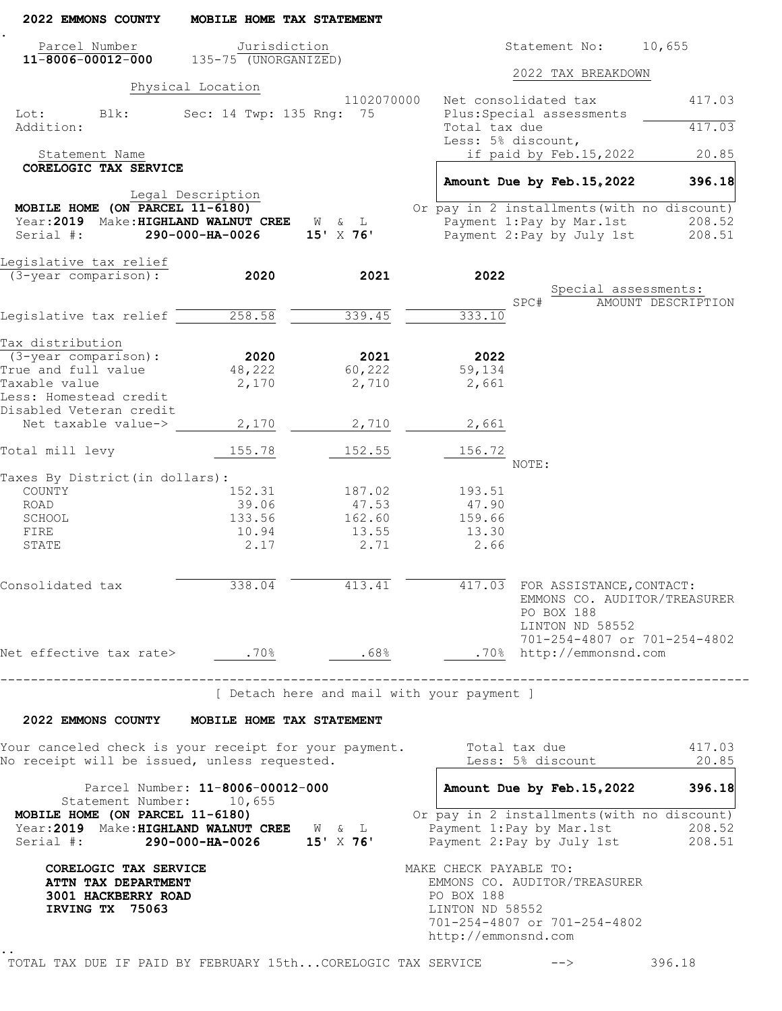| 2022 EMMONS COUNTY                                                                                                                                             | MOBILE HOME TAX STATEMENT         |                                            |                                                                                                                                                |                               |                                    |
|----------------------------------------------------------------------------------------------------------------------------------------------------------------|-----------------------------------|--------------------------------------------|------------------------------------------------------------------------------------------------------------------------------------------------|-------------------------------|------------------------------------|
| Parcel Number                                                                                                                                                  | Jurisdiction                      |                                            |                                                                                                                                                | Statement No:                 | 10,655                             |
| $11 - 8006 - 00012 - 000$                                                                                                                                      | $135 - 75$ (UNORGANIZED)          |                                            |                                                                                                                                                | 2022 TAX BREAKDOWN            |                                    |
|                                                                                                                                                                | Physical Location                 |                                            |                                                                                                                                                |                               |                                    |
| Lot:<br>Blk:                                                                                                                                                   | Sec: 14 Twp: 135 Rng: 75          | 1102070000                                 | Net consolidated tax<br>Plus: Special assessments                                                                                              |                               | 417.03                             |
| Addition:                                                                                                                                                      |                                   |                                            | Total tax due                                                                                                                                  |                               | 417.03                             |
|                                                                                                                                                                |                                   |                                            | Less: 5% discount,                                                                                                                             |                               |                                    |
| Statement Name                                                                                                                                                 |                                   |                                            |                                                                                                                                                | if paid by Feb.15,2022        | 20.85                              |
| CORELOGIC TAX SERVICE                                                                                                                                          |                                   |                                            | Amount Due by Feb. 15, 2022                                                                                                                    |                               | 396.18                             |
|                                                                                                                                                                | Legal Description                 |                                            |                                                                                                                                                |                               |                                    |
| MOBILE HOME (ON PARCEL 11-6180)                                                                                                                                |                                   |                                            | Or pay in 2 installments (with no discount)                                                                                                    |                               |                                    |
| Year: 2019 Make: HIGHLAND WALNUT CREE W & L                                                                                                                    |                                   |                                            | Payment 1:Pay by Mar.1st                                                                                                                       |                               | 208.52                             |
| Serial #:                                                                                                                                                      | 290-000-HA-0026                   | 15' X 76'                                  | Payment 2: Pay by July 1st                                                                                                                     |                               | 208.51                             |
| Legislative tax relief                                                                                                                                         |                                   |                                            |                                                                                                                                                |                               |                                    |
| (3-year comparison):                                                                                                                                           | 2020                              | 2021                                       | 2022                                                                                                                                           |                               |                                    |
|                                                                                                                                                                |                                   |                                            |                                                                                                                                                |                               | Special assessments:               |
| Legislative tax relief                                                                                                                                         | 258.58                            | 339.45                                     | SPC#<br>333.10                                                                                                                                 |                               | AMOUNT DESCRIPTION                 |
|                                                                                                                                                                |                                   |                                            |                                                                                                                                                |                               |                                    |
| Tax distribution                                                                                                                                               |                                   |                                            |                                                                                                                                                |                               |                                    |
| $(3 - year \text{ comparison})$ :                                                                                                                              | 2020                              | 2021                                       | 2022                                                                                                                                           |                               |                                    |
| True and full value                                                                                                                                            | 48,222                            | 60,222                                     | 59,134                                                                                                                                         |                               |                                    |
| Taxable value                                                                                                                                                  | 2,170                             | 2,710                                      | 2,661                                                                                                                                          |                               |                                    |
| Less: Homestead credit<br>Disabled Veteran credit                                                                                                              |                                   |                                            |                                                                                                                                                |                               |                                    |
| Net taxable value->                                                                                                                                            | 2,170                             | 2,710                                      | 2,661                                                                                                                                          |                               |                                    |
| Total mill levy                                                                                                                                                | 155.78                            | 152.55                                     | 156.72                                                                                                                                         |                               |                                    |
| Taxes By District (in dollars):                                                                                                                                |                                   |                                            | NOTE:                                                                                                                                          |                               |                                    |
| COUNTY                                                                                                                                                         | 152.31                            | 187.02                                     | 193.51                                                                                                                                         |                               |                                    |
| ROAD                                                                                                                                                           | 39.06                             | 47.53                                      | 47.90                                                                                                                                          |                               |                                    |
| SCHOOL                                                                                                                                                         | 133.56                            | 162.60                                     | 159.66                                                                                                                                         |                               |                                    |
| FIRE                                                                                                                                                           | 10.94                             | 13.55                                      | 13.30                                                                                                                                          |                               |                                    |
| STATE                                                                                                                                                          | 2.17                              | 2.71                                       | 2.66                                                                                                                                           |                               |                                    |
| Consolidated tax                                                                                                                                               | 338.04                            | 413.41                                     | 417.03 FOR ASSISTANCE, CONTACT:                                                                                                                | PO BOX 188<br>LINTON ND 58552 | EMMONS CO. AUDITOR/TREASURER       |
| Net effective tax rate> .70% .68% .70% http://emmonsnd.com                                                                                                     |                                   |                                            |                                                                                                                                                |                               | 701-254-4807 or 701-254-4802       |
|                                                                                                                                                                | --------------------------------- |                                            |                                                                                                                                                |                               |                                    |
|                                                                                                                                                                |                                   | [ Detach here and mail with your payment ] |                                                                                                                                                |                               |                                    |
| 2022 EMMONS COUNTY MOBILE HOME TAX STATEMENT                                                                                                                   |                                   |                                            |                                                                                                                                                |                               |                                    |
| Your canceled check is your receipt for your payment.<br>No receipt will be issued, unless requested.                                                          |                                   |                                            | Total tax due                                                                                                                                  | Less: 5% discount             | 417.03<br>20.85                    |
| Statement Number: 10,655                                                                                                                                       | Parcel Number: 11-8006-00012-000  |                                            |                                                                                                                                                |                               | Amount Due by Feb. 15, 2022 396.18 |
| MOBILE HOME (ON PARCEL 11-6180)<br>Year: 2019 Make: HIGHLAND WALNUT CREE W & L<br>Serial #: <b>290-000-HA-0026</b> 15' X 76' Payment 2: Pay by July 1st 208.51 |                                   |                                            | Or pay in 2 installments (with no discount)<br>Payment 1: Pay by Mar. 1st 208.52                                                               |                               |                                    |
| CORELOGIC TAX SERVICE<br>ATTN TAX DEPARTMENT<br>3001 HACKBERRY ROAD<br>IRVING TX 75063                                                                         |                                   |                                            | MAKE CHECK PAYABLE TO:<br>EMMONS CO. AUDITOR/TREASURER<br>PO BOX 188<br>LINTON ND 58552<br>701-254-4807 or 701-254-4802<br>http://emmonsnd.com |                               |                                    |
| TOTAL TAX DUE IF PAID BY FEBRUARY 15thCORELOGIC TAX SERVICE --> 396.18                                                                                         |                                   |                                            |                                                                                                                                                |                               |                                    |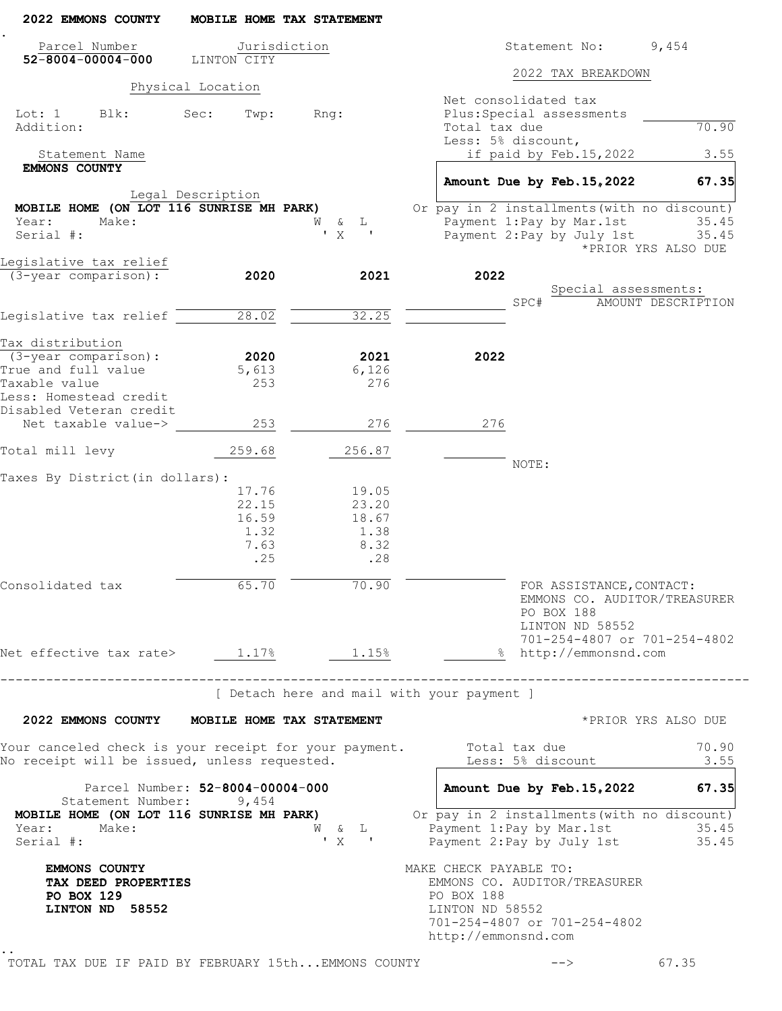| 2022 EMMONS COUNTY                                                                                    |                   | MOBILE HOME TAX STATEMENT          |                                                                                                                                                |
|-------------------------------------------------------------------------------------------------------|-------------------|------------------------------------|------------------------------------------------------------------------------------------------------------------------------------------------|
| Parcel Number                                                                                         |                   | Jurisdiction                       | Statement No:<br>9,454                                                                                                                         |
| $52 - 8004 - 00004 - 000$                                                                             | LINTON CITY       |                                    | 2022 TAX BREAKDOWN                                                                                                                             |
|                                                                                                       | Physical Location |                                    |                                                                                                                                                |
| Lot: 1<br>Blk:<br>Addition:                                                                           | Sec:<br>Twp:      | Rng:                               | Net consolidated tax<br>Plus: Special assessments<br>Total tax due<br>70.90                                                                    |
| Statement Name                                                                                        |                   |                                    | Less: 5% discount,<br>if paid by Feb.15,2022<br>3.55                                                                                           |
| <b>EMMONS COUNTY</b>                                                                                  |                   |                                    | 67.35<br>Amount Due by Feb. 15, 2022                                                                                                           |
|                                                                                                       | Legal Description |                                    |                                                                                                                                                |
| MOBILE HOME (ON LOT 116 SUNRISE MH PARK)                                                              |                   |                                    | Or pay in 2 installments (with no discount)                                                                                                    |
| Year:<br>Make:<br>Serial #:                                                                           |                   | W & L<br>$'$ X<br>$\sim$ 100 $\pm$ | Payment 1: Pay by Mar. 1st<br>35.45<br>Payment 2: Pay by July 1st 35.45<br>*PRIOR YRS ALSO DUE                                                 |
| Legislative tax relief                                                                                |                   |                                    |                                                                                                                                                |
| (3-year comparison):                                                                                  | 2020              | 2021                               | 2022<br>Special assessments:<br>SPC#<br>AMOUNT DESCRIPTION                                                                                     |
| Legislative tax relief                                                                                | 28.02             | 32.25                              |                                                                                                                                                |
|                                                                                                       |                   |                                    |                                                                                                                                                |
| Tax distribution<br>$(3 - year \text{ comparison})$ :                                                 | 2020              | 2021                               | 2022                                                                                                                                           |
| True and full value                                                                                   | 5,613             | 6,126                              |                                                                                                                                                |
| Taxable value                                                                                         | 253               | 276                                |                                                                                                                                                |
| Less: Homestead credit                                                                                |                   |                                    |                                                                                                                                                |
| Disabled Veteran credit<br>Net taxable value->                                                        | 253               | 276                                | 276                                                                                                                                            |
|                                                                                                       |                   |                                    |                                                                                                                                                |
| Total mill levy                                                                                       | 259.68            | 256.87                             | NOTE:                                                                                                                                          |
| Taxes By District (in dollars):                                                                       |                   |                                    |                                                                                                                                                |
|                                                                                                       | 17.76             | 19.05                              |                                                                                                                                                |
|                                                                                                       | 22.15             | 23.20                              |                                                                                                                                                |
|                                                                                                       | 16.59<br>1.32     | 18.67<br>1.38                      |                                                                                                                                                |
|                                                                                                       | 7.63              | 8.32                               |                                                                                                                                                |
|                                                                                                       | .25               | .28                                |                                                                                                                                                |
| Consolidated tax                                                                                      | 65.70             | 70.90                              | FOR ASSISTANCE, CONTACT:<br>EMMONS CO. AUDITOR/TREASURER<br>PO BOX 188<br>LINTON ND 58552                                                      |
| Net effective tax rate> $1.17%$ 1.17% 1.15%                                                           |                   |                                    | 701-254-4807 or 701-254-4802<br>% http://emmonsnd.com                                                                                          |
| ___________________                                                                                   |                   |                                    |                                                                                                                                                |
|                                                                                                       |                   |                                    | [ Detach here and mail with your payment ]                                                                                                     |
| 2022 EMMONS COUNTY MOBILE HOME TAX STATEMENT                                                          |                   |                                    | *PRIOR YRS ALSO DUE                                                                                                                            |
| Your canceled check is your receipt for your payment.<br>No receipt will be issued, unless requested. |                   |                                    | Total tax due<br>70.90<br>Less: 5% discount<br>3.55                                                                                            |
| Parcel Number: 52-8004-00004-000<br>Statement Number: 9,454                                           |                   |                                    | Amount Due by Feb. 15, 2022<br>67.35                                                                                                           |
| MOBILE HOME (ON LOT 116 SUNRISE MH PARK)<br>Year:<br>Make:<br>Serial #:                               |                   |                                    | Or pay in 2 installments (with no discount)<br>W & L Payment 1: Pay by Mar. 1st<br>35.45<br>V X ' Payment 2: Pay by July 1st<br>35.45          |
| <b>EMMONS COUNTY</b><br>TAX DEED PROPERTIES<br>PO BOX 129<br>LINTON ND 58552                          |                   |                                    | MAKE CHECK PAYABLE TO:<br>EMMONS CO. AUDITOR/TREASURER<br>PO BOX 188<br>LINTON ND 58552<br>701-254-4807 or 701-254-4802<br>http://emmonsnd.com |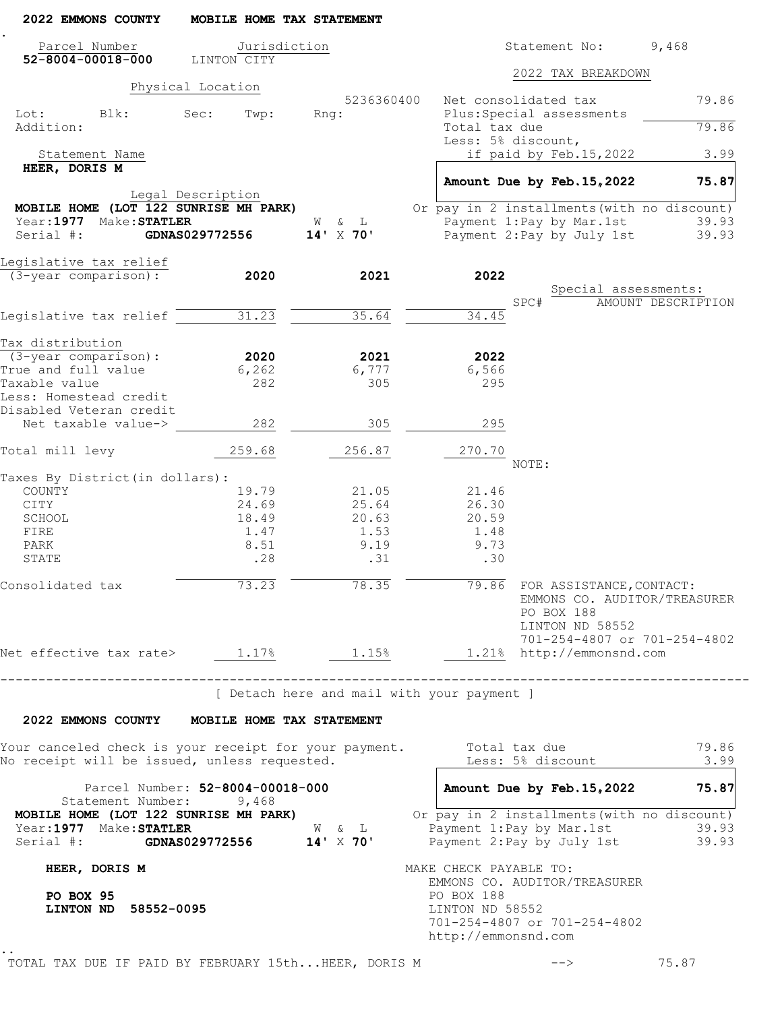| 2022 EMMONS COUNTY                                                                                    | MOBILE HOME TAX STATEMENT                  |                                            |                                                      |                                                                                                                                 |                    |
|-------------------------------------------------------------------------------------------------------|--------------------------------------------|--------------------------------------------|------------------------------------------------------|---------------------------------------------------------------------------------------------------------------------------------|--------------------|
| Parcel Number<br>$52 - 8004 - 00018 - 000$                                                            | Jurisdiction<br>LINTON CITY                |                                            |                                                      | Statement No:                                                                                                                   | 9,468              |
|                                                                                                       |                                            |                                            |                                                      | 2022 TAX BREAKDOWN                                                                                                              |                    |
|                                                                                                       | Physical Location                          |                                            |                                                      |                                                                                                                                 |                    |
| Lot: Blk:<br>Addition:                                                                                | Sec:<br>Twp:                               | 5236360400<br>Rng:                         | Total tax due                                        | Net consolidated tax<br>Plus: Special assessments                                                                               | 79.86<br>79.86     |
| Statement Name                                                                                        |                                            |                                            |                                                      | Less: 5% discount,<br>if paid by Feb.15,2022                                                                                    | 3.99               |
| HEER, DORIS M                                                                                         |                                            |                                            |                                                      | Amount Due by Feb. 15, 2022                                                                                                     | 75.87              |
| MOBILE HOME (LOT 122 SUNRISE MH PARK)<br>Year: 1977 Make: STATLER<br>Serial #:                        | Legal Description<br><b>GDNAS029772556</b> | W & L<br>$14'$ X 70'                       |                                                      | Or pay in 2 installments (with no discount)<br>Payment 1:Pay by Mar.1st<br>Payment 2: Pay by July 1st                           | 39.93<br>39.93     |
| Legislative tax relief                                                                                |                                            |                                            |                                                      |                                                                                                                                 |                    |
| (3-year comparison):                                                                                  | 2020                                       | 2021                                       | 2022                                                 |                                                                                                                                 |                    |
|                                                                                                       |                                            |                                            |                                                      | Special assessments:                                                                                                            |                    |
|                                                                                                       |                                            |                                            |                                                      | SPC#                                                                                                                            | AMOUNT DESCRIPTION |
| Legislative tax relief                                                                                | 31.23                                      | 35.64                                      | 34.45                                                |                                                                                                                                 |                    |
| Tax distribution                                                                                      |                                            |                                            |                                                      |                                                                                                                                 |                    |
| (3-year comparison):                                                                                  | 2020                                       | 2021                                       | 2022                                                 |                                                                                                                                 |                    |
| True and full value                                                                                   | 6,262                                      | 6,777                                      | 6,566                                                |                                                                                                                                 |                    |
| Taxable value                                                                                         | 282                                        | 305                                        | 295                                                  |                                                                                                                                 |                    |
| Less: Homestead credit                                                                                |                                            |                                            |                                                      |                                                                                                                                 |                    |
| Disabled Veteran credit                                                                               |                                            |                                            |                                                      |                                                                                                                                 |                    |
| Net taxable value->                                                                                   | 282                                        | 305                                        | 295                                                  |                                                                                                                                 |                    |
| Total mill levy                                                                                       | 259.68                                     | 256.87                                     | 270.70                                               | NOTE:                                                                                                                           |                    |
| Taxes By District (in dollars) :                                                                      |                                            |                                            |                                                      |                                                                                                                                 |                    |
| COUNTY                                                                                                | 19.79                                      | 21.05                                      | 21.46                                                |                                                                                                                                 |                    |
| CITY                                                                                                  | 24.69                                      | 25.64                                      | 26.30                                                |                                                                                                                                 |                    |
| SCHOOL                                                                                                | 18.49                                      | 20.63                                      | 20.59                                                |                                                                                                                                 |                    |
| FIRE                                                                                                  | 1.47                                       | 1.53                                       | 1.48                                                 |                                                                                                                                 |                    |
| PARK                                                                                                  | 8.51                                       | 9.19                                       | 9.73                                                 |                                                                                                                                 |                    |
| STATE                                                                                                 | .28                                        | .31                                        | .30                                                  |                                                                                                                                 |                    |
| Consolidated tax                                                                                      | 73.23                                      | $\overline{78.35}$                         |                                                      | 79.86 FOR ASSISTANCE, CONTACT:<br>EMMONS CO. AUDITOR/TREASURER<br>PO BOX 188<br>LINTON ND 58552<br>701-254-4807 or 701-254-4802 |                    |
| Net effective tax rate> 1.17% 1.15% 1.21% http://emmonsnd.com                                         |                                            |                                            |                                                      |                                                                                                                                 |                    |
|                                                                                                       | -------------------------------------      | [ Detach here and mail with your payment ] |                                                      |                                                                                                                                 |                    |
| 2022 EMMONS COUNTY MOBILE HOME TAX STATEMENT                                                          |                                            |                                            |                                                      |                                                                                                                                 |                    |
| Your canceled check is your receipt for your payment.                                                 |                                            |                                            |                                                      | Total tax due                                                                                                                   | 79.86              |
| No receipt will be issued, unless requested.                                                          |                                            |                                            |                                                      | Less: 5% discount                                                                                                               | 3.99               |
| Statement Number: 9,468                                                                               | Parcel Number: 52-8004-00018-000           |                                            |                                                      | Amount Due by Feb. 15, 2022                                                                                                     | 75.87              |
| MOBILE HOME (LOT 122 SUNRISE MH PARK)<br>Year:1977 Make:STATLER<br>Serial #: GDNAS029772556 14' X 70' |                                            | $W$ & $L$                                  |                                                      | Or pay in 2 installments (with no discount)<br>Payment 1: Pay by Mar. 1st<br>Payment 2: Pay by July 1st                         | 39.93<br>39.93     |
| HEER, DORIS M                                                                                         |                                            |                                            | MAKE CHECK PAYABLE TO:                               | EMMONS CO. AUDITOR/TREASURER                                                                                                    |                    |
| PO BOX 95<br>LINTON ND 58552-0095                                                                     |                                            |                                            | PO BOX 188<br>LINTON ND 58552<br>http://emmonsnd.com | 701-254-4807 or 701-254-4802                                                                                                    |                    |
| TOTAL TAX DUE IF PAID BY FEBRUARY 15thHEER, DORIS M                                                   |                                            |                                            |                                                      |                                                                                                                                 | 75.87              |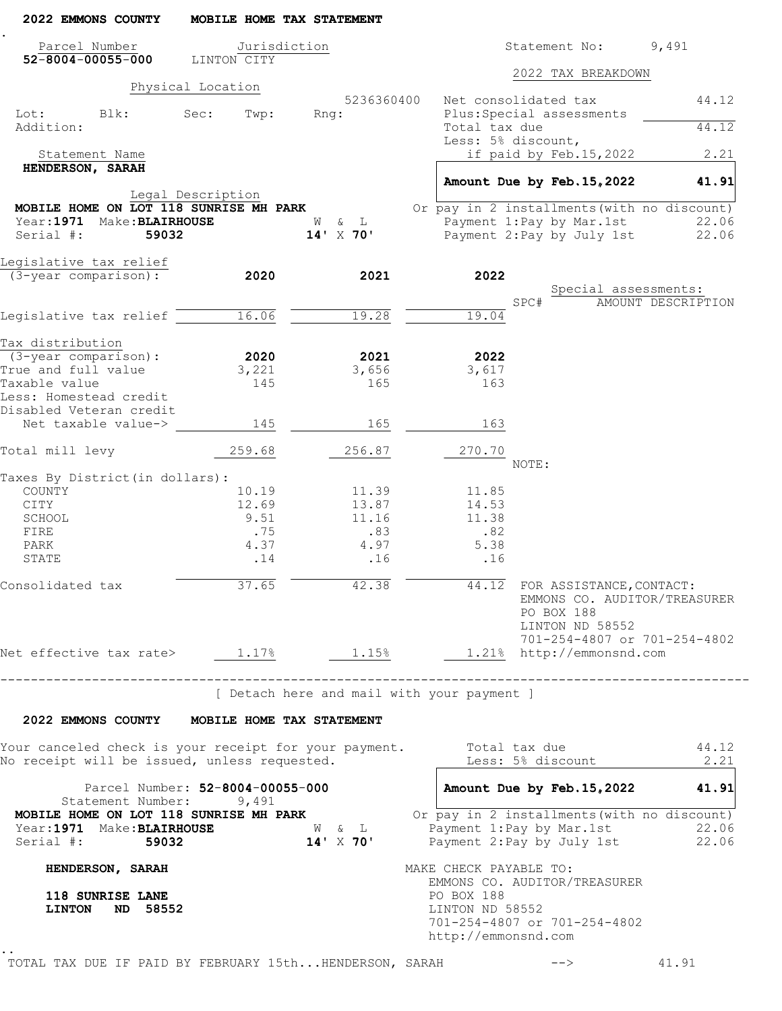| 2022 EMMONS COUNTY                                                                     | MOBILE HOME TAX STATEMENT                 |                                            |                                                                                |                                                                                                                                 |                           |
|----------------------------------------------------------------------------------------|-------------------------------------------|--------------------------------------------|--------------------------------------------------------------------------------|---------------------------------------------------------------------------------------------------------------------------------|---------------------------|
| Parcel Number                                                                          | Jurisdiction                              |                                            |                                                                                | Statement No:                                                                                                                   | 9,491                     |
| 52-8004-00055-000                                                                      | LINTON CITY                               |                                            |                                                                                | 2022 TAX BREAKDOWN                                                                                                              |                           |
|                                                                                        | Physical Location                         |                                            |                                                                                |                                                                                                                                 |                           |
|                                                                                        |                                           | 5236360400                                 |                                                                                | Net consolidated tax                                                                                                            | 44.12                     |
| Lot: Blk:<br>Addition:                                                                 | Sec:<br>Twp:                              | Rnq:                                       | Total tax due                                                                  | Plus: Special assessments                                                                                                       | 44.12                     |
|                                                                                        |                                           |                                            |                                                                                | Less: 5% discount,                                                                                                              |                           |
| Statement Name                                                                         |                                           |                                            |                                                                                | if paid by Feb.15,2022                                                                                                          | 2.21                      |
| HENDERSON, SARAH                                                                       |                                           |                                            |                                                                                |                                                                                                                                 |                           |
|                                                                                        |                                           |                                            |                                                                                | Amount Due by Feb. 15, 2022                                                                                                     | 41.91                     |
|                                                                                        | Legal Description                         |                                            |                                                                                |                                                                                                                                 |                           |
| MOBILE HOME ON LOT 118 SUNRISE MH PARK                                                 |                                           |                                            |                                                                                | Or pay in 2 installments (with no discount)                                                                                     |                           |
| Year: 1971 Make: BLAIRHOUSE                                                            |                                           | W & L                                      |                                                                                | Payment 1:Pay by Mar.1st                                                                                                        | 22.06                     |
| Serial #:<br>59032                                                                     |                                           | 14' X 70'                                  |                                                                                | Payment 2: Pay by July 1st                                                                                                      | 22.06                     |
|                                                                                        |                                           |                                            |                                                                                |                                                                                                                                 |                           |
| Legislative tax relief                                                                 |                                           |                                            |                                                                                |                                                                                                                                 |                           |
| (3-year comparison):                                                                   | 2020                                      | 2021                                       | 2022                                                                           |                                                                                                                                 |                           |
|                                                                                        |                                           |                                            |                                                                                | Special assessments:<br>SPC#                                                                                                    | <b>AMOUNT DESCRIPTION</b> |
| Legislative tax relief 16.06                                                           |                                           | 19.28                                      | 19.04                                                                          |                                                                                                                                 |                           |
|                                                                                        |                                           |                                            |                                                                                |                                                                                                                                 |                           |
| Tax distribution                                                                       |                                           |                                            |                                                                                |                                                                                                                                 |                           |
| $(3 - year \text{ comparison})$ :                                                      | 2020                                      | 2021                                       | 2022                                                                           |                                                                                                                                 |                           |
| True and full value                                                                    | 3,221                                     | 3,656                                      | 3,617                                                                          |                                                                                                                                 |                           |
| Taxable value                                                                          | 145                                       | 165                                        | 163                                                                            |                                                                                                                                 |                           |
| Less: Homestead credit                                                                 |                                           |                                            |                                                                                |                                                                                                                                 |                           |
| Disabled Veteran credit                                                                |                                           |                                            |                                                                                |                                                                                                                                 |                           |
| Net taxable value->                                                                    | 145                                       | 165                                        | 163                                                                            |                                                                                                                                 |                           |
|                                                                                        |                                           |                                            |                                                                                |                                                                                                                                 |                           |
| Total mill levy                                                                        | 259.68                                    | 256.87                                     | 270.70                                                                         | NOTE:                                                                                                                           |                           |
| Taxes By District (in dollars):                                                        |                                           |                                            |                                                                                |                                                                                                                                 |                           |
| COUNTY                                                                                 | 10.19                                     | 11.39                                      | 11.85                                                                          |                                                                                                                                 |                           |
| CITY                                                                                   | 12.69                                     | 13.87                                      | 14.53                                                                          |                                                                                                                                 |                           |
| SCHOOL                                                                                 | 9.51                                      | 11.16                                      | 11.38                                                                          |                                                                                                                                 |                           |
| FIRE                                                                                   | .75                                       | .83                                        | .82                                                                            |                                                                                                                                 |                           |
| PARK                                                                                   | 4.37                                      | 4.97                                       | 5.38                                                                           |                                                                                                                                 |                           |
| STATE                                                                                  | .14                                       | .16                                        | .16                                                                            |                                                                                                                                 |                           |
|                                                                                        |                                           |                                            |                                                                                |                                                                                                                                 |                           |
| Consolidated tax                                                                       | 37.65                                     | 42.38                                      |                                                                                | 44.12 FOR ASSISTANCE, CONTACT:<br>EMMONS CO. AUDITOR/TREASURER<br>PO BOX 188<br>LINTON ND 58552<br>701-254-4807 or 701-254-4802 |                           |
| Net effective tax rate> 1.17% 1.15% 1.21% http://emmonsnd.com                          |                                           |                                            |                                                                                |                                                                                                                                 |                           |
|                                                                                        |                                           |                                            |                                                                                |                                                                                                                                 |                           |
|                                                                                        | ______________________________________    | [ Detach here and mail with your payment ] |                                                                                |                                                                                                                                 |                           |
| 2022 EMMONS COUNTY MOBILE HOME TAX STATEMENT                                           |                                           |                                            |                                                                                |                                                                                                                                 |                           |
| Your canceled check is your receipt for your payment.                                  |                                           |                                            |                                                                                | Total tax due                                                                                                                   | 44.12                     |
| No receipt will be issued, unless requested.                                           |                                           |                                            |                                                                                | Less: 5% discount                                                                                                               | 2.21                      |
| Statement Number:                                                                      | Parcel Number: 52-8004-00055-000<br>9,491 |                                            |                                                                                | Amount Due by Feb. 15, 2022                                                                                                     | 41.91                     |
| MOBILE HOME ON LOT 118 SUNRISE MH PARK<br>Year:1971 Make:BLAIRHOUSE<br>Serial #: 59032 |                                           | W & L<br>$14' \times 70'$                  |                                                                                | Or pay in 2 installments (with no discount)<br>Payment 1: Pay by Mar. 1st<br>Payment 2: Pay by July 1st                         | 22.06<br>22.06            |
|                                                                                        |                                           |                                            |                                                                                |                                                                                                                                 |                           |
| HENDERSON, SARAH<br>118 SUNRISE LANE<br><b>LINTON</b><br>ND 58552                      |                                           |                                            | MAKE CHECK PAYABLE TO:<br>PO BOX 188<br>LINTON ND 58552<br>http://emmonsnd.com | EMMONS CO. AUDITOR/TREASURER<br>701-254-4807 or 701-254-4802                                                                    |                           |
|                                                                                        |                                           |                                            |                                                                                |                                                                                                                                 |                           |
| TOTAL TAX DUE IF PAID BY FEBRUARY 15thHENDERSON, SARAH                                 |                                           |                                            |                                                                                |                                                                                                                                 | 41.91                     |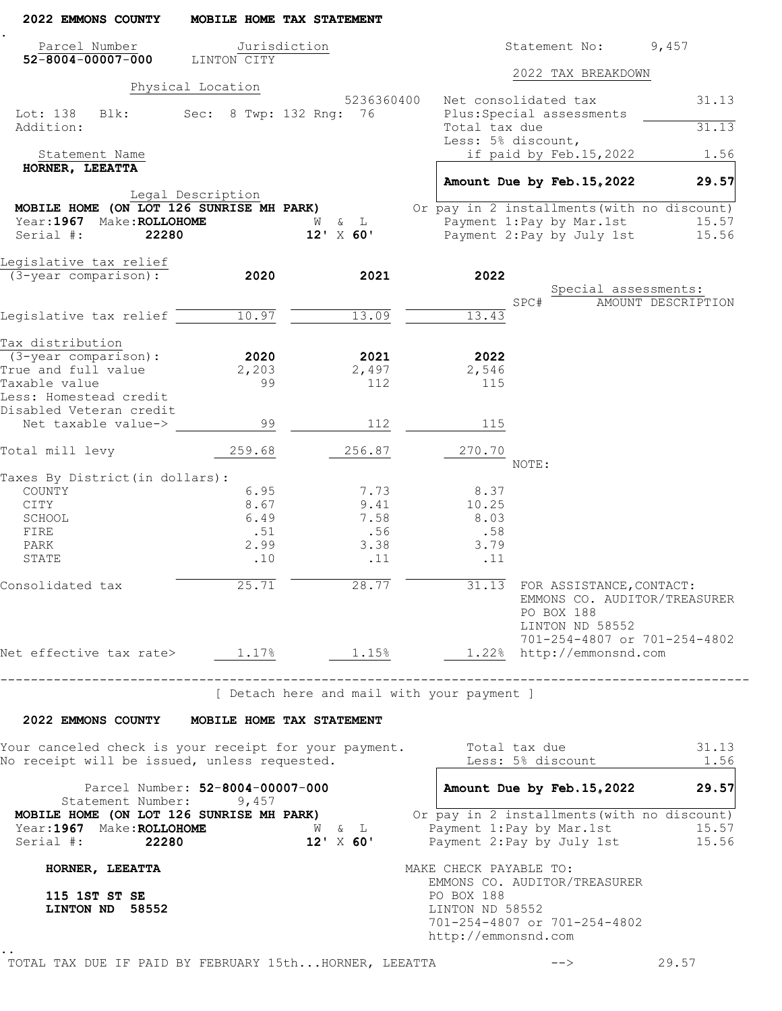| 2022 EMMONS COUNTY                                                                                    |                   | MOBILE HOME TAX STATEMENT                  |            |                                                      |                                                                                                         |                                            |                |
|-------------------------------------------------------------------------------------------------------|-------------------|--------------------------------------------|------------|------------------------------------------------------|---------------------------------------------------------------------------------------------------------|--------------------------------------------|----------------|
| Parcel Number                                                                                         |                   | Jurisdiction                               |            |                                                      | Statement No:                                                                                           | 9,457                                      |                |
| $52 - 8004 - 00007 - 000$                                                                             | LINTON CITY       |                                            |            |                                                      | 2022 TAX BREAKDOWN                                                                                      |                                            |                |
|                                                                                                       | Physical Location |                                            | 5236360400 |                                                      | Net consolidated tax                                                                                    |                                            | 31.13          |
| Lot: 138<br>Blk:<br>Addition:                                                                         |                   | Sec: 8 Twp: 132 Rng: 76                    |            | Total tax due                                        | Plus: Special assessments                                                                               |                                            | 31.13          |
|                                                                                                       |                   |                                            |            |                                                      | Less: 5% discount,                                                                                      |                                            |                |
| Statement Name                                                                                        |                   |                                            |            |                                                      | if paid by Feb.15,2022                                                                                  |                                            | 1.56           |
| HORNER, LEEATTA                                                                                       |                   |                                            |            |                                                      | Amount Due by Feb. 15, 2022                                                                             |                                            | 29.57          |
|                                                                                                       | Legal Description |                                            |            |                                                      |                                                                                                         |                                            |                |
| MOBILE HOME (ON LOT 126 SUNRISE MH PARK)<br>Year: 1967 Make: ROLLOHOME                                |                   | W & L                                      |            |                                                      | Or pay in 2 installments (with no discount)<br>Payment 1:Pay by Mar.1st                                 |                                            | 15.57          |
| Serial #:<br>22280                                                                                    |                   | $12'$ X 60'                                |            |                                                      | Payment 2: Pay by July 1st                                                                              |                                            | 15.56          |
| Legislative tax relief                                                                                |                   |                                            |            |                                                      |                                                                                                         |                                            |                |
| (3-year comparison):                                                                                  | 2020              | 2021                                       |            | 2022                                                 |                                                                                                         |                                            |                |
|                                                                                                       |                   |                                            |            |                                                      | SPC#                                                                                                    | Special assessments:<br>AMOUNT DESCRIPTION |                |
| Legislative tax relief                                                                                | 10.97             | 13.09                                      |            | 13.43                                                |                                                                                                         |                                            |                |
|                                                                                                       |                   |                                            |            |                                                      |                                                                                                         |                                            |                |
| Tax distribution                                                                                      |                   |                                            |            |                                                      |                                                                                                         |                                            |                |
| $(3 - year \text{ comparison})$ :                                                                     | 2020              | 2021                                       |            | 2022                                                 |                                                                                                         |                                            |                |
| True and full value                                                                                   | 2,203             | 2,497                                      |            | 2,546                                                |                                                                                                         |                                            |                |
| Taxable value<br>Less: Homestead credit<br>Disabled Veteran credit                                    | 99                | 112                                        |            | 115                                                  |                                                                                                         |                                            |                |
| Net taxable value->                                                                                   | 99                | 112                                        |            | 115                                                  |                                                                                                         |                                            |                |
| Total mill levy                                                                                       | 259.68            | 256.87                                     |            | 270.70                                               | NOTE:                                                                                                   |                                            |                |
| Taxes By District (in dollars):                                                                       |                   |                                            |            |                                                      |                                                                                                         |                                            |                |
| COUNTY                                                                                                | 6.95              | 7.73                                       |            | 8.37                                                 |                                                                                                         |                                            |                |
| CITY                                                                                                  | 8.67              | 9.41                                       |            | 10.25                                                |                                                                                                         |                                            |                |
| SCHOOL                                                                                                | 6.49              | 7.58                                       |            | 8.03                                                 |                                                                                                         |                                            |                |
| FIRE<br>PARK                                                                                          | .51<br>2.99       | .56<br>3.38                                |            | .58<br>3.79                                          |                                                                                                         |                                            |                |
| STATE                                                                                                 | .10               | .11                                        |            | .11                                                  |                                                                                                         |                                            |                |
| Consolidated tax                                                                                      | 25.71             | 28.77                                      |            |                                                      | 31.13 FOR ASSISTANCE, CONTACT:<br>EMMONS CO. AUDITOR/TREASURER<br>PO BOX 188<br>LINTON ND 58552         |                                            |                |
| Net effective tax rate> 1.17% 1.15% 1.22% http://emmonsnd.com                                         |                   |                                            |            |                                                      | 701-254-4807 or 701-254-4802                                                                            |                                            |                |
| ------------------------------------                                                                  |                   | [ Detach here and mail with your payment ] |            |                                                      |                                                                                                         |                                            |                |
| 2022 EMMONS COUNTY MOBILE HOME TAX STATEMENT                                                          |                   |                                            |            |                                                      |                                                                                                         |                                            |                |
| Your canceled check is your receipt for your payment.<br>No receipt will be issued, unless requested. |                   |                                            |            |                                                      | Total tax due<br>Less: 5% discount                                                                      |                                            | 31.13<br>1.56  |
| Parcel Number: 52-8004-00007-000<br>Statement Number: 9,457                                           |                   |                                            |            |                                                      | Amount Due by Feb. 15, 2022                                                                             |                                            | 29.57          |
| MOBILE HOME (ON LOT 126 SUNRISE MH PARK)<br>Year:1967 Make:ROLLOHOME<br>Serial #: 22280               |                   | W & L<br>$12' \times 60'$                  |            |                                                      | Or pay in 2 installments (with no discount)<br>Payment 1: Pay by Mar. 1st<br>Payment 2: Pay by July 1st |                                            | 15.57<br>15.56 |
| HORNER, LEEATTA                                                                                       |                   |                                            |            | MAKE CHECK PAYABLE TO:                               |                                                                                                         |                                            |                |
| 115 1ST ST SE<br>LINTON ND 58552                                                                      |                   |                                            |            | PO BOX 188<br>LINTON ND 58552<br>http://emmonsnd.com | EMMONS CO. AUDITOR/TREASURER<br>701-254-4807 or 701-254-4802                                            |                                            |                |
| TOTAL TAX DUE IF PAID BY FEBRUARY 15thHORNER, LEEATTA                                                 |                   |                                            |            |                                                      | $-->$                                                                                                   | 29.57                                      |                |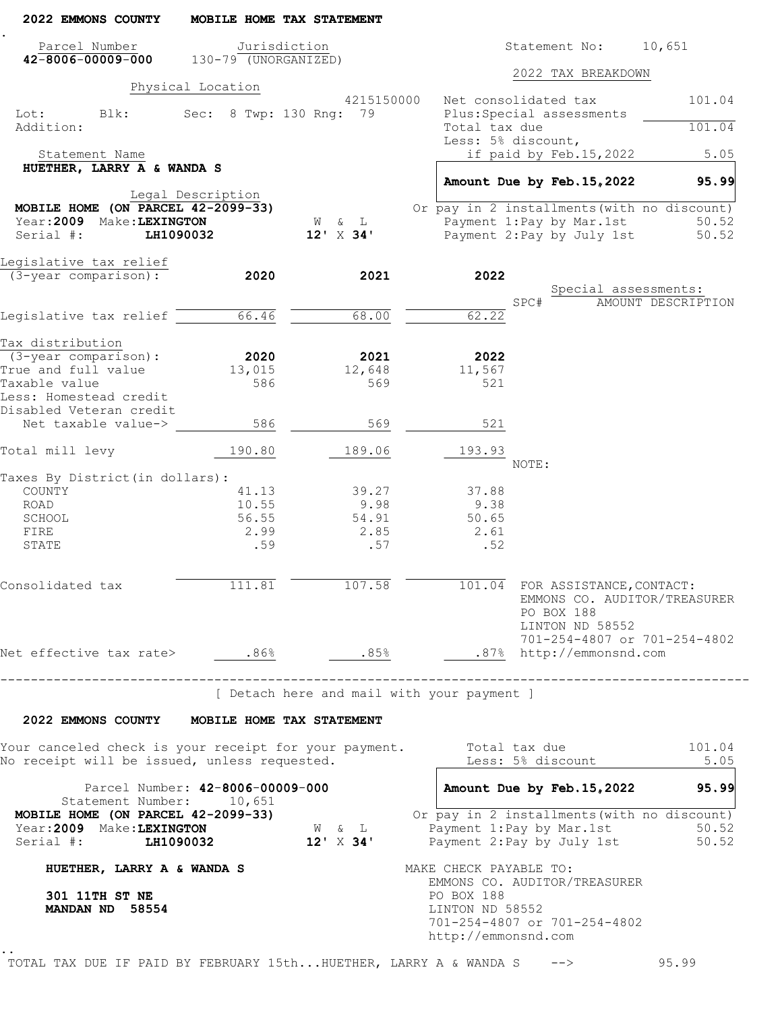| 2022 EMMONS COUNTY                                                                                    |                          | MOBILE HOME TAX STATEMENT              |                                                                                                                        |
|-------------------------------------------------------------------------------------------------------|--------------------------|----------------------------------------|------------------------------------------------------------------------------------------------------------------------|
| Parcel Number<br>$42 - 8006 - 00009 - 000$                                                            | $130 - 79$ (UNORGANIZED) | Jurisdiction                           | Statement No:<br>10,651                                                                                                |
|                                                                                                       |                          |                                        | 2022 TAX BREAKDOWN                                                                                                     |
|                                                                                                       | Physical Location        |                                        |                                                                                                                        |
| Lot:<br>Blk:<br>Addition:                                                                             |                          | 4215150000<br>Sec: 8 Twp: 130 Rng: 79  | Net consolidated tax<br>101.04<br>Plus: Special assessments<br>Total tax due<br>101.04                                 |
|                                                                                                       |                          |                                        | Less: 5% discount,                                                                                                     |
| Statement Name<br>HUETHER, LARRY A & WANDA S                                                          |                          |                                        | if paid by Feb.15,2022<br>5.05                                                                                         |
|                                                                                                       |                          |                                        | Amount Due by Feb. 15, 2022<br>95.99                                                                                   |
|                                                                                                       | Legal Description        |                                        |                                                                                                                        |
| MOBILE HOME (ON PARCEL 42-2099-33)<br>Year: 2009 Make: LEXINGTON                                      |                          |                                        | Or pay in 2 installments (with no discount)                                                                            |
| Serial #:<br>LH1090032                                                                                |                          | W & L<br>$12' \times 34'$              | Payment 1:Pay by Mar.1st<br>50.52<br>Payment 2: Pay by July 1st<br>50.52                                               |
|                                                                                                       |                          |                                        |                                                                                                                        |
| Legislative tax relief                                                                                |                          |                                        |                                                                                                                        |
| $(3 - year$ comparison):                                                                              | 2020                     | 2021                                   | 2022<br>Special assessments:                                                                                           |
|                                                                                                       |                          |                                        | SPC#<br>AMOUNT DESCRIPTION                                                                                             |
| Legislative tax relief $^-$                                                                           | 66.46                    | 68.00                                  | 62.22                                                                                                                  |
| Tax distribution                                                                                      |                          |                                        |                                                                                                                        |
| $(3 - year \text{ comparison})$ :                                                                     | 2020                     | 2021                                   | 2022                                                                                                                   |
| True and full value                                                                                   | 13,015                   | 12,648                                 | 11,567                                                                                                                 |
| Taxable value                                                                                         | 586                      | 569                                    | 521                                                                                                                    |
| Less: Homestead credit                                                                                |                          |                                        |                                                                                                                        |
| Disabled Veteran credit<br>Net taxable value->                                                        | 586                      | 569                                    | 521                                                                                                                    |
| Total mill levy                                                                                       | 190.80                   | 189.06                                 | 193.93                                                                                                                 |
|                                                                                                       |                          |                                        | NOTE:                                                                                                                  |
| Taxes By District (in dollars) :                                                                      |                          |                                        |                                                                                                                        |
| COUNTY<br>ROAD                                                                                        | 41.13<br>10.55           | 39.27<br>9.98                          | 37.88<br>9.38                                                                                                          |
| SCHOOL                                                                                                | 56.55                    | 54.91                                  | 50.65                                                                                                                  |
| FIRE                                                                                                  | 2.99                     | 2.85                                   | 2.61                                                                                                                   |
| STATE                                                                                                 | .59                      | .57                                    | .52                                                                                                                    |
| Consolidated tax                                                                                      | 111.81                   | 107.58                                 | 101.04 FOR ASSISTANCE, CONTACT:<br>EMMONS CO. AUDITOR/TREASURER<br>PO BOX 188<br>LINTON ND 58552                       |
| Net effective tax rate> .86%                                                                          |                          | .85%                                   | 701-254-4807 or 701-254-4802<br>.87% http://emmonsnd.com                                                               |
| --------------------------------                                                                      |                          |                                        |                                                                                                                        |
|                                                                                                       |                          |                                        | [ Detach here and mail with your payment ]                                                                             |
| 2022 EMMONS COUNTY MOBILE HOME TAX STATEMENT                                                          |                          |                                        |                                                                                                                        |
| Your canceled check is your receipt for your payment.<br>No receipt will be issued, unless requested. |                          |                                        | Total tax due<br>101.04<br>Less: 5% discount<br>5.05                                                                   |
| Parcel Number: 42-8006-00009-000<br>Statement Number: 10,651                                          |                          |                                        | Amount Due by Feb. 15, 2022<br>95.99                                                                                   |
| MOBILE HOME (ON PARCEL 42-2099-33)<br>Year: 2009 Make: LEXINGTON<br>Serial #: LH1090032 12' X 34'     |                          | $\mathbb{W}\qquad \&\qquad \mathbb{L}$ | Or pay in 2 installments (with no discount)<br>Payment 1: Pay by Mar. 1st<br>50.52<br>Payment 2: Pay by July 1st 50.52 |
| HUETHER, LARRY A & WANDA S                                                                            |                          |                                        | MAKE CHECK PAYABLE TO:                                                                                                 |
| 301 11TH ST NE<br>MANDAN ND 58554                                                                     |                          |                                        | EMMONS CO. AUDITOR/TREASURER<br>PO BOX 188<br>LINTON ND 58552<br>701-254-4807 or 701-254-4802<br>http://emmonsnd.com   |

TOTAL TAX DUE IF PAID BY FEBRUARY 15th...HUETHER, LARRY A & WANDA S --> 95.99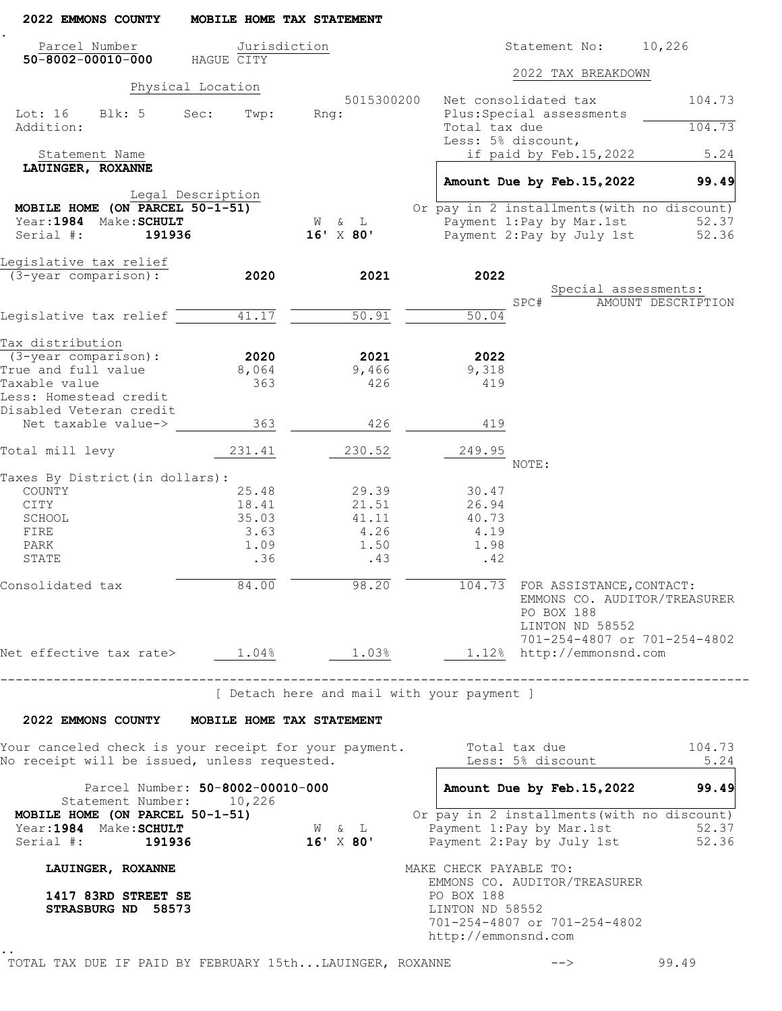| 2022 EMMONS COUNTY                                              | MOBILE HOME TAX STATEMENT        |                                                       |                                                                                                                                        |
|-----------------------------------------------------------------|----------------------------------|-------------------------------------------------------|----------------------------------------------------------------------------------------------------------------------------------------|
| Parcel Number<br>$50 - 8002 - 00010 - 000$                      | Jurisdiction<br>HAGUE CITY       |                                                       | 10,226<br>Statement No:                                                                                                                |
|                                                                 |                                  |                                                       | 2022 TAX BREAKDOWN                                                                                                                     |
|                                                                 | Physical Location                | 5015300200                                            | Net consolidated tax<br>104.73                                                                                                         |
| Lot: 16 Blk: 5<br>Addition:                                     | Sec:<br>Twp:                     | Rnq:                                                  | Plus: Special assessments<br>104.73<br>Total tax due<br>Less: 5% discount,                                                             |
| Statement Name                                                  |                                  |                                                       | if paid by Feb.15,2022<br>5.24                                                                                                         |
| LAUINGER, ROXANNE                                               |                                  |                                                       | Amount Due by Feb. 15, 2022<br>99.49                                                                                                   |
|                                                                 | Legal Description                |                                                       |                                                                                                                                        |
| MOBILE HOME (ON PARCEL 50-1-51)                                 |                                  |                                                       | Or pay in 2 installments (with no discount)                                                                                            |
| Year: 1984 Make: SCHULT<br>Serial #:<br>191936                  |                                  | W & L<br>$16'$ X 80'                                  | Payment 1: Pay by Mar. 1st<br>52.37<br>Payment 2: Pay by July 1st<br>52.36                                                             |
|                                                                 |                                  |                                                       |                                                                                                                                        |
| Legislative tax relief                                          |                                  |                                                       |                                                                                                                                        |
| (3-year comparison):                                            | 2020                             | 2021                                                  | 2022                                                                                                                                   |
|                                                                 |                                  |                                                       | Special assessments:<br>SPC#<br>AMOUNT DESCRIPTION                                                                                     |
| Legislative tax relief                                          | 41.17                            | 50.91                                                 | $\overline{50.04}$                                                                                                                     |
|                                                                 |                                  |                                                       |                                                                                                                                        |
| Tax distribution<br>$(3 - year \text{ comparison})$ :           | 2020                             | 2021                                                  | 2022                                                                                                                                   |
| True and full value                                             | 8,064                            | 9,466                                                 | 9,318                                                                                                                                  |
| Taxable value                                                   | 363                              | 426                                                   | 419                                                                                                                                    |
| Less: Homestead credit<br>Disabled Veteran credit               |                                  |                                                       |                                                                                                                                        |
| Net taxable value->                                             | 363                              | 426                                                   | 419                                                                                                                                    |
| Total mill levy                                                 | 231.41                           | 230.52                                                | 249.95                                                                                                                                 |
|                                                                 |                                  |                                                       | NOTE:                                                                                                                                  |
| Taxes By District (in dollars):<br>COUNTY                       | 25.48                            | 29.39                                                 | 30.47                                                                                                                                  |
| CITY                                                            | 18.41                            | 21.51                                                 | 26.94                                                                                                                                  |
| SCHOOL                                                          | 35.03                            | 41.11                                                 | 40.73                                                                                                                                  |
| FIRE                                                            | 3.63                             | 4.26                                                  | 4.19                                                                                                                                   |
| PARK                                                            | 1.09                             | 1.50                                                  | 1.98                                                                                                                                   |
| STATE                                                           | .36                              | .43                                                   | .42                                                                                                                                    |
| Consolidated tax                                                | 84.00                            |                                                       | 98.20 104.73 FOR ASSISTANCE, CONTACT:<br>EMMONS CO. AUDITOR/TREASURER<br>PO BOX 188<br>LINTON ND 58552<br>701-254-4807 or 701-254-4802 |
|                                                                 |                                  |                                                       | Net effective tax rate> $1.04\frac{8}{5}$ $1.03\frac{8}{5}$ $1.12\frac{8}{5}$ http://emmonsnd.com                                      |
|                                                                 |                                  |                                                       | [ Detach here and mail with your payment ]                                                                                             |
|                                                                 |                                  |                                                       |                                                                                                                                        |
| 2022 EMMONS COUNTY MOBILE HOME TAX STATEMENT                    |                                  |                                                       |                                                                                                                                        |
| No receipt will be issued, unless requested.                    |                                  |                                                       | Your canceled check is your receipt for your payment. Total tax due 104.73<br>Less: 5% discount<br>5.24                                |
|                                                                 | Parcel Number: 50-8002-00010-000 |                                                       | Amount Due by Feb. 15, 2022 99.49                                                                                                      |
| Statement Number: 10,226<br>MOBILE HOME (ON PARCEL 50-1-51)     |                                  |                                                       | Or pay in 2 installments (with no discount)                                                                                            |
| MOBILE Normer (--)<br>Year:1984 Make:SCHULT<br>Serial #: 191936 |                                  | $\mathbb{W}\qquad \&\qquad \mathbb{L}$<br>$16'$ X 80' |                                                                                                                                        |
| LAUINGER, ROXANNE                                               |                                  |                                                       | MAKE CHECK PAYABLE TO:                                                                                                                 |
| 1417 83RD STREET SE<br>STRASBURG ND 58573                       |                                  |                                                       | EMMONS CO. AUDITOR/TREASURER<br>PO BOX 188<br>LINTON ND 58552<br>701-254-4807 or 701-254-4802<br>http://emmonsnd.com                   |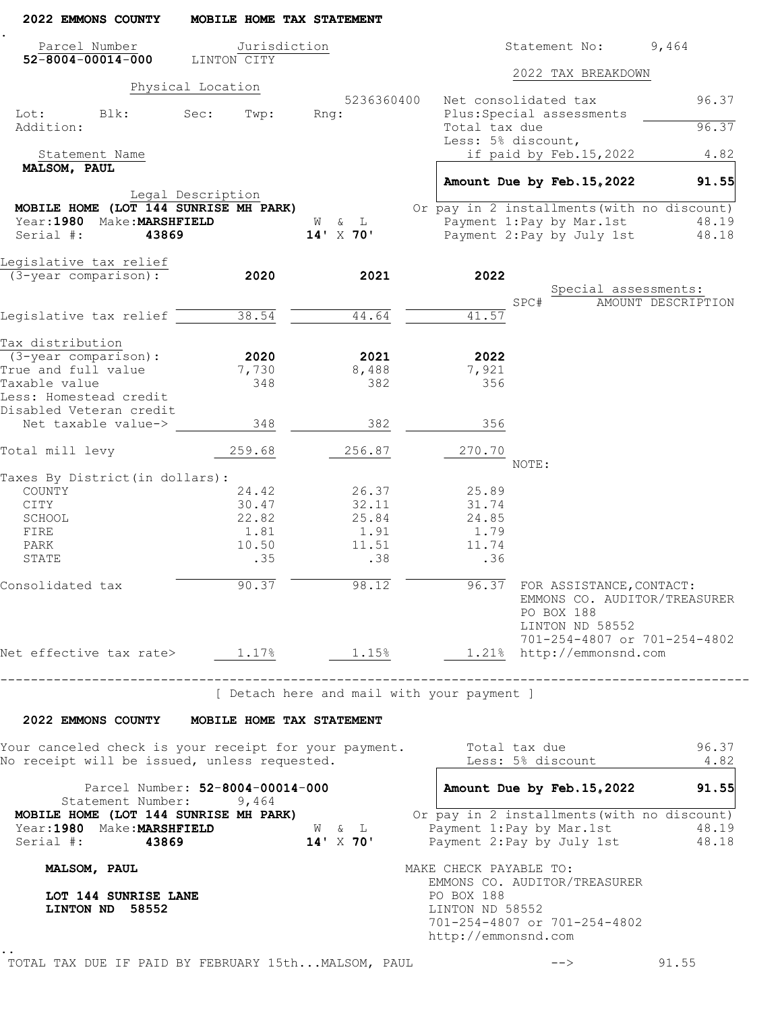| 2022 EMMONS COUNTY                                                                                    | MOBILE HOME TAX STATEMENT            |                                            |                                                               |                    |                                                              |
|-------------------------------------------------------------------------------------------------------|--------------------------------------|--------------------------------------------|---------------------------------------------------------------|--------------------|--------------------------------------------------------------|
| Parcel Number                                                                                         | Jurisdiction                         |                                            | Statement No:                                                 |                    | 9,464                                                        |
| $52 - 8004 - 00014 - 000$                                                                             | LINTON CITY                          |                                            |                                                               | 2022 TAX BREAKDOWN |                                                              |
|                                                                                                       | Physical Location                    |                                            |                                                               |                    |                                                              |
|                                                                                                       |                                      | 5236360400                                 | Net consolidated tax                                          |                    | 96.37                                                        |
| Lot: Blk:<br>Addition:                                                                                | Sec:<br>Twp:                         | Rng:                                       | Plus: Special assessments<br>Total tax due                    |                    | 96.37                                                        |
|                                                                                                       |                                      |                                            | Less: 5% discount,                                            |                    |                                                              |
| Statement Name                                                                                        |                                      |                                            | if paid by Feb.15,2022                                        |                    | 4.82                                                         |
| MALSOM, PAUL                                                                                          |                                      |                                            |                                                               |                    |                                                              |
|                                                                                                       |                                      |                                            | Amount Due by Feb. 15, 2022                                   |                    | 91.55                                                        |
| MOBILE HOME (LOT 144 SUNRISE MH PARK)                                                                 | Legal Description                    |                                            | Or pay in 2 installments (with no discount)                   |                    |                                                              |
| Year: 1980 Make: MARSHFIELD                                                                           |                                      | W & L                                      | Payment 1:Pay by Mar.1st                                      |                    | 48.19                                                        |
| Serial #:<br>43869                                                                                    |                                      | $14'$ X 70'                                | Payment 2: Pay by July 1st                                    |                    | 48.18                                                        |
|                                                                                                       |                                      |                                            |                                                               |                    |                                                              |
| Legislative tax relief                                                                                |                                      |                                            |                                                               |                    |                                                              |
| (3-year comparison):                                                                                  | 2020                                 | 2021                                       | 2022                                                          |                    | Special assessments:                                         |
|                                                                                                       |                                      |                                            | SPC#                                                          |                    | AMOUNT DESCRIPTION                                           |
| Legislative tax relief                                                                                | 38.54                                | 44.64                                      | 41.57                                                         |                    |                                                              |
|                                                                                                       |                                      |                                            |                                                               |                    |                                                              |
| Tax distribution                                                                                      |                                      |                                            |                                                               |                    |                                                              |
| (3-year comparison):                                                                                  | 2020                                 | 2021                                       | 2022                                                          |                    |                                                              |
| True and full value                                                                                   | 7,730                                | 8,488                                      | 7,921                                                         |                    |                                                              |
| Taxable value                                                                                         | 348                                  | 382                                        | 356                                                           |                    |                                                              |
| Less: Homestead credit<br>Disabled Veteran credit                                                     |                                      |                                            |                                                               |                    |                                                              |
| Net taxable value->                                                                                   | 348                                  | 382                                        | 356                                                           |                    |                                                              |
|                                                                                                       |                                      |                                            |                                                               |                    |                                                              |
| Total mill levy                                                                                       | 259.68                               | 256.87                                     | 270.70<br>NOTE:                                               |                    |                                                              |
| Taxes By District (in dollars):                                                                       |                                      |                                            |                                                               |                    |                                                              |
| COUNTY                                                                                                | 24.42                                | 26.37                                      | 25.89                                                         |                    |                                                              |
| CITY                                                                                                  | 30.47                                | 32.11                                      | 31.74                                                         |                    |                                                              |
| SCHOOL                                                                                                | 22.82                                | 25.84                                      | 24.85                                                         |                    |                                                              |
| FIRE                                                                                                  | 1.81                                 | 1.91                                       | 1.79                                                          |                    |                                                              |
| PARK                                                                                                  | 10.50                                | 11.51                                      | 11.74                                                         |                    |                                                              |
| STATE                                                                                                 | .35                                  | .38                                        | .36                                                           |                    |                                                              |
| Consolidated tax                                                                                      | 90.37                                | 98.12                                      | 96.37 FOR ASSISTANCE, CONTACT:<br>PO BOX 188                  | LINTON ND 58552    | EMMONS CO. AUDITOR/TREASURER<br>701-254-4807 or 701-254-4802 |
| Net effective tax rate> $1.17%$ 1.15%                                                                 |                                      |                                            | 1.21% http://emmonsnd.com                                     |                    |                                                              |
|                                                                                                       |                                      |                                            |                                                               |                    |                                                              |
|                                                                                                       | ____________________________________ | [ Detach here and mail with your payment ] |                                                               |                    |                                                              |
| 2022 EMMONS COUNTY MOBILE HOME TAX STATEMENT                                                          |                                      |                                            |                                                               |                    |                                                              |
|                                                                                                       |                                      |                                            |                                                               |                    |                                                              |
| Your canceled check is your receipt for your payment.<br>No receipt will be issued, unless requested. |                                      |                                            | Total tax due<br>Less: 5% discount                            |                    | 96.37<br>4.82                                                |
|                                                                                                       | Parcel Number: 52-8004-00014-000     |                                            | Amount Due by Feb. 15, 2022                                   |                    | 91.55                                                        |
| Statement Number: 9,464<br>MOBILE HOME (LOT 144 SUNRISE MH PARK)                                      |                                      |                                            | Or pay in 2 installments (with no discount)                   |                    |                                                              |
| Year:1980 Make:MARSHFIELD<br>Serial #: 43869                                                          |                                      | W & L<br>$14' \times 70'$                  | Payment 1: Pay by Mar. 1st<br>Payment 2: Pay by July 1st      |                    | 48.19<br>48.18                                               |
|                                                                                                       |                                      |                                            |                                                               |                    |                                                              |
| MALSOM, PAUL                                                                                          |                                      |                                            | MAKE CHECK PAYABLE TO:<br>EMMONS CO. AUDITOR/TREASURER        |                    |                                                              |
| LOT 144 SUNRISE LANE<br>LINTON ND 58552                                                               |                                      |                                            | PO BOX 188<br>LINTON ND 58552<br>701-254-4807 or 701-254-4802 |                    |                                                              |
|                                                                                                       |                                      |                                            | http://emmonsnd.com                                           |                    |                                                              |
|                                                                                                       |                                      |                                            |                                                               |                    |                                                              |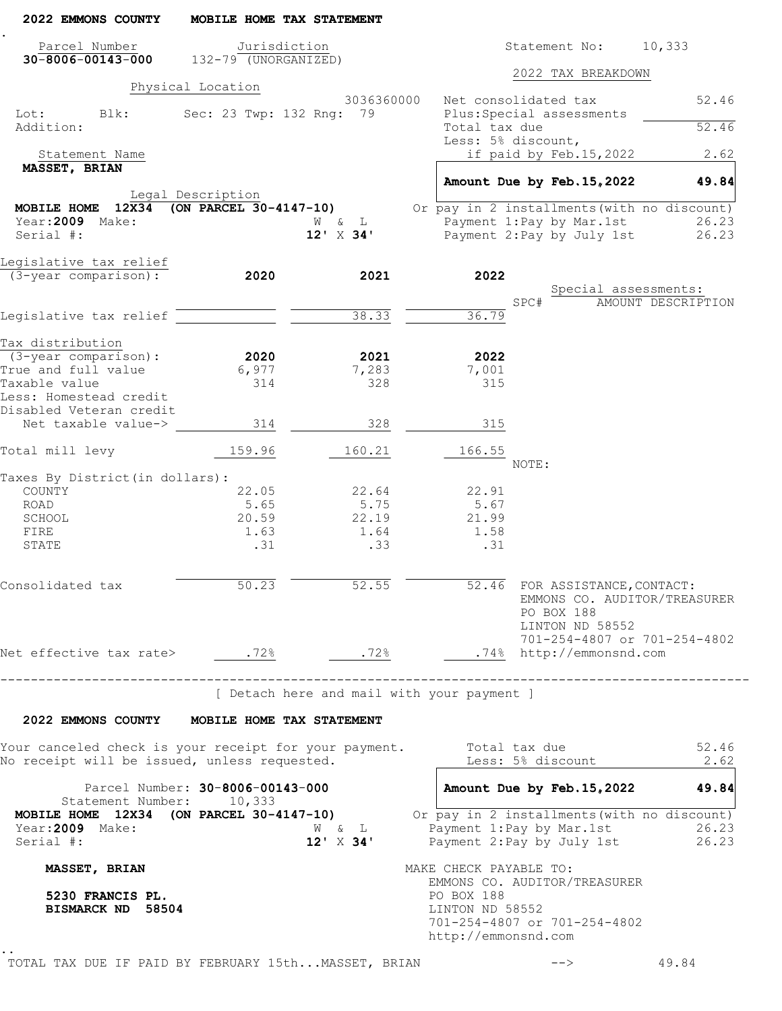| 2022 EMMONS COUNTY                                                                                                        | MOBILE HOME TAX STATEMENT         |                                                            |                                                      |                                                                                                                                 |                    |
|---------------------------------------------------------------------------------------------------------------------------|-----------------------------------|------------------------------------------------------------|------------------------------------------------------|---------------------------------------------------------------------------------------------------------------------------------|--------------------|
| Parcel Number<br>$30 - 8006 - 00143 - 000$ $132 - 79$ (UNORGANIZED)                                                       | Jurisdiction                      |                                                            |                                                      | Statement No: 10,333                                                                                                            |                    |
|                                                                                                                           | Physical Location                 |                                                            |                                                      | 2022 TAX BREAKDOWN                                                                                                              |                    |
|                                                                                                                           |                                   | 3036360000                                                 |                                                      | Net consolidated tax                                                                                                            | 52.46              |
| Lot:<br>Blk:<br>Addition:                                                                                                 | Sec: 23 Twp: 132 Rng: 79          |                                                            | Total tax due                                        | Plus: Special assessments                                                                                                       | 52.46              |
|                                                                                                                           |                                   |                                                            | Less: 5% discount,                                   |                                                                                                                                 |                    |
| Statement Name<br>MASSET, BRIAN                                                                                           |                                   |                                                            |                                                      | if paid by Feb.15,2022                                                                                                          | 2.62               |
|                                                                                                                           | Legal Description                 |                                                            |                                                      | Amount Due by Feb. 15, 2022                                                                                                     | 49.84              |
| MOBILE HOME $12x34$ (ON PARCEL 30-4147-10)                                                                                |                                   |                                                            |                                                      | Or pay in 2 installments (with no discount)                                                                                     |                    |
| Year: 2009 Make:<br>Serial #:                                                                                             |                                   | W & L<br>$12'$ X 34'                                       |                                                      | Payment 1: Pay by Mar. 1st<br>Payment 2: Pay by July 1st                                                                        | 26.23<br>26.23     |
|                                                                                                                           |                                   |                                                            |                                                      |                                                                                                                                 |                    |
| Legislative tax relief<br>(3-year comparison):                                                                            | 2020                              | 2021                                                       | 2022                                                 |                                                                                                                                 |                    |
|                                                                                                                           |                                   |                                                            |                                                      | Special assessments:                                                                                                            |                    |
| Legislative tax relief                                                                                                    |                                   | 38.33                                                      | 36.79                                                | SPC#                                                                                                                            | AMOUNT DESCRIPTION |
|                                                                                                                           |                                   |                                                            |                                                      |                                                                                                                                 |                    |
| Tax distribution<br>$(3 - year \text{ comparison})$ :                                                                     | 2020                              | 2021                                                       | 2022                                                 |                                                                                                                                 |                    |
| True and full value                                                                                                       | 6,977                             | 7,283                                                      | 7,001                                                |                                                                                                                                 |                    |
| Taxable value                                                                                                             | 314                               | 328                                                        | 315                                                  |                                                                                                                                 |                    |
| Less: Homestead credit<br>Disabled Veteran credit                                                                         |                                   |                                                            |                                                      |                                                                                                                                 |                    |
| Net taxable value->                                                                                                       | 314                               | 328                                                        | 315                                                  |                                                                                                                                 |                    |
| Total mill levy                                                                                                           | 159.96                            | 160.21                                                     | 166.55                                               |                                                                                                                                 |                    |
|                                                                                                                           |                                   |                                                            |                                                      | NOTE:                                                                                                                           |                    |
| Taxes By District (in dollars):<br>COUNTY                                                                                 | 22.05                             | 22.64                                                      | 22.91                                                |                                                                                                                                 |                    |
| ROAD                                                                                                                      | 5.65                              | 5.75                                                       | 5.67                                                 |                                                                                                                                 |                    |
| SCHOOL                                                                                                                    | 20.59                             | 22.19                                                      | 21.99                                                |                                                                                                                                 |                    |
| FIRE<br>STATE                                                                                                             | 1.63<br>.31                       | 1.64<br>.33                                                | 1.58<br>.31                                          |                                                                                                                                 |                    |
|                                                                                                                           |                                   |                                                            |                                                      |                                                                                                                                 |                    |
| Consolidated tax                                                                                                          | 50.23                             | 52.55                                                      |                                                      | 52.46 FOR ASSISTANCE, CONTACT:<br>EMMONS CO. AUDITOR/TREASURER<br>PO BOX 188<br>LINTON ND 58552<br>701-254-4807 or 701-254-4802 |                    |
|                                                                                                                           |                                   |                                                            |                                                      |                                                                                                                                 |                    |
|                                                                                                                           | _________________________________ |                                                            |                                                      |                                                                                                                                 |                    |
|                                                                                                                           |                                   | [ Detach here and mail with your payment ]                 |                                                      |                                                                                                                                 |                    |
| 2022 EMMONS COUNTY MOBILE HOME TAX STATEMENT                                                                              |                                   |                                                            |                                                      |                                                                                                                                 |                    |
| Your canceled check is your receipt for your payment. Total tax due 52.46<br>No receipt will be issued, unless requested. |                                   |                                                            |                                                      | Less: 5% discount 2.62                                                                                                          |                    |
|                                                                                                                           | Parcel Number: 30-8006-00143-000  |                                                            |                                                      | Amount Due by Feb. 15, 2022 49.84                                                                                               |                    |
| Statement Number: 10,333<br><b>MOBILE HOME 12X34 (ON PARCEL 30-4147-10)</b> Or pay in 2 installments (with no discount)   |                                   |                                                            |                                                      |                                                                                                                                 |                    |
| Year:2009 Make:<br>Serial $\#$ :                                                                                          |                                   | $\mathbb{W}\qquad \&\qquad \mathbb{L}$<br>$12' \times 34'$ |                                                      | Payment 1:Pay by Mar.1st 26.23<br>Payment 2:Pay by July 1st 26.23                                                               |                    |
| MASSET, BRIAN                                                                                                             |                                   |                                                            | MAKE CHECK PAYABLE TO:                               |                                                                                                                                 |                    |
| 5230 FRANCIS PL.<br>BISMARCK ND 58504                                                                                     |                                   |                                                            | PO BOX 188<br>LINTON ND 58552<br>http://emmonsnd.com | EMMONS CO. AUDITOR/TREASURER<br>701-254-4807 or 701-254-4802                                                                    |                    |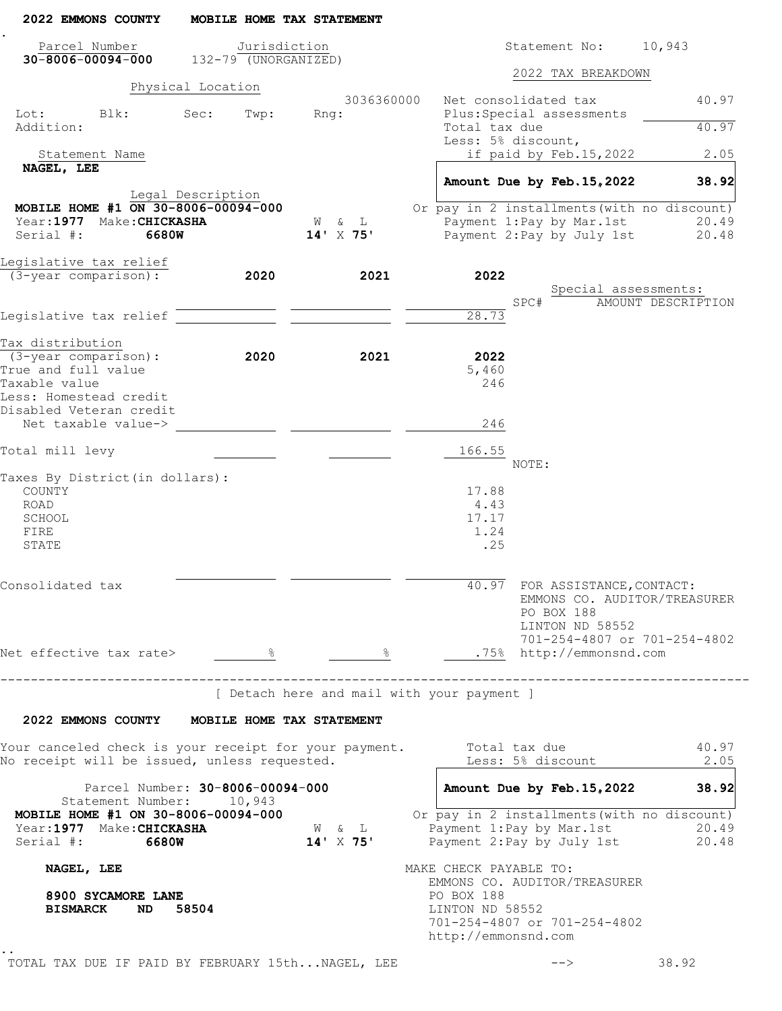| 2022 EMMONS COUNTY                                                                                    | MOBILE HOME TAX STATEMENT                  |                    |                                                                            |                                        |                              |
|-------------------------------------------------------------------------------------------------------|--------------------------------------------|--------------------|----------------------------------------------------------------------------|----------------------------------------|------------------------------|
| Parcel Number<br>$30 - 8006 - 00094 - 000$                                                            | Jurisdiction<br>$132 - 79$ (UNORGANIZED)   |                    |                                                                            | Statement No:                          | 10,943                       |
|                                                                                                       |                                            |                    |                                                                            | 2022 TAX BREAKDOWN                     |                              |
|                                                                                                       | Physical Location                          | 3036360000         | Net consolidated tax                                                       |                                        | 40.97                        |
| Lot:<br>Blk:<br>Addition:                                                                             | Sec:<br>Twp:                               | $Rnq$ :            | Plus: Special assessments<br>Total tax due                                 |                                        | 40.97                        |
| Statement Name                                                                                        |                                            |                    | Less: 5% discount,                                                         | if paid by Feb.15,2022                 | 2.05                         |
| NAGEL, LEE                                                                                            |                                            |                    |                                                                            |                                        |                              |
|                                                                                                       | Legal Description                          |                    |                                                                            | Amount Due by Feb. 15, 2022            | 38.92                        |
| MOBILE HOME #1 ON 30-8006-00094-000                                                                   |                                            |                    | Or pay in 2 installments (with no discount)                                |                                        |                              |
| Year: 1977 Make: CHICKASHA                                                                            |                                            | W & L              |                                                                            | Payment 1: Pay by Mar. 1st             | 20.49                        |
| Serial #:<br>6680W                                                                                    |                                            | $14'$ X 75'        |                                                                            | Payment 2: Pay by July 1st             | 20.48                        |
| Legislative tax relief                                                                                |                                            |                    |                                                                            |                                        |                              |
| (3-year comparison):                                                                                  | 2020                                       | 2021               | 2022                                                                       | Special assessments:                   |                              |
|                                                                                                       |                                            |                    | SPC#                                                                       |                                        | AMOUNT DESCRIPTION           |
| Legislative tax relief                                                                                |                                            |                    | 28.73                                                                      |                                        |                              |
| Tax distribution                                                                                      |                                            |                    |                                                                            |                                        |                              |
| $(3 - year \text{ comparison})$ :                                                                     | 2020                                       | 2021               | 2022                                                                       |                                        |                              |
| True and full value<br>Taxable value                                                                  |                                            |                    | 5,460<br>246                                                               |                                        |                              |
| Less: Homestead credit                                                                                |                                            |                    |                                                                            |                                        |                              |
| Disabled Veteran credit<br>Net taxable value->                                                        |                                            |                    | 246                                                                        |                                        |                              |
| Total mill levy                                                                                       |                                            |                    | 166.55                                                                     |                                        |                              |
| Taxes By District (in dollars):                                                                       |                                            |                    | NOTE:                                                                      |                                        |                              |
| COUNTY                                                                                                |                                            |                    | 17.88                                                                      |                                        |                              |
| ROAD                                                                                                  |                                            |                    | 4.43                                                                       |                                        |                              |
| SCHOOL<br>FIRE                                                                                        |                                            |                    | 17.17<br>1.24                                                              |                                        |                              |
| STATE                                                                                                 |                                            |                    | .25                                                                        |                                        |                              |
|                                                                                                       |                                            |                    |                                                                            |                                        |                              |
| Consolidated tax                                                                                      |                                            |                    | 40.97                                                                      | FOR ASSISTANCE, CONTACT:<br>PO BOX 188 | EMMONS CO. AUDITOR/TREASURER |
|                                                                                                       |                                            |                    |                                                                            | LINTON ND 58552                        |                              |
|                                                                                                       |                                            |                    |                                                                            |                                        | 701-254-4807 or 701-254-4802 |
| Net effective tax rate> 8                                                                             |                                            | $rac{1}{\sqrt{2}}$ |                                                                            | .75% http://emmonsnd.com               |                              |
|                                                                                                       |                                            |                    | [ Detach here and mail with your payment ]                                 | ______________________________         |                              |
| 2022 EMMONS COUNTY MOBILE HOME TAX STATEMENT                                                          |                                            |                    |                                                                            |                                        |                              |
| Your canceled check is your receipt for your payment.<br>No receipt will be issued, unless requested. |                                            |                    | Total tax due                                                              | Less: 5% discount                      | 40.97<br>2.05                |
|                                                                                                       |                                            |                    |                                                                            |                                        |                              |
| Statement Number:<br>MOBILE HOME #1 ON 30-8006-00094-000                                              | Parcel Number: 30-8006-00094-000<br>10,943 |                    | Amount Due by Feb. 15, 2022<br>Or pay in 2 installments (with no discount) |                                        | 38.92                        |
| Year: 1977 Make: CHICKASHA<br>Serial #: 6680W                                                         |                                            | W & L<br>14' X 75' | Payment 1: Pay by Mar. 1st<br>Payment 2: Pay by July 1st                   |                                        | 20.49<br>20.48               |
| NAGEL, LEE                                                                                            |                                            |                    | MAKE CHECK PAYABLE TO:                                                     |                                        |                              |
|                                                                                                       |                                            |                    | EMMONS CO. AUDITOR/TREASURER                                               |                                        |                              |
| 8900 SYCAMORE LANE<br><b>BISMARCK</b><br>ND.                                                          | 58504                                      |                    | PO BOX 188<br>LINTON ND 58552                                              |                                        |                              |
|                                                                                                       |                                            |                    | 701-254-4807 or 701-254-4802                                               |                                        |                              |
|                                                                                                       |                                            |                    | http://emmonsnd.com                                                        |                                        |                              |
|                                                                                                       |                                            |                    |                                                                            |                                        |                              |
| TOTAL TAX DUE IF PAID BY FEBRUARY 15thNAGEL, LEE                                                      |                                            |                    |                                                                            | -->                                    | 38.92                        |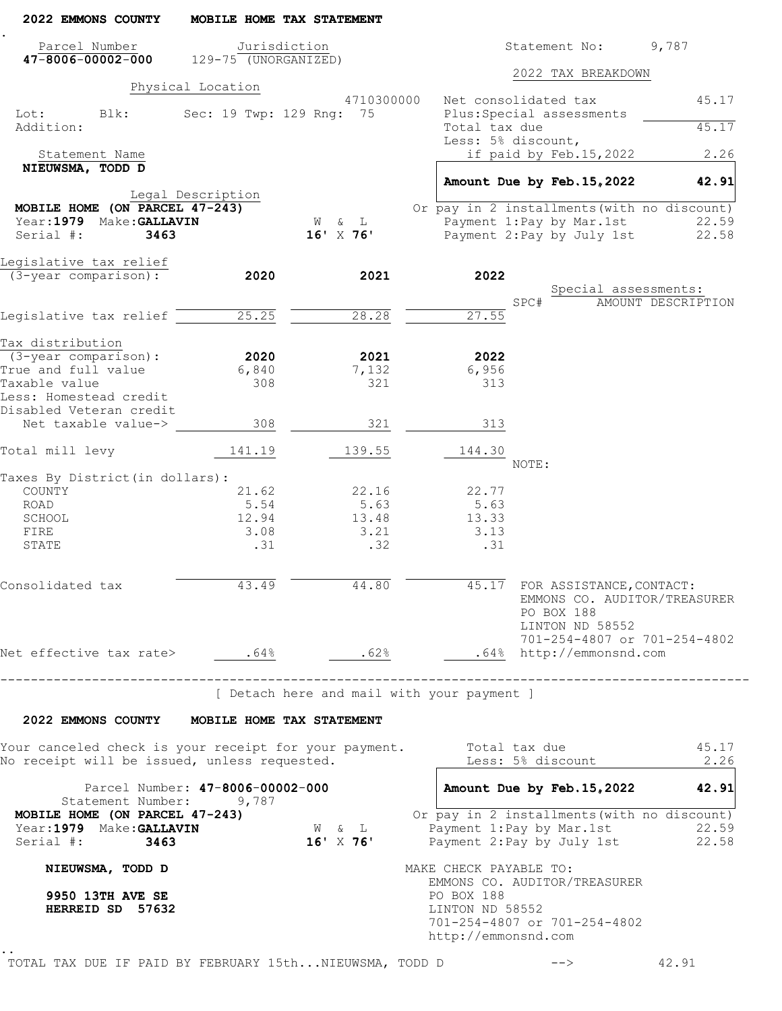| 2022 EMMONS COUNTY                                                                                                          | MOBILE HOME TAX STATEMENT                     |                                                       |                                                      |                                                                                                                  |                    |
|-----------------------------------------------------------------------------------------------------------------------------|-----------------------------------------------|-------------------------------------------------------|------------------------------------------------------|------------------------------------------------------------------------------------------------------------------|--------------------|
| Parcel Number<br>$47 - 8006 - 00002 - 000$                                                                                  | Jurisdiction<br>$129 - 75$ (UNORGANIZED)      |                                                       |                                                      | Statement No:                                                                                                    | 9,787              |
|                                                                                                                             |                                               |                                                       |                                                      | 2022 TAX BREAKDOWN                                                                                               |                    |
| Lot:<br>Blk:                                                                                                                | Physical Location<br>Sec: 19 Twp: 129 Rng: 75 | 4710300000                                            |                                                      | Net consolidated tax<br>Plus: Special assessments                                                                | 45.17              |
| Addition:                                                                                                                   |                                               |                                                       | Total tax due                                        | Less: 5% discount,                                                                                               | 45.17              |
| Statement Name                                                                                                              |                                               |                                                       |                                                      | if paid by Feb.15,2022                                                                                           | 2.26               |
| NIEUWSMA, TODD D                                                                                                            |                                               |                                                       |                                                      | Amount Due by Feb. 15, 2022                                                                                      | 42.91              |
|                                                                                                                             | Legal Description                             |                                                       |                                                      |                                                                                                                  |                    |
| MOBILE HOME (ON PARCEL 47-243)                                                                                              |                                               |                                                       |                                                      | Or pay in 2 installments (with no discount)                                                                      |                    |
| Year: 1979 Make: GALLAVIN<br>Serial #:<br>3463                                                                              |                                               | W & L<br>$16'$ X 76'                                  |                                                      | Payment 1: Pay by Mar. 1st<br>Payment 2: Pay by July 1st                                                         | 22.59<br>22.58     |
|                                                                                                                             |                                               |                                                       |                                                      |                                                                                                                  |                    |
| Legislative tax relief                                                                                                      |                                               |                                                       |                                                      |                                                                                                                  |                    |
| $(3 - year$ comparison):                                                                                                    | 2020                                          | 2021                                                  | 2022                                                 | Special assessments:                                                                                             |                    |
|                                                                                                                             |                                               |                                                       |                                                      | SPC#                                                                                                             | AMOUNT DESCRIPTION |
| Legislative tax relief                                                                                                      | 25.25                                         | 28.28                                                 | 27.55                                                |                                                                                                                  |                    |
| Tax distribution                                                                                                            |                                               |                                                       |                                                      |                                                                                                                  |                    |
| $(3 - year$ comparison):                                                                                                    | 2020                                          | 2021                                                  | 2022                                                 |                                                                                                                  |                    |
| True and full value                                                                                                         | 6,840                                         | 7,132                                                 | 6,956                                                |                                                                                                                  |                    |
| Taxable value<br>Less: Homestead credit<br>Disabled Veteran credit                                                          | 308                                           | 321                                                   | 313                                                  |                                                                                                                  |                    |
| Net taxable value->                                                                                                         | 308                                           | 321                                                   | 313                                                  |                                                                                                                  |                    |
| Total mill levy                                                                                                             | 141.19                                        | 139.55                                                | 144.30                                               | NOTE:                                                                                                            |                    |
| Taxes By District (in dollars):                                                                                             |                                               |                                                       |                                                      |                                                                                                                  |                    |
| COUNTY                                                                                                                      | 21.62                                         | 22.16                                                 | 22.77                                                |                                                                                                                  |                    |
| ROAD                                                                                                                        | 5.54                                          | 5.63                                                  | 5.63                                                 |                                                                                                                  |                    |
| SCHOOL<br>FIRE                                                                                                              | 12.94<br>3.08                                 | 13.48<br>3.21                                         | 13.33<br>3.13                                        |                                                                                                                  |                    |
| STATE                                                                                                                       | .31                                           | .32                                                   | .31                                                  |                                                                                                                  |                    |
| Consolidated tax                                                                                                            |                                               | 43.49 44.80                                           | 45.17                                                | FOR ASSISTANCE, CONTACT:<br>EMMONS CO. AUDITOR/TREASURER<br>PO BOX 188<br>LINTON ND 58552                        |                    |
| Net effective tax rate> $.64\frac{8}{1}$ . $.62\frac{8}{1}$ . $.62\frac{8}{1}$ . $.64\frac{8}{1}$ http://emmonsnd.com       |                                               |                                                       |                                                      | 701-254-4807 or 701-254-4802                                                                                     |                    |
|                                                                                                                             | ------------------------------                |                                                       |                                                      |                                                                                                                  |                    |
|                                                                                                                             |                                               | [ Detach here and mail with your payment ]            |                                                      |                                                                                                                  |                    |
| 2022 EMMONS COUNTY MOBILE HOME TAX STATEMENT                                                                                |                                               |                                                       |                                                      |                                                                                                                  |                    |
| Your canceled check is your receipt for your payment. Total tax due $45.17$<br>No receipt will be issued, unless requested. |                                               |                                                       |                                                      | Less: 5% discount 2.26                                                                                           |                    |
| Statement Number: 9,787                                                                                                     | Parcel Number: 47-8006-00002-000              |                                                       |                                                      | Amount Due by Feb. 15, 2022 42.91                                                                                |                    |
| MOBILE HOME (ON PARCEL 47-243)<br>Year: 1979 Make: GALLAVIN<br>Serial #: 3463                                               |                                               | $\mathbb{W}\qquad \&\qquad \mathbb{L}$<br>$16'$ X 76' |                                                      | Or pay in 2 installments (with no discount)<br>Payment 1:Pay by Mar.1st 22.59<br>Payment 2:Pay by July 1st 22.58 |                    |
| NIEUWSMA, TODD D                                                                                                            |                                               |                                                       | MAKE CHECK PAYABLE TO:                               | EMMONS CO. AUDITOR/TREASURER                                                                                     |                    |
| 9950 13TH AVE SE<br>HERREID SD 57632                                                                                        |                                               |                                                       | PO BOX 188<br>LINTON ND 58552<br>http://emmonsnd.com | 701-254-4807 or 701-254-4802                                                                                     |                    |
| TOTAL TAX DUE IF PAID BY FEBRUARY 15thNIEUWSMA, TODD D                                                                      |                                               |                                                       |                                                      | $\rightarrow$                                                                                                    | 42.91              |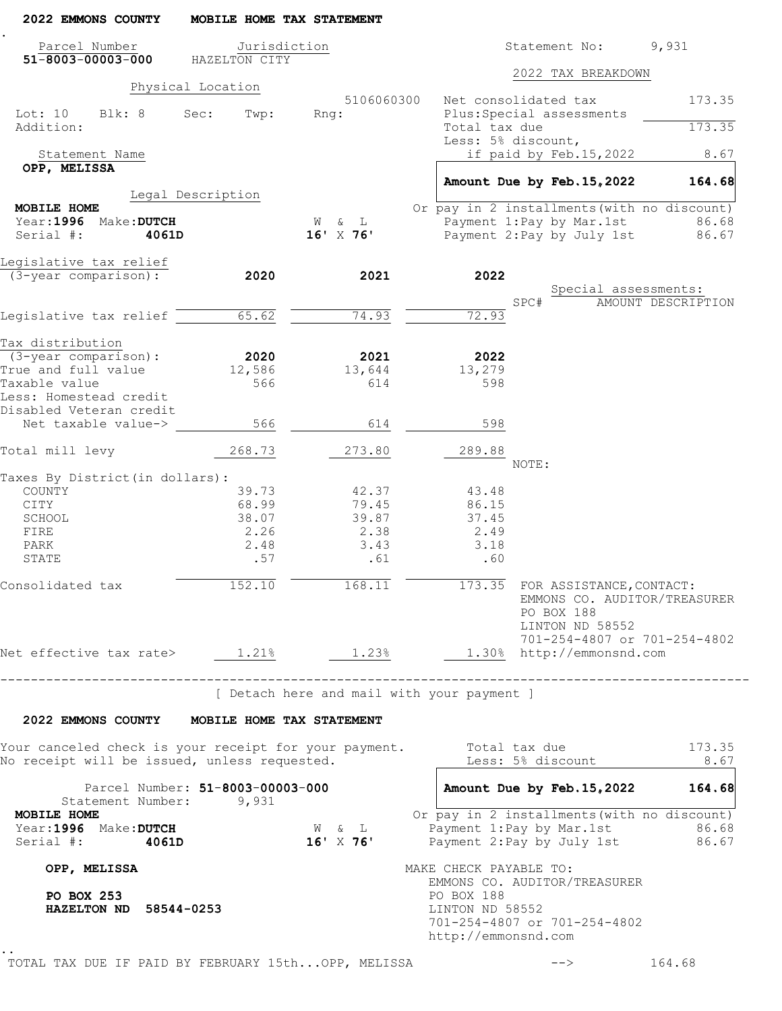| 2022 EMMONS COUNTY                                                                                    | MOBILE HOME TAX STATEMENT        |                      |                                                                                                                           |
|-------------------------------------------------------------------------------------------------------|----------------------------------|----------------------|---------------------------------------------------------------------------------------------------------------------------|
| Parcel Number<br>$51 - 8003 - 00003 - 000$                                                            | Jurisdiction<br>HAZELTON CITY    |                      | 9,931<br>Statement No:                                                                                                    |
|                                                                                                       |                                  |                      | 2022 TAX BREAKDOWN                                                                                                        |
|                                                                                                       | Physical Location                |                      |                                                                                                                           |
| Lot: 10 Blk: 8<br>Addition:                                                                           | Sec:<br>Twp:                     | 5106060300<br>Rnq:   | Net consolidated tax<br>173.35<br>Plus: Special assessments<br>173.35<br>Total tax due                                    |
|                                                                                                       |                                  |                      | Less: 5% discount,                                                                                                        |
| Statement Name                                                                                        |                                  |                      | if paid by Feb.15,2022<br>8.67                                                                                            |
| OPP, MELISSA                                                                                          |                                  |                      | Amount Due by Feb. 15, 2022<br>164.68                                                                                     |
|                                                                                                       | Legal Description                |                      |                                                                                                                           |
| MOBILE HOME                                                                                           |                                  |                      | Or pay in 2 installments (with no discount)                                                                               |
| Year: 1996 Make: DUTCH                                                                                |                                  | W & L                | Payment 1: Pay by Mar. 1st<br>86.68                                                                                       |
| Serial #:<br>4061D                                                                                    |                                  | $16'$ X 76'          | Payment 2: Pay by July 1st 86.67                                                                                          |
| Legislative tax relief                                                                                |                                  |                      |                                                                                                                           |
| (3-year comparison):                                                                                  | 2020                             | 2021                 | 2022                                                                                                                      |
|                                                                                                       |                                  |                      | Special assessments:                                                                                                      |
| Legislative tax relief                                                                                | 65.62                            | 74.93                | SPC#<br>AMOUNT DESCRIPTION<br>72.93                                                                                       |
|                                                                                                       |                                  |                      |                                                                                                                           |
| Tax distribution                                                                                      |                                  |                      |                                                                                                                           |
| $(3 - year \text{ comparison})$ :                                                                     | 2020                             | 2021                 | 2022                                                                                                                      |
| True and full value                                                                                   | 12,586                           | 13,644               | 13,279                                                                                                                    |
| Taxable value<br>Less: Homestead credit                                                               | 566                              | 614                  | 598                                                                                                                       |
| Disabled Veteran credit                                                                               |                                  |                      |                                                                                                                           |
| Net taxable value->                                                                                   | 566                              | 614                  | 598                                                                                                                       |
| Total mill levy                                                                                       | 268.73                           | 273.80               | 289.88                                                                                                                    |
|                                                                                                       |                                  |                      | NOTE:                                                                                                                     |
| Taxes By District (in dollars):                                                                       |                                  |                      |                                                                                                                           |
| COUNTY                                                                                                | 39.73                            | 42.37                | 43.48                                                                                                                     |
| CITY<br>SCHOOL                                                                                        | 68.99<br>38.07                   | 79.45<br>39.87       | 86.15<br>37.45                                                                                                            |
| FIRE                                                                                                  | 2.26                             | 2.38                 | 2.49                                                                                                                      |
| PARK                                                                                                  | 2.48                             | 3.43                 | 3.18                                                                                                                      |
| STATE                                                                                                 | .57                              | .61                  | .60                                                                                                                       |
| Consolidated tax                                                                                      | 152.10                           | $\overline{168.11}$  | 173.35 FOR ASSISTANCE, CONTACT:<br>EMMONS CO. AUDITOR/TREASURER<br>PO BOX 188<br>LINTON ND 58552                          |
| Net effective tax rate> $1.21\%$ 1.23%                                                                |                                  |                      | 701-254-4807 or 701-254-4802<br>1.30% http://emmonsnd.com                                                                 |
|                                                                                                       | -------------------------------- |                      | --------------------------------------<br>[ Detach here and mail with your payment ]                                      |
| 2022 EMMONS COUNTY MOBILE HOME TAX STATEMENT                                                          |                                  |                      |                                                                                                                           |
| Your canceled check is your receipt for your payment.<br>No receipt will be issued, unless requested. |                                  |                      | Total tax due<br>173.35<br>Less: 5% discount<br>8.67                                                                      |
| Statement Number: 9,931                                                                               | Parcel Number: 51-8003-00003-000 |                      | Amount Due by Feb. 15, 2022<br>164.68                                                                                     |
| MOBILE HOME<br>Year: 1996 Make: DUTCH<br>Serial $\#$ : $4061D$                                        |                                  | W & L<br>$16'$ X 76' | Or pay in 2 installments (with no discount)<br>Payment 1: Pay by Mar. 1st<br>86.68<br>Payment 2: Pay by July 1st<br>86.67 |
| OPP, MELISSA                                                                                          |                                  |                      | MAKE CHECK PAYABLE TO:<br>EMMONS CO. AUDITOR/TREASURER                                                                    |
| PO BOX 253<br>HAZELTON ND 58544-0253                                                                  |                                  |                      | PO BOX 188<br>LINTON ND 58552<br>701-254-4807 or 701-254-4802<br>http://emmonsnd.com                                      |
|                                                                                                       |                                  |                      |                                                                                                                           |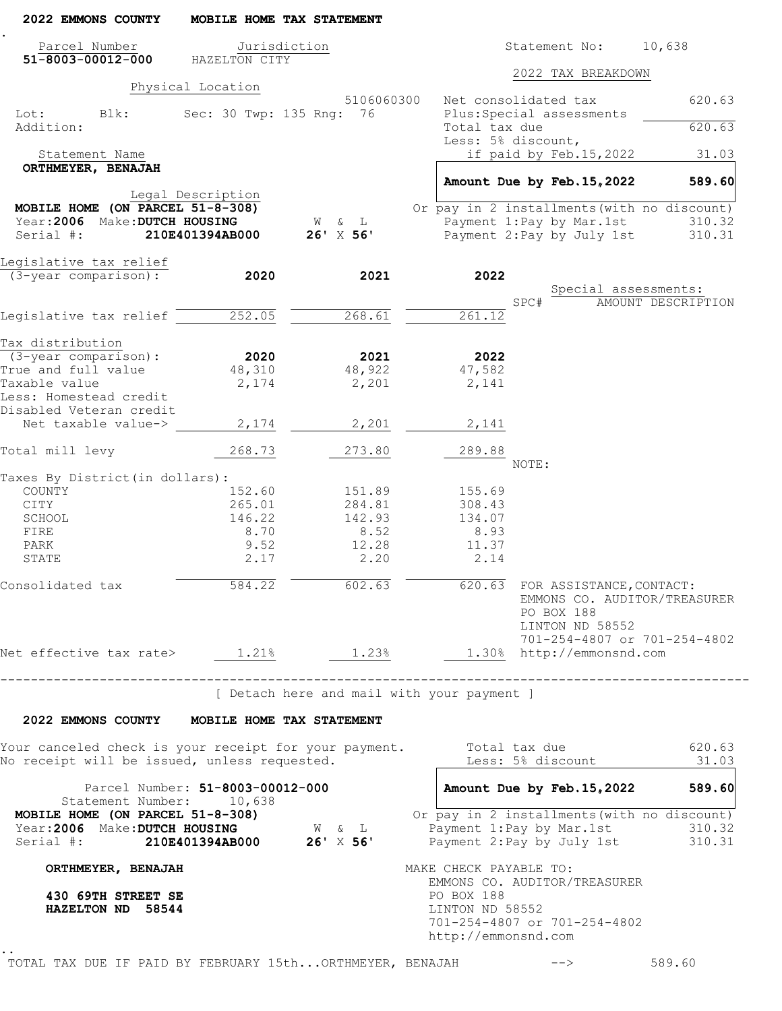| 2022 EMMONS COUNTY                                                                                      |                                  | MOBILE HOME TAX STATEMENT                  |                                                      |                                                                                                                       |                              |
|---------------------------------------------------------------------------------------------------------|----------------------------------|--------------------------------------------|------------------------------------------------------|-----------------------------------------------------------------------------------------------------------------------|------------------------------|
| Parcel Number                                                                                           | Jurisdiction                     |                                            |                                                      | Statement No:                                                                                                         | 10,638                       |
| $51 - 8003 - 00012 - 000$                                                                               | HAZELTON CITY                    |                                            |                                                      | 2022 TAX BREAKDOWN                                                                                                    |                              |
|                                                                                                         | Physical Location                | 5106060300                                 |                                                      | Net consolidated tax                                                                                                  | 620.63                       |
| Lot: Blk:<br>Addition:                                                                                  | Sec: 30 Twp: 135 Rng: 76         |                                            | Total tax due                                        | Plus: Special assessments                                                                                             | 620.63                       |
|                                                                                                         |                                  |                                            |                                                      | Less: 5% discount,                                                                                                    |                              |
| Statement Name<br>ORTHMEYER, BENAJAH                                                                    |                                  |                                            |                                                      | if paid by Feb.15,2022                                                                                                | 31.03                        |
|                                                                                                         |                                  |                                            |                                                      | Amount Due by Feb. 15, 2022                                                                                           | 589.60                       |
|                                                                                                         | Legal Description                |                                            |                                                      |                                                                                                                       |                              |
| MOBILE HOME (ON PARCEL $51-8-308$ )                                                                     |                                  |                                            |                                                      | Or pay in 2 installments (with no discount)                                                                           |                              |
| Year: 2006 Make: DUTCH HOUSING                                                                          |                                  | W & L                                      |                                                      | Payment 1: Pay by Mar. 1st                                                                                            | 310.32                       |
| Serial #:                                                                                               | 210E401394AB000                  | $26'$ X $56'$                              |                                                      | Payment 2: Pay by July 1st                                                                                            | 310.31                       |
| Leqislative tax relief                                                                                  |                                  |                                            |                                                      |                                                                                                                       |                              |
| (3-year comparison):                                                                                    | 2020                             | 2021                                       | 2022                                                 |                                                                                                                       |                              |
|                                                                                                         |                                  |                                            |                                                      |                                                                                                                       | Special assessments:         |
|                                                                                                         |                                  |                                            |                                                      | SPC#                                                                                                                  | AMOUNT DESCRIPTION           |
| Legislative tax relief 252.05                                                                           |                                  | 268.61                                     | 261.12                                               |                                                                                                                       |                              |
|                                                                                                         |                                  |                                            |                                                      |                                                                                                                       |                              |
| Tax distribution                                                                                        |                                  |                                            |                                                      |                                                                                                                       |                              |
| $(3 - year \ comparison):$                                                                              | 2020                             | 2021                                       | 2022                                                 |                                                                                                                       |                              |
| True and full value<br>Taxable value                                                                    | 48,310                           | 48,922                                     | 47,582                                               |                                                                                                                       |                              |
| Less: Homestead credit                                                                                  | 2,174                            | 2,201                                      | 2,141                                                |                                                                                                                       |                              |
| Disabled Veteran credit                                                                                 |                                  |                                            |                                                      |                                                                                                                       |                              |
| Net taxable value->                                                                                     | 2,174                            | 2,201                                      | 2,141                                                |                                                                                                                       |                              |
| Total mill levy                                                                                         | 268.73                           | 273.80                                     | 289.88                                               | NOTE:                                                                                                                 |                              |
| Taxes By District (in dollars):                                                                         |                                  |                                            |                                                      |                                                                                                                       |                              |
| COUNTY                                                                                                  | 152.60                           | 151.89                                     | 155.69                                               |                                                                                                                       |                              |
| CITY                                                                                                    | 265.01                           | 284.81                                     | 308.43                                               |                                                                                                                       |                              |
| SCHOOL                                                                                                  | 146.22                           | 142.93                                     | 134.07                                               |                                                                                                                       |                              |
| FIRE                                                                                                    | 8.70                             | 8.52                                       | 8.93                                                 |                                                                                                                       |                              |
| PARK                                                                                                    | 9.52                             | 12.28                                      | 11.37                                                |                                                                                                                       |                              |
| STATE                                                                                                   | 2.17                             | 2.20                                       | 2.14                                                 |                                                                                                                       |                              |
| Consolidated tax                                                                                        | 584.22                           | 602.63                                     |                                                      | 620.63 FOR ASSISTANCE, CONTACT:<br>PO BOX 188<br>LINTON ND 58552                                                      | EMMONS CO. AUDITOR/TREASURER |
| Net effective tax rate> 1.21% 1.23% 1.30% http://emmonsnd.com                                           |                                  |                                            |                                                      |                                                                                                                       | 701-254-4807 or 701-254-4802 |
|                                                                                                         |                                  |                                            |                                                      |                                                                                                                       |                              |
| -------------------------------------                                                                   |                                  | [ Detach here and mail with your payment ] |                                                      |                                                                                                                       |                              |
| 2022 EMMONS COUNTY MOBILE HOME TAX STATEMENT                                                            |                                  |                                            |                                                      |                                                                                                                       |                              |
| Your canceled check is your receipt for your payment.                                                   |                                  |                                            |                                                      | Total tax due                                                                                                         | 620.63                       |
| No receipt will be issued, unless requested.                                                            |                                  |                                            |                                                      | Less: 5% discount                                                                                                     | 31.03                        |
| Statement Number: 10,638                                                                                | Parcel Number: 51-8003-00012-000 |                                            |                                                      | Amount Due by Feb. 15, 2022 589.60                                                                                    |                              |
| MOBILE HOME (ON PARCEL 51-8-308)<br>Year:2006 Make:DUTCH HOUSING<br>Serial #: 210E401394AB000 26' X 56' |                                  | $\mathbb{W}\qquad \&\qquad \mathbb{L}$     |                                                      | Or pay in 2 installments (with no discount)<br>Payment 1: Pay by Mar. 1st 310.32<br>Payment 2: Pay by July 1st 310.31 |                              |
| ORTHMEYER, BENAJAH                                                                                      |                                  |                                            | MAKE CHECK PAYABLE TO:                               |                                                                                                                       |                              |
| 430 69TH STREET SE<br>HAZELTON ND 58544                                                                 |                                  |                                            | PO BOX 188<br>LINTON ND 58552<br>http://emmonsnd.com | EMMONS CO. AUDITOR/TREASURER<br>701-254-4807 or 701-254-4802                                                          |                              |
| TOTAL TAX DUE IF PAID BY FEBRUARY 15thORTHMEYER, BENAJAH                                                |                                  |                                            |                                                      | $\rightarrow$                                                                                                         | 589.60                       |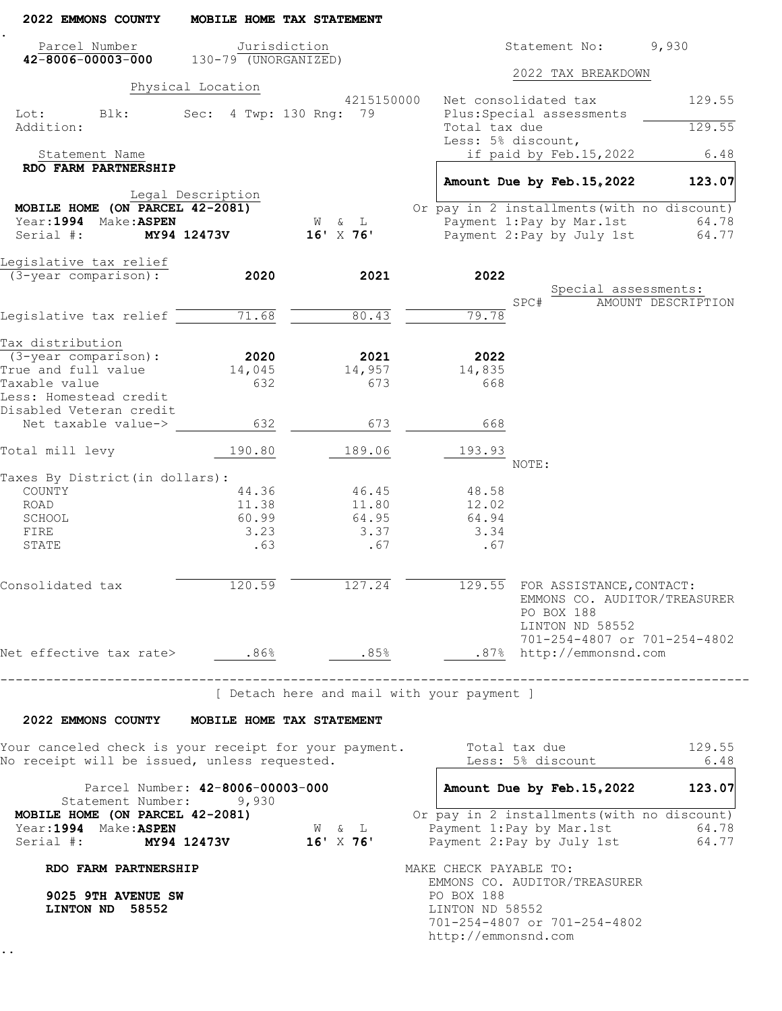| 2022 EMMONS COUNTY                                                     |                   | MOBILE HOME TAX STATEMENT                  |                                                      |                                                                                                                     |                    |
|------------------------------------------------------------------------|-------------------|--------------------------------------------|------------------------------------------------------|---------------------------------------------------------------------------------------------------------------------|--------------------|
| Parcel Number<br>$42 - 8006 - 00003 - 000$ 130-79 (UNORGANIZED)        |                   | Jurisdiction                               |                                                      | Statement No:                                                                                                       | 9,930              |
|                                                                        |                   |                                            |                                                      | 2022 TAX BREAKDOWN                                                                                                  |                    |
|                                                                        | Physical Location | 4215150000                                 |                                                      | Net consolidated tax                                                                                                | 129.55             |
| Lot:<br>Blk:<br>Addition:                                              |                   | Sec: 4 Twp: 130 Rng: 79                    | Total tax due                                        | Plus: Special assessments                                                                                           | 129.55             |
|                                                                        |                   |                                            |                                                      | Less: 5% discount,                                                                                                  |                    |
| Statement Name                                                         |                   |                                            |                                                      | if paid by Feb.15,2022                                                                                              | 6.48               |
| RDO FARM PARTNERSHIP                                                   |                   |                                            |                                                      | Amount Due by Feb. 15, 2022                                                                                         | 123.07             |
|                                                                        | Legal Description |                                            |                                                      |                                                                                                                     |                    |
| MOBILE HOME (ON PARCEL 42-2081)                                        |                   |                                            |                                                      | Or pay in 2 installments (with no discount)                                                                         |                    |
| Year: 1994 Make: ASPEN                                                 |                   | W & L                                      |                                                      | Payment 1:Pay by Mar.1st                                                                                            | 64.78              |
| Serial #:                                                              | MY94 12473V       | $16'$ X 76'                                |                                                      | Payment 2: Pay by July 1st                                                                                          | 64.77              |
| Legislative tax relief                                                 |                   |                                            |                                                      |                                                                                                                     |                    |
| $(3 - year$ comparison):                                               | 2020              | 2021                                       | 2022                                                 |                                                                                                                     |                    |
|                                                                        |                   |                                            |                                                      | Special assessments:<br>SPC#                                                                                        | AMOUNT DESCRIPTION |
| Legislative tax relief                                                 | 71.68             | 80.43                                      | 79.78                                                |                                                                                                                     |                    |
|                                                                        |                   |                                            |                                                      |                                                                                                                     |                    |
| Tax distribution                                                       |                   |                                            |                                                      |                                                                                                                     |                    |
| (3-year comparison):<br>True and full value                            | 2020<br>14,045    | 2021<br>14,957                             | 2022<br>14,835                                       |                                                                                                                     |                    |
| Taxable value                                                          | 632               | 673                                        | 668                                                  |                                                                                                                     |                    |
| Less: Homestead credit<br>Disabled Veteran credit                      |                   |                                            |                                                      |                                                                                                                     |                    |
| Net taxable value->                                                    | 632               | 673                                        | 668                                                  |                                                                                                                     |                    |
| Total mill levy                                                        | 190.80            | 189.06                                     | 193.93                                               |                                                                                                                     |                    |
| Taxes By District (in dollars) :                                       |                   |                                            |                                                      | NOTE:                                                                                                               |                    |
| COUNTY                                                                 | 44.36             | 46.45                                      | 48.58                                                |                                                                                                                     |                    |
| ROAD                                                                   | 11.38             | 11.80                                      | 12.02                                                |                                                                                                                     |                    |
| SCHOOL                                                                 | 60.99             | 64.95                                      | 64.94                                                |                                                                                                                     |                    |
| FIRE                                                                   | 3.23              | 3.37                                       | 3.34                                                 |                                                                                                                     |                    |
| STATE                                                                  | .63               | .67                                        | .67                                                  |                                                                                                                     |                    |
| Consolidated tax                                                       | 120.59            | 127.24                                     |                                                      | 129.55 FOR ASSISTANCE, CONTACT:<br>EMMONS CO. AUDITOR/TREASURER<br>PO BOX 188<br>LINTON ND 58552                    |                    |
| Net effective tax rate> .86%                                           |                   | .85%                                       |                                                      | 701-254-4807 or 701-254-4802<br>.87% http://emmonsnd.com                                                            |                    |
| -------------------------------                                        |                   | [ Detach here and mail with your payment ] |                                                      |                                                                                                                     |                    |
| 2022 EMMONS COUNTY MOBILE HOME TAX STATEMENT                           |                   |                                            |                                                      |                                                                                                                     |                    |
| Your canceled check is your receipt for your payment.                  |                   |                                            |                                                      | Total tax due                                                                                                       | 129.55             |
| No receipt will be issued, unless requested.                           |                   |                                            |                                                      | Less: 5% discount                                                                                                   | 6.48               |
| Parcel Number: 42-8006-00003-000<br>Statement Number: 9,930            |                   |                                            |                                                      | Amount Due by Feb. 15, 2022 123.07                                                                                  |                    |
| MOBILE HOME (ON PARCEL 42-2081)<br>Year: 1994 Make: ASPEN<br>Serial #: |                   | W & L<br>MY94 12473V 16' X 76'             |                                                      | Or pay in 2 installments (with no discount)<br>Payment 1: Pay by Mar. 1st 64.78<br>Payment 2: Pay by July 1st 64.77 |                    |
| RDO FARM PARTNERSHIP                                                   |                   |                                            | MAKE CHECK PAYABLE TO:                               |                                                                                                                     |                    |
| 9025 9TH AVENUE SW<br>LINTON ND 58552                                  |                   |                                            | PO BOX 188<br>LINTON ND 58552<br>http://emmonsnd.com | EMMONS CO. AUDITOR/TREASURER<br>701-254-4807 or 701-254-4802                                                        |                    |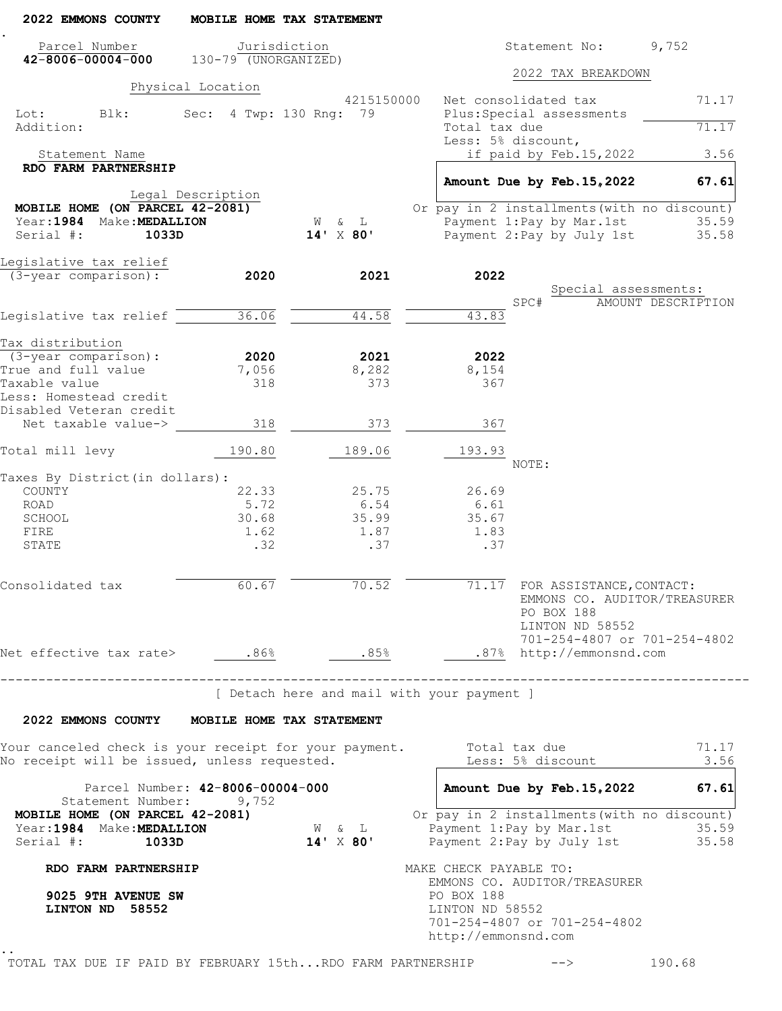| 2022 EMMONS COUNTY                                                                                    | MOBILE HOME TAX STATEMENT        |                                        |                                                                                                                      |                                                              |
|-------------------------------------------------------------------------------------------------------|----------------------------------|----------------------------------------|----------------------------------------------------------------------------------------------------------------------|--------------------------------------------------------------|
| Parcel Number                                                                                         | Jurisdiction                     |                                        | Statement No:                                                                                                        | 9,752                                                        |
| $42 - 8006 - 00004 - 000$ 130-79 (UNORGANIZED)                                                        |                                  |                                        | 2022 TAX BREAKDOWN                                                                                                   |                                                              |
|                                                                                                       | Physical Location                |                                        |                                                                                                                      |                                                              |
| Lot:<br>Blk:<br>Addition:                                                                             | Sec: 4 Twp: 130 Rng: 79          | 4215150000                             | Net consolidated tax<br>Plus: Special assessments<br>Total tax due                                                   | 71.17<br>71.17                                               |
|                                                                                                       |                                  |                                        | Less: 5% discount,                                                                                                   |                                                              |
| Statement Name                                                                                        |                                  |                                        | if paid by Feb.15,2022                                                                                               | 3.56                                                         |
| RDO FARM PARTNERSHIP                                                                                  |                                  |                                        |                                                                                                                      |                                                              |
|                                                                                                       | Legal Description                |                                        | Amount Due by Feb. 15, 2022                                                                                          | 67.61                                                        |
| MOBILE HOME (ON PARCEL 42-2081)                                                                       |                                  |                                        | Or pay in 2 installments (with no discount)                                                                          |                                                              |
| Year: 1984 Make: MEDALLION                                                                            |                                  | W & L                                  | Payment 1:Pay by Mar.1st                                                                                             | 35.59                                                        |
| Serial #:<br>1033D                                                                                    |                                  | $14'$ $\times$ 80'                     | Payment 2: Pay by July 1st                                                                                           | 35.58                                                        |
| Legislative tax relief                                                                                |                                  |                                        |                                                                                                                      |                                                              |
| $(3 - year$ comparison):                                                                              | 2020                             | 2021                                   | 2022                                                                                                                 |                                                              |
|                                                                                                       |                                  |                                        | SPC#                                                                                                                 | Special assessments:<br>AMOUNT DESCRIPTION                   |
| Legislative tax relief                                                                                | 36.06                            | 44.58                                  | 43.83                                                                                                                |                                                              |
|                                                                                                       |                                  |                                        |                                                                                                                      |                                                              |
| Tax distribution                                                                                      |                                  |                                        |                                                                                                                      |                                                              |
| (3-year comparison):<br>True and full value                                                           | 2020                             | 2021<br>8,282                          | 2022                                                                                                                 |                                                              |
| Taxable value                                                                                         | 7,056<br>318                     | 373                                    | 8,154<br>367                                                                                                         |                                                              |
| Less: Homestead credit<br>Disabled Veteran credit                                                     |                                  |                                        |                                                                                                                      |                                                              |
| Net taxable value->                                                                                   | 318                              | 373                                    | 367                                                                                                                  |                                                              |
| Total mill levy                                                                                       | 190.80                           | 189.06                                 | 193.93<br>NOTE:                                                                                                      |                                                              |
| Taxes By District (in dollars):                                                                       |                                  |                                        |                                                                                                                      |                                                              |
| COUNTY                                                                                                | 22.33                            | 25.75                                  | 26.69                                                                                                                |                                                              |
| ROAD                                                                                                  | 5.72                             | 6.54                                   | 6.61                                                                                                                 |                                                              |
| SCHOOL                                                                                                | 30.68                            | 35.99                                  | 35.67                                                                                                                |                                                              |
| FIRE<br>STATE                                                                                         | 1.62<br>.32                      | 1.87<br>.37                            | 1.83<br>.37                                                                                                          |                                                              |
|                                                                                                       |                                  |                                        |                                                                                                                      |                                                              |
| Consolidated tax                                                                                      | 60.67                            | 70.52                                  | 71.17 FOR ASSISTANCE, CONTACT:<br>PO BOX 188<br>LINTON ND 58552                                                      | EMMONS CO. AUDITOR/TREASURER<br>701-254-4807 or 701-254-4802 |
| Net effective tax rate> .86%                                                                          |                                  | .85%                                   | .87% http://emmonsnd.com                                                                                             |                                                              |
|                                                                                                       | -------------------------------  |                                        | [ Detach here and mail with your payment ]                                                                           |                                                              |
|                                                                                                       |                                  |                                        |                                                                                                                      |                                                              |
| 2022 EMMONS COUNTY MOBILE HOME TAX STATEMENT                                                          |                                  |                                        |                                                                                                                      |                                                              |
| Your canceled check is your receipt for your payment.<br>No receipt will be issued, unless requested. |                                  |                                        | Total tax due<br>Less: 5% discount                                                                                   | 71.17<br>3.56                                                |
| Statement Number: 9,752                                                                               | Parcel Number: 42-8006-00004-000 |                                        | Amount Due by Feb. 15, 2022                                                                                          | 67.61                                                        |
| MOBILE HOME (ON PARCEL 42-2081)                                                                       |                                  |                                        | Or pay in 2 installments (with no discount)                                                                          |                                                              |
| Year: 1984 Make: MEDALLION                                                                            |                                  | $\mathbb{W}\qquad \&\qquad \mathbb{L}$ | Payment 1: Pay by Mar. 1st                                                                                           | 35.59                                                        |
| Serial #:<br>1033D                                                                                    |                                  | $14'$ $\times$ 80'                     | Payment 2: Pay by July 1st 35.58                                                                                     |                                                              |
| RDO FARM PARTNERSHIP                                                                                  |                                  |                                        | MAKE CHECK PAYABLE TO:                                                                                               |                                                              |
| 9025 9TH AVENUE SW<br>LINTON ND 58552                                                                 |                                  |                                        | EMMONS CO. AUDITOR/TREASURER<br>PO BOX 188<br>LINTON ND 58552<br>701-254-4807 or 701-254-4802<br>http://emmonsnd.com |                                                              |
|                                                                                                       |                                  |                                        |                                                                                                                      |                                                              |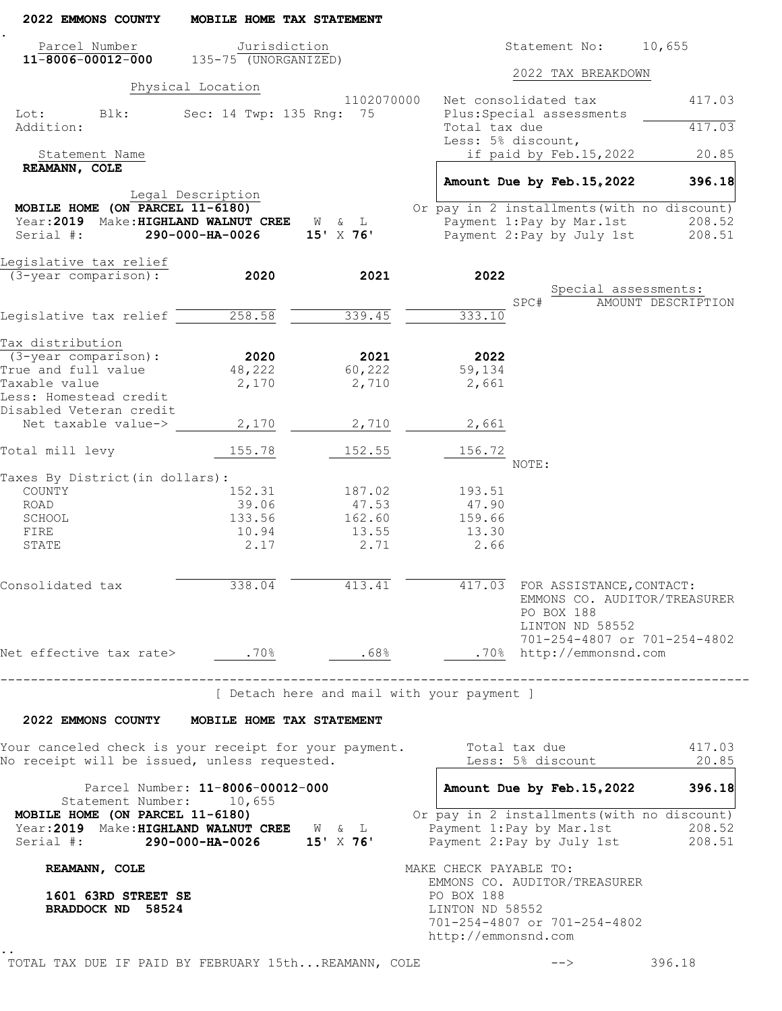| 2022 EMMONS COUNTY                                                                                                    | MOBILE HOME TAX STATEMENT                |                |                                                                                                                           |
|-----------------------------------------------------------------------------------------------------------------------|------------------------------------------|----------------|---------------------------------------------------------------------------------------------------------------------------|
| Parcel Number<br>$11 - 8006 - 00012 - 000$                                                                            | Jurisdiction<br>$135 - 75$ (UNORGANIZED) |                | Statement No:<br>10,655                                                                                                   |
|                                                                                                                       |                                          |                | 2022 TAX BREAKDOWN                                                                                                        |
|                                                                                                                       | Physical Location                        | 1102070000     | Net consolidated tax<br>417.03                                                                                            |
| Lot:<br>Blk:<br>Addition:                                                                                             | Sec: 14 Twp: 135 Rng: 75                 |                | Plus: Special assessments<br>Total tax due<br>417.03<br>Less: 5% discount,                                                |
| Statement Name                                                                                                        |                                          |                | if paid by Feb.15,2022<br>20.85                                                                                           |
| REAMANN, COLE                                                                                                         |                                          |                | Amount Due by Feb. 15, 2022<br>396.18                                                                                     |
| MOBILE HOME (ON PARCEL 11-6180)<br>Year: 2019 Make: HIGHLAND WALNUT CREE W & L<br>Serial #:                           | Legal Description<br>290-000-HA-0026     | $15'$ X 76'    | Or pay in 2 installments (with no discount)<br>Payment 1:Pay by Mar.1st<br>208.52<br>Payment 2: Pay by July 1st<br>208.51 |
| Legislative tax relief                                                                                                |                                          |                |                                                                                                                           |
| (3-year comparison):                                                                                                  | 2020                                     | 2021           | 2022                                                                                                                      |
|                                                                                                                       |                                          |                | Special assessments:<br>SPC#<br>AMOUNT DESCRIPTION                                                                        |
| Legislative tax relief                                                                                                | 258.58                                   | 339.45         | 333.10                                                                                                                    |
|                                                                                                                       |                                          |                |                                                                                                                           |
| Tax distribution                                                                                                      |                                          |                |                                                                                                                           |
| $(3 - year \text{ comparison})$ :<br>True and full value                                                              | 2020<br>48,222                           | 2021<br>60,222 | 2022<br>59,134                                                                                                            |
| Taxable value                                                                                                         | 2,170                                    | 2,710          | 2,661                                                                                                                     |
| Less: Homestead credit<br>Disabled Veteran credit                                                                     |                                          |                |                                                                                                                           |
| Net taxable value->                                                                                                   | 2,170                                    | 2,710          | 2,661                                                                                                                     |
| Total mill levy                                                                                                       | 155.78                                   | 152.55         | 156.72                                                                                                                    |
| Taxes By District (in dollars):                                                                                       |                                          |                | NOTE:                                                                                                                     |
| COUNTY                                                                                                                | 152.31                                   | 187.02         | 193.51                                                                                                                    |
| ROAD                                                                                                                  | 39.06                                    | 47.53          | 47.90                                                                                                                     |
| SCHOOL                                                                                                                | 133.56                                   | 162.60         | 159.66                                                                                                                    |
| FIRE                                                                                                                  | 10.94                                    | 13.55          | 13.30                                                                                                                     |
| STATE                                                                                                                 | 2.17                                     | 2.71           | 2.66                                                                                                                      |
| Consolidated tax                                                                                                      | 338.04                                   | 413.41         | 417.03 FOR ASSISTANCE, CONTACT:<br>EMMONS CO. AUDITOR/TREASURER<br>PO BOX 188<br>LINTON ND 58552                          |
| Net effective tax rate> .70%                                                                                          |                                          | .68%           | 701-254-4807 or 701-254-4802<br>.70% http://emmonsnd.com                                                                  |
|                                                                                                                       | --------------------------------         |                | --------------------------------------<br>[ Detach here and mail with your payment ]                                      |
| 2022 EMMONS COUNTY MOBILE HOME TAX STATEMENT                                                                          |                                          |                |                                                                                                                           |
| Your canceled check is your receipt for your payment.<br>No receipt will be issued, unless requested.                 |                                          |                | Total tax due<br>417.03<br>Less: 5% discount<br>20.85                                                                     |
| Statement Number: 10,655                                                                                              | Parcel Number: 11-8006-00012-000         |                | Amount Due by Feb. 15, 2022<br>396.18                                                                                     |
| MOBILE HOME (ON PARCEL 11-6180)<br>Year: 2019 Make: HIGHLAND WALNUT CREE W & L<br>Serial #: 290-000-HA-0026 15' X 76' |                                          |                | Or pay in 2 installments (with no discount)<br>Payment 1: Pay by Mar. 1st 208.52<br>Payment 2: Pay by July 1st 208.51     |
| REAMANN, COLE                                                                                                         |                                          |                | MAKE CHECK PAYABLE TO:                                                                                                    |
| 1601 63RD STREET SE<br>BRADDOCK ND 58524                                                                              |                                          |                | EMMONS CO. AUDITOR/TREASURER<br>PO BOX 188<br>LINTON ND 58552<br>701-254-4807 or 701-254-4802<br>http://emmonsnd.com      |
|                                                                                                                       |                                          |                |                                                                                                                           |

TOTAL TAX DUE IF PAID BY FEBRUARY 15th...REAMANN, COLE  $--\$  --> 396.18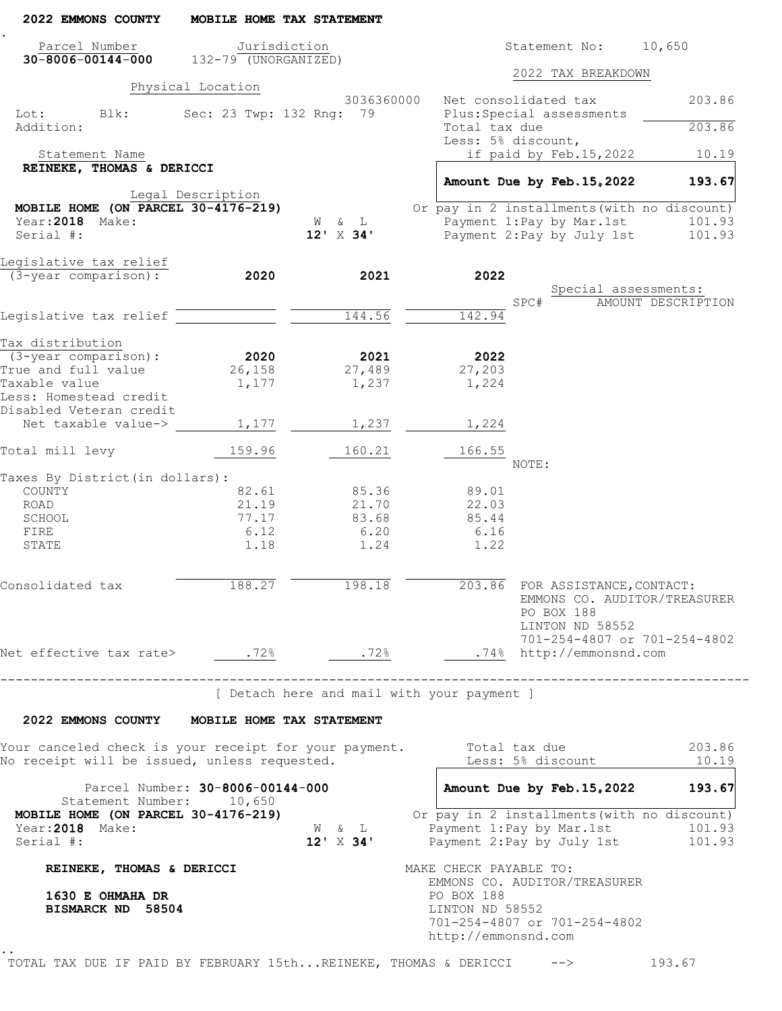| 2022 EMMONS COUNTY                                                                                    |                   | MOBILE HOME TAX STATEMENT                  |            |                                        |                                                                  |                                             |
|-------------------------------------------------------------------------------------------------------|-------------------|--------------------------------------------|------------|----------------------------------------|------------------------------------------------------------------|---------------------------------------------|
| Parcel Number                                                                                         | Jurisdiction      |                                            |            |                                        | Statement No:                                                    | 10,650                                      |
| $30 - 8006 - 00144 - 000$ 132-79 (UNORGANIZED)                                                        |                   |                                            |            |                                        | 2022 TAX BREAKDOWN                                               |                                             |
|                                                                                                       | Physical Location |                                            |            |                                        |                                                                  |                                             |
| Lot: Blk:                                                                                             |                   | 3036360000<br>Sec: 23 Twp: 132 Rng: 79     |            | Net consolidated tax                   | Plus: Special assessments                                        | 203.86                                      |
| Addition:                                                                                             |                   |                                            |            | Total tax due<br>Less: 5% discount,    |                                                                  | 203.86                                      |
| Statement Name                                                                                        |                   |                                            |            |                                        | if paid by Feb.15,2022                                           | 10.19                                       |
| REINEKE, THOMAS & DERICCI                                                                             |                   |                                            |            |                                        |                                                                  |                                             |
|                                                                                                       | Legal Description |                                            |            |                                        | Amount Due by Feb. 15, 2022                                      | 193.67                                      |
| MOBILE HOME (ON PARCEL $30-4176-219$ )                                                                |                   |                                            |            |                                        |                                                                  | Or pay in 2 installments (with no discount) |
| Year: 2018 Make:                                                                                      |                   | W & L                                      |            |                                        | Payment 1:Pay by Mar.1st                                         | 101.93                                      |
| Serial #:                                                                                             |                   | $12' \times 34'$                           |            |                                        | Payment 2: Pay by July 1st                                       | 101.93                                      |
| Legislative tax relief                                                                                |                   |                                            |            |                                        |                                                                  |                                             |
| (3-year comparison):                                                                                  | 2020              | 2021                                       |            | 2022                                   |                                                                  |                                             |
|                                                                                                       |                   |                                            |            | SPC#                                   | Special assessments:                                             | AMOUNT DESCRIPTION                          |
| Legislative tax relief                                                                                |                   | 144.56                                     |            | 142.94                                 |                                                                  |                                             |
|                                                                                                       |                   |                                            |            |                                        |                                                                  |                                             |
| Tax distribution                                                                                      |                   |                                            |            |                                        |                                                                  |                                             |
| (3-year comparison):                                                                                  | 2020              | 2021                                       |            | 2022                                   |                                                                  |                                             |
| True and full value                                                                                   | 26,158            | 27,489                                     |            | 27,203                                 |                                                                  |                                             |
| Taxable value<br>Less: Homestead credit                                                               | 1,177             | 1,237                                      |            | 1,224                                  |                                                                  |                                             |
| Disabled Veteran credit<br>Net taxable value->                                                        | 1,177             | 1,237                                      |            | 1,224                                  |                                                                  |                                             |
| Total mill levy                                                                                       | 159.96            | 160.21                                     |            | 166.55                                 |                                                                  |                                             |
|                                                                                                       |                   |                                            |            | NOTE:                                  |                                                                  |                                             |
| Taxes By District (in dollars) :<br>COUNTY                                                            | 82.61             | 85.36                                      |            | 89.01                                  |                                                                  |                                             |
| ROAD                                                                                                  | 21.19             | 21.70                                      |            | 22.03                                  |                                                                  |                                             |
| SCHOOL                                                                                                | 77.17             | 83.68                                      |            | 85.44                                  |                                                                  |                                             |
| FIRE                                                                                                  | 6.12              | 6.20                                       |            | 6.16                                   |                                                                  |                                             |
| STATE                                                                                                 | 1.18              | 1.24                                       |            | 1.22                                   |                                                                  |                                             |
| Consolidated tax                                                                                      | 188.27            | 198.18                                     |            |                                        | 203.86 FOR ASSISTANCE, CONTACT:<br>PO BOX 188<br>LINTON ND 58552 | EMMONS CO. AUDITOR/TREASURER                |
| Net effective tax rate> .72% .72%                                                                     |                   |                                            |            |                                        | .74% http://emmonsnd.com                                         | 701-254-4807 or 701-254-4802                |
| -------------------------------                                                                       |                   |                                            |            |                                        |                                                                  |                                             |
|                                                                                                       |                   | [ Detach here and mail with your payment ] |            |                                        |                                                                  |                                             |
| 2022 EMMONS COUNTY MOBILE HOME TAX STATEMENT                                                          |                   |                                            |            |                                        |                                                                  |                                             |
| Your canceled check is your receipt for your payment.<br>No receipt will be issued, unless requested. |                   |                                            |            | Total tax due                          | Less: 5% discount                                                | 203.86<br>10.19                             |
| Parcel Number: 30-8006-00144-000                                                                      |                   |                                            |            |                                        | Amount Due by Feb. 15, 2022                                      | 193.67                                      |
| Statement Number: 10,650<br>MOBILE HOME (ON PARCEL 30-4176-219)                                       |                   |                                            |            |                                        |                                                                  | Or pay in 2 installments (with no discount) |
| Year: 2018 Make:<br>Serial #:                                                                         |                   | W & L<br>$12' \times 34'$                  |            |                                        | Payment 1: Pay by Mar. 1st                                       | 101.93<br>Payment 2: Pay by July 1st 101.93 |
| REINEKE, THOMAS & DERICCI                                                                             |                   |                                            |            | MAKE CHECK PAYABLE TO:                 |                                                                  |                                             |
| 1630 E OHMAHA DR<br>BISMARCK ND 58504                                                                 |                   |                                            | PO BOX 188 | LINTON ND 58552<br>http://emmonsnd.com | EMMONS CO. AUDITOR/TREASURER<br>701-254-4807 or 701-254-4802     |                                             |

TOTAL TAX DUE IF PAID BY FEBRUARY 15th...REINEKE, THOMAS & DERICCI --> 193.67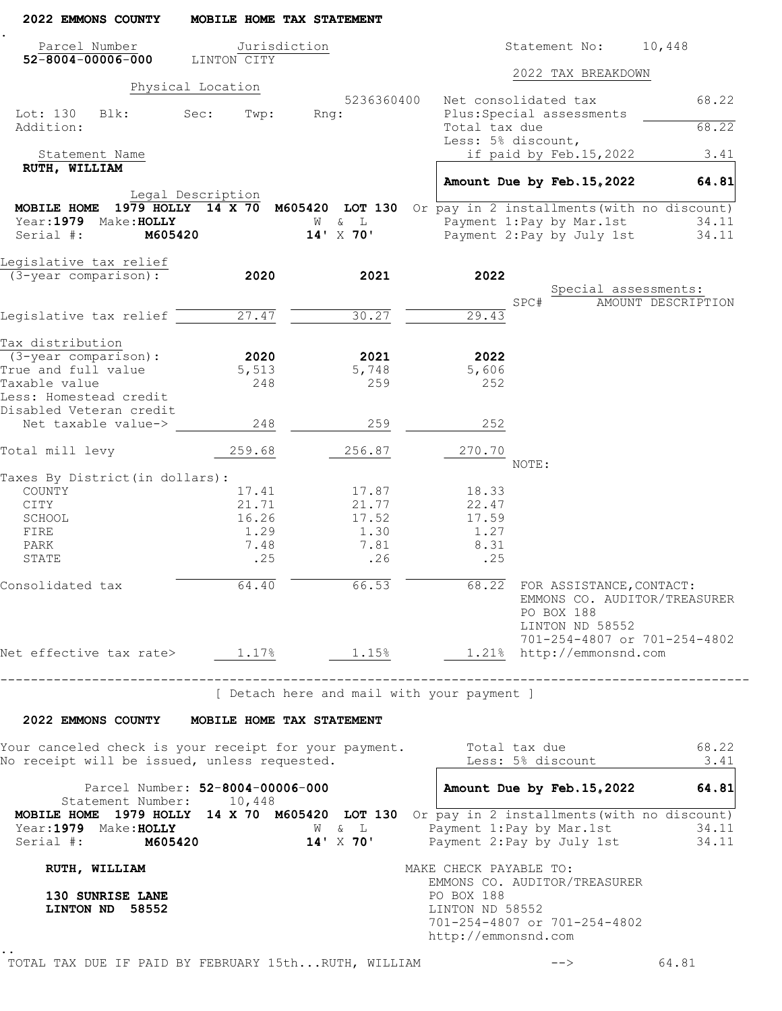| 2022 EMMONS COUNTY                                                                                                   | MOBILE HOME TAX STATEMENT        |                                            |                                                         |                                                                                                 |                           |
|----------------------------------------------------------------------------------------------------------------------|----------------------------------|--------------------------------------------|---------------------------------------------------------|-------------------------------------------------------------------------------------------------|---------------------------|
| Parcel Number<br>$52 - 8004 - 00006 - 000$                                                                           | Jurisdiction<br>LINTON CITY      |                                            |                                                         | Statement No:                                                                                   | 10,448                    |
|                                                                                                                      |                                  |                                            |                                                         | 2022 TAX BREAKDOWN                                                                              |                           |
|                                                                                                                      | Physical Location                | 5236360400                                 |                                                         | Net consolidated tax                                                                            | 68.22                     |
| Lot: 130<br>Blk:<br>Addition:                                                                                        | Sec:<br>Twp:                     | Rnq:                                       | Total tax due                                           | Plus: Special assessments                                                                       | 68.22                     |
| Statement Name                                                                                                       |                                  |                                            | Less: 5% discount,                                      | if paid by Feb.15,2022                                                                          | 3.41                      |
| RUTH, WILLIAM                                                                                                        |                                  |                                            |                                                         |                                                                                                 |                           |
|                                                                                                                      | Legal Description                |                                            |                                                         | Amount Due by Feb. 15, 2022                                                                     | 64.81                     |
| MOBILE HOME                                                                                                          |                                  |                                            |                                                         | 1979 HOLLY 14 X 70 M605420 LOT 130 Or pay in 2 installments (with no discount)                  |                           |
| Year: 1979 Make: HOLLY                                                                                               |                                  | & L<br>W                                   |                                                         | Payment 1: Pay by Mar. 1st                                                                      | 34.11                     |
| Serial #:<br>M605420                                                                                                 |                                  | 14' X 70'                                  |                                                         | Payment 2: Pay by July 1st                                                                      | 34.11                     |
| Legislative tax relief                                                                                               |                                  |                                            |                                                         |                                                                                                 |                           |
| (3-year comparison):                                                                                                 | 2020                             | 2021                                       | 2022                                                    |                                                                                                 |                           |
|                                                                                                                      |                                  |                                            |                                                         | Special assessments:<br>SPC#                                                                    | <b>AMOUNT DESCRIPTION</b> |
| Legislative tax relief                                                                                               | 27.47                            | 30.27                                      | $\overline{29.43}$                                      |                                                                                                 |                           |
|                                                                                                                      |                                  |                                            |                                                         |                                                                                                 |                           |
| Tax distribution                                                                                                     |                                  |                                            |                                                         |                                                                                                 |                           |
| $(3 - year \text{ comparison})$ :                                                                                    | 2020                             | 2021                                       | 2022                                                    |                                                                                                 |                           |
| True and full value<br>Taxable value                                                                                 | 5,513<br>248                     | 5,748<br>259                               | 5,606<br>252                                            |                                                                                                 |                           |
| Less: Homestead credit<br>Disabled Veteran credit                                                                    |                                  |                                            |                                                         |                                                                                                 |                           |
| Net taxable value->                                                                                                  | 248                              | 259                                        | 252                                                     |                                                                                                 |                           |
| Total mill levy                                                                                                      | 259.68                           | 256.87                                     | 270.70                                                  | NOTE:                                                                                           |                           |
| Taxes By District (in dollars):                                                                                      |                                  |                                            |                                                         |                                                                                                 |                           |
| COUNTY                                                                                                               | 17.41                            | 17.87                                      | 18.33                                                   |                                                                                                 |                           |
| CITY<br>SCHOOL                                                                                                       | 21.71                            | 21.77                                      | 22.47                                                   |                                                                                                 |                           |
| FIRE                                                                                                                 | 16.26<br>1.29                    | 17.52<br>1.30                              | 17.59<br>1.27                                           |                                                                                                 |                           |
| PARK                                                                                                                 | 7.48                             | 7.81                                       | 8.31                                                    |                                                                                                 |                           |
| STATE                                                                                                                | .25                              | .26                                        | .25                                                     |                                                                                                 |                           |
| Consolidated tax                                                                                                     | 64.40                            | 66.53                                      |                                                         | 68.22 FOR ASSISTANCE, CONTACT:<br>EMMONS CO. AUDITOR/TREASURER<br>PO BOX 188<br>LINTON ND 58552 |                           |
| Net effective tax rate> $1.17\frac{8}{9}$ $1.15\frac{8}{9}$ $1.15\frac{8}{9}$ http://emmonsnd.com                    |                                  |                                            |                                                         | 701-254-4807 or 701-254-4802                                                                    |                           |
|                                                                                                                      |                                  |                                            |                                                         |                                                                                                 |                           |
|                                                                                                                      |                                  | [ Detach here and mail with your payment ] |                                                         |                                                                                                 |                           |
| 2022 EMMONS COUNTY MOBILE HOME TAX STATEMENT                                                                         |                                  |                                            |                                                         |                                                                                                 |                           |
| Your canceled check is your receipt for your payment. Total tax due<br>No receipt will be issued, unless requested.  |                                  |                                            |                                                         | Less: 5% discount _____                                                                         | 68.22<br>3.41             |
| Statement Number: 10,448                                                                                             | Parcel Number: 52-8004-00006-000 |                                            |                                                         | Amount Due by Feb. 15, 2022 64.81                                                               |                           |
| MOBILE HOME 1979 HOLLY 14 X 70 M605420 LOT 130 Or pay in 2 installments (with no discount)<br>Year: 1979 Make: HOLLY |                                  |                                            |                                                         | W & L Payment 1: Pay by Mar.1st 34.11<br>14' X 70' Payment 2: Pay by July 1st 34.11             |                           |
| Serial #: M605420                                                                                                    |                                  |                                            |                                                         |                                                                                                 |                           |
| RUTH, WILLIAM<br>130 SUNRISE LANE<br>LINTON ND 58552                                                                 |                                  |                                            | MAKE CHECK PAYABLE TO:<br>PO BOX 188<br>LINTON ND 58552 | EMMONS CO. AUDITOR/TREASURER<br>701-254-4807 or 701-254-4802                                    |                           |
|                                                                                                                      |                                  |                                            | http://emmonsnd.com                                     |                                                                                                 |                           |
| TOTAL TAX DUE IF PAID BY FEBRUARY 15thRUTH, WILLIAM                                                                  |                                  |                                            |                                                         |                                                                                                 | 64.81                     |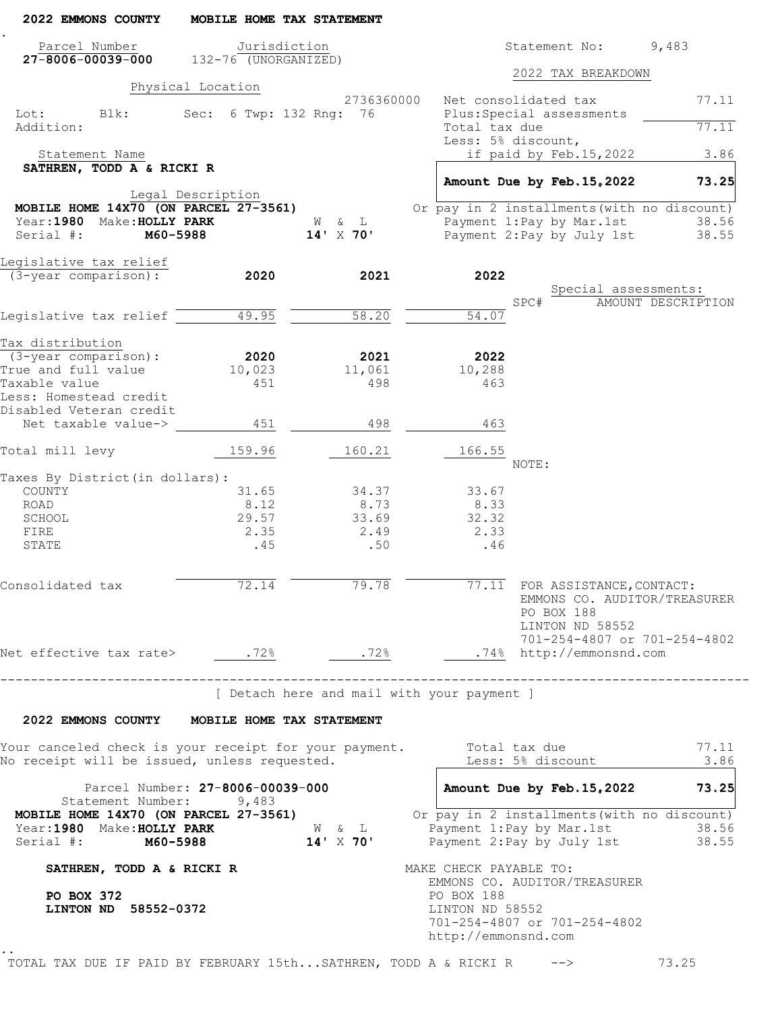| 2022 EMMONS COUNTY                                                                                | MOBILE HOME TAX STATEMENT                 |                                            |            |                                        |                                                                              |                                                               |
|---------------------------------------------------------------------------------------------------|-------------------------------------------|--------------------------------------------|------------|----------------------------------------|------------------------------------------------------------------------------|---------------------------------------------------------------|
| Parcel Number<br>$27 - 8006 - 00039 - 000$ 132-76 (UNORGANIZED)                                   | Jurisdiction                              |                                            |            |                                        | Statement No:                                                                | 9,483                                                         |
|                                                                                                   |                                           |                                            |            |                                        | 2022 TAX BREAKDOWN                                                           |                                                               |
|                                                                                                   | Physical Location                         | 2736360000                                 |            | Net consolidated tax                   |                                                                              | 77.11                                                         |
| Lot:<br>Blk:<br>Addition:                                                                         | Sec: 6 Twp: 132 Rng: 76                   |                                            |            | Total tax due                          | Plus: Special assessments                                                    | 77.11                                                         |
| Statement Name                                                                                    |                                           |                                            |            | Less: 5% discount,                     | if paid by Feb.15,2022                                                       | 3.86                                                          |
| SATHREN, TODD A & RICKI R                                                                         |                                           |                                            |            |                                        |                                                                              |                                                               |
|                                                                                                   | Legal Description                         |                                            |            |                                        | Amount Due by Feb. 15, 2022                                                  | 73.25                                                         |
| MOBILE HOME $14x\overline{70}$ (ON PARCEL 27-3561)                                                |                                           |                                            |            |                                        | Or pay in 2 installments (with no discount)                                  |                                                               |
| Year: 1980 Make: HOLLY PARK                                                                       |                                           | W & L                                      |            |                                        | Payment 1:Pay by Mar.1st                                                     | 38.56                                                         |
| Serial #:                                                                                         | M60-5988                                  | 14' X 70'                                  |            |                                        | Payment 2: Pay by July 1st                                                   | 38.55                                                         |
| Legislative tax relief                                                                            |                                           |                                            |            |                                        |                                                                              |                                                               |
| (3-year comparison):                                                                              | 2020                                      | 2021                                       |            | 2022                                   | Special assessments:                                                         |                                                               |
|                                                                                                   |                                           |                                            |            | SPC#                                   |                                                                              | AMOUNT DESCRIPTION                                            |
| Legislative tax relief $\overline{\phantom{a}}$                                                   | 49.95                                     | 58.20                                      |            | 54.07                                  |                                                                              |                                                               |
| Tax distribution                                                                                  |                                           |                                            |            |                                        |                                                                              |                                                               |
| (3-year comparison):                                                                              | 2020                                      | 2021                                       |            | 2022                                   |                                                                              |                                                               |
| True and full value                                                                               | 10,023                                    | 11,061                                     |            | 10,288                                 |                                                                              |                                                               |
| Taxable value<br>Less: Homestead credit<br>Disabled Veteran credit                                | 451                                       | 498                                        |            | 463                                    |                                                                              |                                                               |
| Net taxable value->                                                                               | 451                                       | 498                                        |            | 463                                    |                                                                              |                                                               |
| Total mill levy                                                                                   | 159.96                                    | 160.21                                     |            | 166.55<br>NOTE:                        |                                                                              |                                                               |
| Taxes By District (in dollars):                                                                   |                                           |                                            |            |                                        |                                                                              |                                                               |
| COUNTY                                                                                            | 31.65                                     | 34.37                                      |            | 33.67                                  |                                                                              |                                                               |
| ROAD                                                                                              | 8.12                                      | 8.73                                       |            | 8.33                                   |                                                                              |                                                               |
| SCHOOL<br>FIRE                                                                                    | 29.57<br>2.35                             | 33.69<br>2.49                              |            | 32.32<br>2.33                          |                                                                              |                                                               |
| STATE                                                                                             | .45                                       | .50                                        |            | .46                                    |                                                                              |                                                               |
|                                                                                                   |                                           |                                            |            |                                        |                                                                              |                                                               |
| Consolidated tax                                                                                  | 72.14                                     | 79.78                                      |            |                                        | $\overline{77.11}$ FOR ASSISTANCE, CONTACT:<br>PO BOX 188<br>LINTON ND 58552 | EMMONS CO. AUDITOR/TREASURER<br>701-254-4807 or 701-254-4802  |
| Net effective tax rate> .72% .72%                                                                 |                                           |                                            |            |                                        | .74% http://emmonsnd.com                                                     |                                                               |
|                                                                                                   | ---------------------------------         | [ Detach here and mail with your payment ] |            |                                        | --------------------------------------                                       |                                                               |
| 2022 EMMONS COUNTY MOBILE HOME TAX STATEMENT                                                      |                                           |                                            |            |                                        |                                                                              |                                                               |
| Your canceled check is your receipt for your payment.                                             |                                           |                                            |            | Total tax due                          |                                                                              | 77.11                                                         |
| No receipt will be issued, unless requested.                                                      |                                           |                                            |            |                                        | Less: 5% discount                                                            | 3.86                                                          |
| Statement Number:                                                                                 | Parcel Number: 27-8006-00039-000<br>9,483 |                                            |            |                                        | Amount Due by Feb. 15, 2022                                                  | 73.25                                                         |
| MOBILE HOME 14X70 (ON PARCEL 27-3561)<br>Year: 1980 Make: HOLLY PARK<br>Serial #: <b>M60-5988</b> |                                           | W & L<br>$14' \times 70'$                  |            |                                        | Payment 1: Pay by Mar. 1st<br>Payment 2: Pay by July 1st                     | Or pay in 2 installments (with no discount)<br>38.56<br>38.55 |
| SATHREN, TODD A & RICKI R                                                                         |                                           |                                            |            | MAKE CHECK PAYABLE TO:                 |                                                                              |                                                               |
| PO BOX 372<br>LINTON ND 58552-0372                                                                |                                           |                                            | PO BOX 188 | LINTON ND 58552<br>http://emmonsnd.com | EMMONS CO. AUDITOR/TREASURER<br>701-254-4807 or 701-254-4802                 |                                                               |

TOTAL TAX DUE IF PAID BY FEBRUARY 15th...SATHREN, TODD A & RICKI R --> 73.25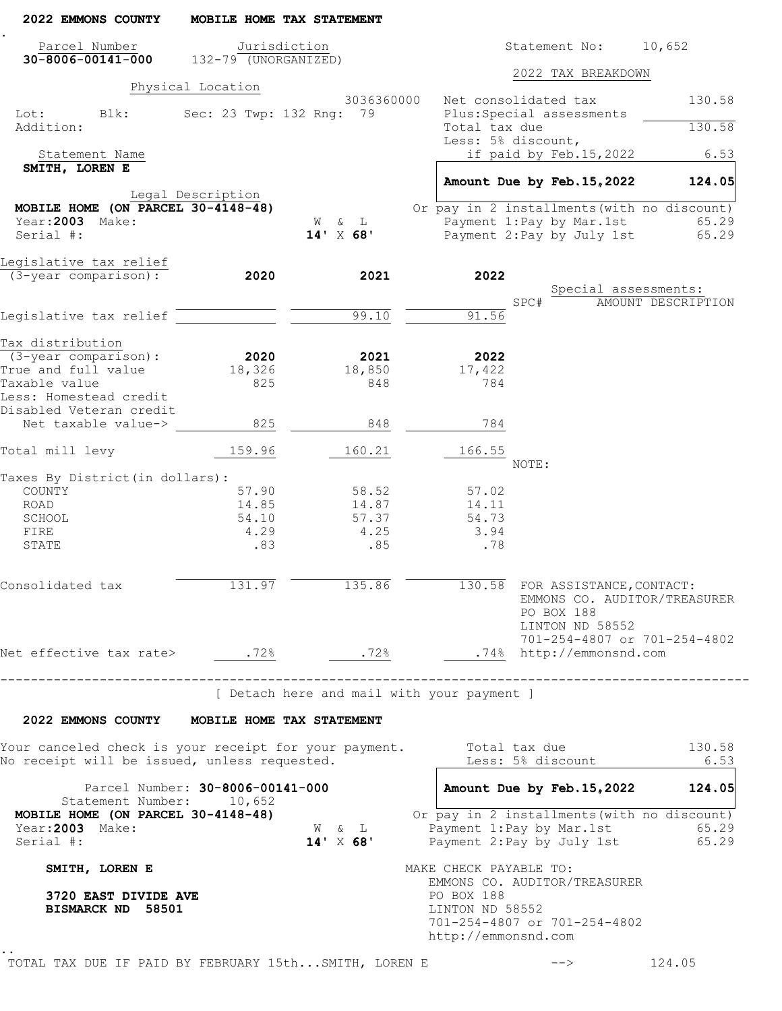| 2022 EMMONS COUNTY                                                                                                          |                                  | MOBILE HOME TAX STATEMENT                  |                                                      |                                                                                                                                  |                    |
|-----------------------------------------------------------------------------------------------------------------------------|----------------------------------|--------------------------------------------|------------------------------------------------------|----------------------------------------------------------------------------------------------------------------------------------|--------------------|
| Parcel Number<br>$30 - 8006 - 00141 - 000$                                                                                  | $132 - 79$ (UNORGANIZED)         | Jurisdiction                               |                                                      | Statement No: 10,652                                                                                                             |                    |
|                                                                                                                             |                                  |                                            |                                                      | 2022 TAX BREAKDOWN                                                                                                               |                    |
| Lot:<br>Blk:<br>Addition:                                                                                                   | Physical Location                | 3036360000<br>Sec: 23 Twp: 132 Rng: 79     | Net consolidated tax<br>Total tax due                | Plus: Special assessments                                                                                                        | 130.58<br>130.58   |
| Statement Name                                                                                                              |                                  |                                            | Less: 5% discount,                                   | if paid by Feb.15,2022                                                                                                           | 6.53               |
| SMITH, LOREN E                                                                                                              |                                  |                                            |                                                      |                                                                                                                                  |                    |
|                                                                                                                             | Legal Description                |                                            |                                                      | Amount Due by Feb. 15, 2022                                                                                                      | 124.05             |
| MOBILE HOME (ON PARCEL $30-4148-48$ )                                                                                       |                                  |                                            |                                                      | Or pay in 2 installments (with no discount)                                                                                      |                    |
| Year: 2003 Make:<br>Serial #:                                                                                               |                                  | W & L<br>$14'$ X 68'                       |                                                      | Payment 1: Pay by Mar. 1st<br>Payment 2: Pay by July 1st                                                                         | 65.29<br>65.29     |
|                                                                                                                             |                                  |                                            |                                                      |                                                                                                                                  |                    |
| Legislative tax relief                                                                                                      |                                  |                                            |                                                      |                                                                                                                                  |                    |
| $(3 - \overline{year} \text{ comparison})$ :                                                                                | 2020                             | 2021                                       | 2022                                                 | Special assessments:                                                                                                             |                    |
|                                                                                                                             |                                  |                                            | SPC#                                                 |                                                                                                                                  | AMOUNT DESCRIPTION |
| Legislative tax relief                                                                                                      |                                  | 99.10                                      | 91.56                                                |                                                                                                                                  |                    |
| Tax distribution                                                                                                            |                                  |                                            |                                                      |                                                                                                                                  |                    |
| $(3 - year \text{ comparison})$ :                                                                                           | 2020                             | 2021                                       | 2022                                                 |                                                                                                                                  |                    |
| True and full value                                                                                                         | 18,326                           | 18,850                                     | 17,422                                               |                                                                                                                                  |                    |
| Taxable value                                                                                                               | 825                              | 848                                        | 784                                                  |                                                                                                                                  |                    |
| Less: Homestead credit<br>Disabled Veteran credit                                                                           |                                  |                                            |                                                      |                                                                                                                                  |                    |
| Net taxable value->                                                                                                         | 825                              | 848                                        | 784                                                  |                                                                                                                                  |                    |
| Total mill levy                                                                                                             | 159.96                           | 160.21                                     | 166.55                                               |                                                                                                                                  |                    |
|                                                                                                                             |                                  |                                            | NOTE:                                                |                                                                                                                                  |                    |
| Taxes By District (in dollars):                                                                                             |                                  |                                            |                                                      |                                                                                                                                  |                    |
| COUNTY                                                                                                                      | 57.90<br>14.85                   | 58.52<br>14.87                             | 57.02                                                |                                                                                                                                  |                    |
| ROAD<br>SCHOOL                                                                                                              | 54.10                            | 57.37                                      | 14.11<br>54.73                                       |                                                                                                                                  |                    |
| FIRE                                                                                                                        | 4.29                             | 4.25                                       | 3.94                                                 |                                                                                                                                  |                    |
| STATE                                                                                                                       | .83                              | .85                                        | .78                                                  |                                                                                                                                  |                    |
|                                                                                                                             |                                  |                                            |                                                      |                                                                                                                                  |                    |
| Consolidated tax                                                                                                            |                                  | 131.97<br>135.86                           |                                                      | 130.58 FOR ASSISTANCE, CONTACT:<br>EMMONS CO. AUDITOR/TREASURER<br>PO BOX 188<br>LINTON ND 58552<br>701-254-4807 or 701-254-4802 |                    |
|                                                                                                                             |                                  |                                            |                                                      |                                                                                                                                  |                    |
|                                                                                                                             | -------------------------------- |                                            |                                                      |                                                                                                                                  |                    |
|                                                                                                                             |                                  | [ Detach here and mail with your payment ] |                                                      |                                                                                                                                  |                    |
| 2022 EMMONS COUNTY MOBILE HOME TAX STATEMENT                                                                                |                                  |                                            |                                                      |                                                                                                                                  |                    |
| Your canceled check is your receipt for your payment.         Total tax due<br>No receipt will be issued, unless requested. |                                  |                                            |                                                      | Less: 5% discount _____                                                                                                          | 130.58<br>6.53     |
|                                                                                                                             | Parcel Number: 30-8006-00141-000 |                                            |                                                      | Amount Due by Feb. 15, 2022 124.05                                                                                               |                    |
| Statement Number: 10,652                                                                                                    |                                  |                                            |                                                      |                                                                                                                                  |                    |
| MOBILE HOME (ON PARCEL 30-4148-48)<br>Year: 2003 Make:<br>Serial #:                                                         |                                  | W & L<br>$14' \times 68'$                  |                                                      | Or pay in 2 installments (with no discount)<br>Payment 1:Pay by Mar.1st 65.29<br>Payment 2:Pay by July 1st 65.29                 |                    |
| SMITH, LOREN E                                                                                                              |                                  |                                            | MAKE CHECK PAYABLE TO:                               |                                                                                                                                  |                    |
|                                                                                                                             |                                  |                                            |                                                      | EMMONS CO. AUDITOR/TREASURER                                                                                                     |                    |
| 3720 EAST DIVIDE AVE<br>BISMARCK ND 58501                                                                                   |                                  |                                            | PO BOX 188<br>LINTON ND 58552<br>http://emmonsnd.com | 701-254-4807 or 701-254-4802                                                                                                     |                    |
|                                                                                                                             |                                  |                                            |                                                      |                                                                                                                                  |                    |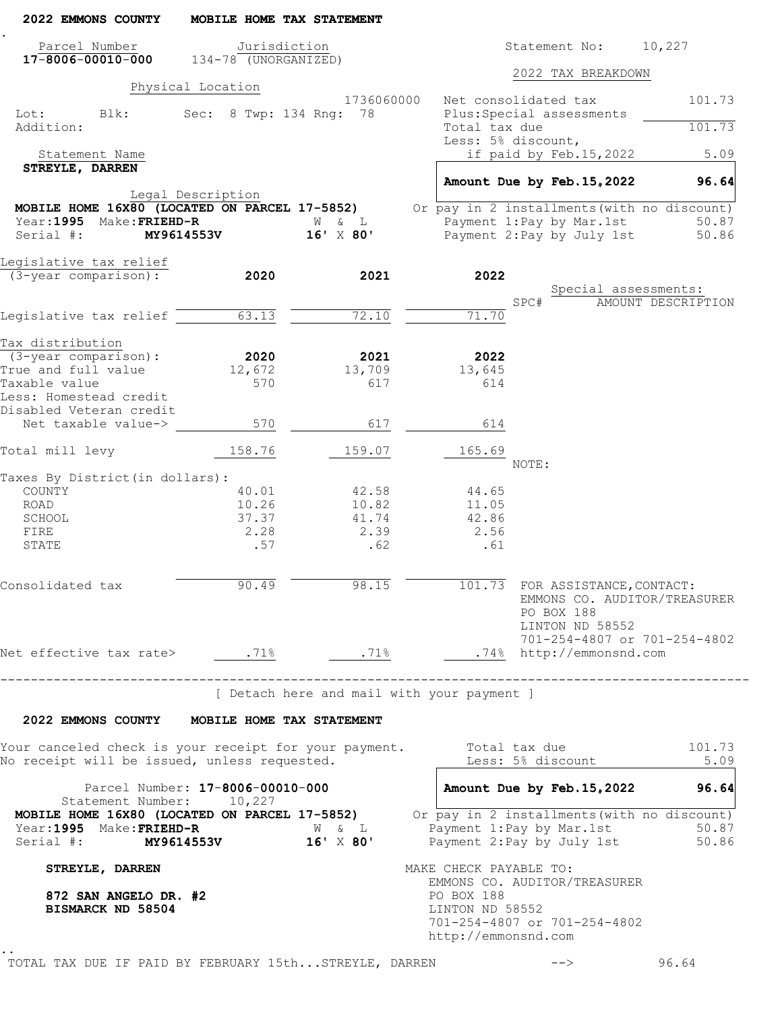| 2022 EMMONS COUNTY                                                                                                           | MOBILE HOME TAX STATEMENT         |                                            |                                                      |                                                                  |                                             |
|------------------------------------------------------------------------------------------------------------------------------|-----------------------------------|--------------------------------------------|------------------------------------------------------|------------------------------------------------------------------|---------------------------------------------|
| Parcel Number                                                                                                                | Jurisdiction                      |                                            |                                                      | Statement No: 10,227                                             |                                             |
| $17 - 8006 - 00010 - 000$ $134 - 78$ (UNORGANIZED)                                                                           |                                   |                                            |                                                      | 2022 TAX BREAKDOWN                                               |                                             |
|                                                                                                                              | Physical Location                 |                                            |                                                      |                                                                  |                                             |
| Lot:<br>Blk:                                                                                                                 | Sec: 8 Twp: 134 Rng: 78           | 1736060000                                 |                                                      | Net consolidated tax<br>Plus: Special assessments                | 101.73                                      |
| Addition:                                                                                                                    |                                   |                                            | Total tax due                                        | Less: 5% discount,                                               | 101.73                                      |
| Statement Name                                                                                                               |                                   |                                            |                                                      | if paid by Feb.15,2022                                           | 5.09                                        |
| STREYLE, DARREN                                                                                                              |                                   |                                            |                                                      |                                                                  |                                             |
|                                                                                                                              |                                   |                                            |                                                      | Amount Due by Feb. 15, 2022                                      | 96.64                                       |
| MOBILE HOME 16X80 (LOCATED ON PARCEL 17-5852)                                                                                | Legal Description                 |                                            |                                                      |                                                                  | Or pay in 2 installments (with no discount) |
| Year: 1995 Make: FRIEHD-R                                                                                                    |                                   | W & L                                      |                                                      | Payment 1: Pay by Mar. 1st                                       | 50.87                                       |
| Serial #:                                                                                                                    | <b>MY9614553V</b>                 | $16'$ $\times$ 80'                         |                                                      | Payment 2:Pay by July 1st                                        | 50.86                                       |
| Leqislative tax relief                                                                                                       |                                   |                                            |                                                      |                                                                  |                                             |
| (3-year comparison):                                                                                                         | 2020                              | 2021                                       | 2022                                                 |                                                                  |                                             |
|                                                                                                                              |                                   |                                            |                                                      |                                                                  | Special assessments:                        |
|                                                                                                                              | 63.13                             | 72.10                                      |                                                      | SPC#                                                             | AMOUNT DESCRIPTION                          |
| Legislative tax relief $\overline{\phantom{a}}$                                                                              |                                   |                                            | 71.70                                                |                                                                  |                                             |
| Tax distribution                                                                                                             |                                   |                                            |                                                      |                                                                  |                                             |
| (3-year comparison):                                                                                                         | 2020                              | 2021                                       | 2022                                                 |                                                                  |                                             |
| True and full value                                                                                                          | 12,672                            | 13,709                                     | 13,645                                               |                                                                  |                                             |
| Taxable value<br>Less: Homestead credit                                                                                      | 570                               | 617                                        | 614                                                  |                                                                  |                                             |
| Disabled Veteran credit                                                                                                      |                                   |                                            |                                                      |                                                                  |                                             |
| Net taxable value->                                                                                                          | 570                               | 617                                        | 614                                                  |                                                                  |                                             |
| Total mill levy                                                                                                              | 158.76                            | 159.07                                     | 165.69                                               | NOTE:                                                            |                                             |
| Taxes By District (in dollars):                                                                                              |                                   |                                            |                                                      |                                                                  |                                             |
| COUNTY                                                                                                                       | 40.01                             | 42.58                                      | 44.65                                                |                                                                  |                                             |
| ROAD                                                                                                                         | 10.26                             | 10.82                                      | 11.05                                                |                                                                  |                                             |
| SCHOOL                                                                                                                       | 37.37                             | 41.74                                      | 42.86                                                |                                                                  |                                             |
| FIRE<br>STATE                                                                                                                | 2.28<br>.57                       | 2.39<br>.62                                | 2.56<br>.61                                          |                                                                  |                                             |
|                                                                                                                              |                                   |                                            |                                                      |                                                                  |                                             |
| Consolidated tax                                                                                                             | 90.49                             | 98.15                                      |                                                      | 101.73 FOR ASSISTANCE, CONTACT:<br>PO BOX 188<br>LINTON ND 58552 | EMMONS CO. AUDITOR/TREASURER                |
|                                                                                                                              |                                   |                                            |                                                      |                                                                  | 701-254-4807 or 701-254-4802                |
|                                                                                                                              | --------------------------------- |                                            |                                                      |                                                                  |                                             |
|                                                                                                                              |                                   | [ Detach here and mail with your payment ] |                                                      |                                                                  |                                             |
| 2022 EMMONS COUNTY MOBILE HOME TAX STATEMENT                                                                                 |                                   |                                            |                                                      |                                                                  |                                             |
| Your canceled check is your receipt for your payment.<br>No receipt will be issued, unless requested.                        |                                   |                                            |                                                      | Total tax due<br>Less: 5% discount                               | 101.73<br>5.09                              |
|                                                                                                                              | Parcel Number: 17-8006-00010-000  |                                            |                                                      | Amount Due by Feb. 15, 2022                                      | 96.64                                       |
| Statement Number: 10,227<br><b>MOBILE HOME 16X80 (LOCATED ON PARCEL 17-5852)</b> Or pay in 2 installments (with no discount) |                                   |                                            |                                                      |                                                                  |                                             |
| Year:1995 Make:FRIEHD-R<br>Serial #: MY9614553V 16' X 80'                                                                    |                                   | W & L                                      | Payment 1: Pay by Mar. 1st                           |                                                                  | 50.87<br>Payment 2: Pay by July 1st 50.86   |
| STREYLE, DARREN                                                                                                              |                                   |                                            | MAKE CHECK PAYABLE TO:                               |                                                                  |                                             |
| 872 SAN ANGELO DR. #2<br>BISMARCK ND 58504                                                                                   |                                   |                                            | PO BOX 188<br>LINTON ND 58552<br>http://emmonsnd.com | EMMONS CO. AUDITOR/TREASURER<br>701-254-4807 or 701-254-4802     |                                             |
| TOTAL TAX DUE IF PAID BY FEBRUARY 15thSTREYLE, DARREN                                                                        |                                   |                                            |                                                      |                                                                  | 96.64                                       |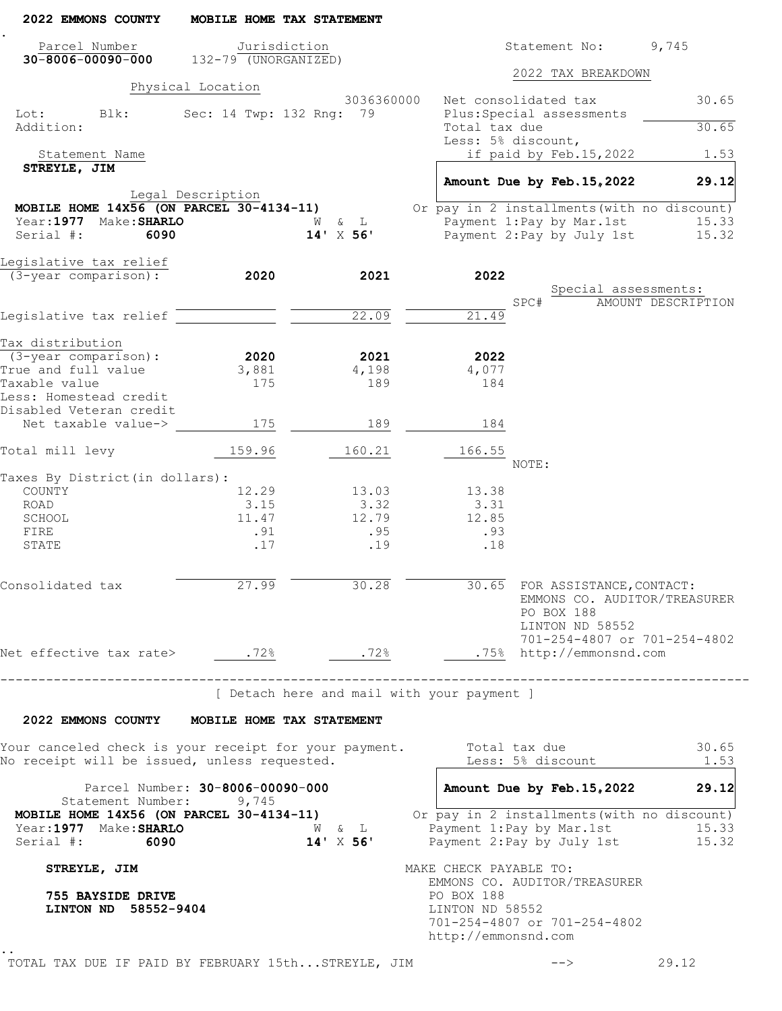| 2022 EMMONS COUNTY                                                                                    | MOBILE HOME TAX STATEMENT                 |                               |                                                                                                         |                              |
|-------------------------------------------------------------------------------------------------------|-------------------------------------------|-------------------------------|---------------------------------------------------------------------------------------------------------|------------------------------|
| Parcel Number<br>$30 - 8006 - 00090 - 000$ 132-79 (UNORGANIZED)                                       | Jurisdiction                              |                               |                                                                                                         | Statement No: 9,745          |
|                                                                                                       |                                           |                               | 2022 TAX BREAKDOWN                                                                                      |                              |
|                                                                                                       | Physical Location                         | 3036360000                    | Net consolidated tax                                                                                    | 30.65                        |
| Lot: Blk:<br>Addition:                                                                                | Sec: 14 Twp: 132 Rng: 79                  |                               | Plus: Special assessments<br>Total tax due                                                              | 30.65                        |
|                                                                                                       |                                           |                               | Less: 5% discount,                                                                                      |                              |
| Statement Name<br>STREYLE, JIM                                                                        |                                           |                               | if paid by Feb.15,2022                                                                                  | 1.53                         |
|                                                                                                       |                                           |                               | Amount Due by Feb. 15, 2022                                                                             | 29.12                        |
| MOBILE HOME $14x\overline{56}$ (ON PARCEL 30-4134-11)                                                 | Legal Description                         |                               | Or pay in 2 installments (with no discount)                                                             |                              |
| Year:1977 Make:SHARLO                                                                                 |                                           | W & L                         | Payment 1:Pay by Mar.1st                                                                                | 15.33                        |
| Serial #:<br>6090                                                                                     |                                           | $14'$ X 56'                   | Payment 2: Pay by July 1st                                                                              | 15.32                        |
| Legislative tax relief                                                                                |                                           |                               |                                                                                                         |                              |
| (3-year comparison):                                                                                  | 2020                                      | 2021                          | 2022                                                                                                    | Special assessments:         |
|                                                                                                       |                                           |                               | SPC#                                                                                                    | AMOUNT DESCRIPTION           |
| Legislative tax relief                                                                                |                                           | 22.09                         | 21.49                                                                                                   |                              |
| Tax distribution                                                                                      |                                           |                               |                                                                                                         |                              |
| (3-year comparison):                                                                                  | 2020                                      | 2021                          | 2022                                                                                                    |                              |
| True and full value                                                                                   | 3,881                                     | 4,198                         | 4,077                                                                                                   |                              |
| Taxable value<br>Less: Homestead credit<br>Disabled Veteran credit                                    | 175                                       | 189                           | 184                                                                                                     |                              |
| Net taxable value->                                                                                   | 175                                       | 189                           | 184                                                                                                     |                              |
| Total mill levy                                                                                       | 159.96                                    | 160.21                        | 166.55                                                                                                  |                              |
|                                                                                                       |                                           |                               | NOTE:                                                                                                   |                              |
| Taxes By District (in dollars):<br>COUNTY                                                             | 12.29                                     | 13.03                         | 13.38                                                                                                   |                              |
| ROAD                                                                                                  | 3.15                                      | 3.32                          | 3.31                                                                                                    |                              |
| SCHOOL                                                                                                | 11.47                                     | 12.79                         | 12.85                                                                                                   |                              |
| FIRE                                                                                                  | .91                                       | .95                           | .93                                                                                                     |                              |
| STATE                                                                                                 | .17                                       | .19                           | .18                                                                                                     |                              |
| Consolidated tax                                                                                      | 27.99                                     | 30.28                         | 30.65 FOR ASSISTANCE, CONTACT:<br>PO BOX 188<br>LINTON ND 58552                                         | EMMONS CO. AUDITOR/TREASURER |
|                                                                                                       |                                           |                               |                                                                                                         | 701-254-4807 or 701-254-4802 |
| Net effective tax rate> .72%                                                                          |                                           | .72%                          | .75% http://emmonsnd.com                                                                                |                              |
|                                                                                                       | -------------------------------           |                               | [ Detach here and mail with your payment ]                                                              |                              |
| 2022 EMMONS COUNTY MOBILE HOME TAX STATEMENT                                                          |                                           |                               |                                                                                                         |                              |
| Your canceled check is your receipt for your payment.<br>No receipt will be issued, unless requested. |                                           |                               | Total tax due<br>Less: 5% discount                                                                      | 30.65<br>1.53                |
|                                                                                                       |                                           |                               |                                                                                                         |                              |
| Statement Number:                                                                                     | Parcel Number: 30-8006-00090-000<br>9,745 |                               | Amount Due by Feb. 15, 2022                                                                             | 29.12                        |
| MOBILE HOME 14X56 (ON PARCEL 30-4134-11)<br>Year:1977 Make:SHARLO<br>Serial #: 6090                   |                                           | $W$ & $L$<br>$14' \times 56'$ | Or pay in 2 installments (with no discount)<br>Payment 1: Pay by Mar. 1st<br>Payment 2: Pay by July 1st | 15.33<br>15.32               |
| STREYLE, JIM                                                                                          |                                           |                               | MAKE CHECK PAYABLE TO:<br>EMMONS CO. AUDITOR/TREASURER                                                  |                              |
| 755 BAYSIDE DRIVE<br>LINTON ND 58552-9404                                                             |                                           |                               | PO BOX 188<br>LINTON ND 58552<br>701-254-4807 or 701-254-4802<br>http://emmonsnd.com                    |                              |
|                                                                                                       |                                           |                               |                                                                                                         |                              |

TOTAL TAX DUE IF PAID BY FEBRUARY 15th...STREYLE, JIM --> 29.12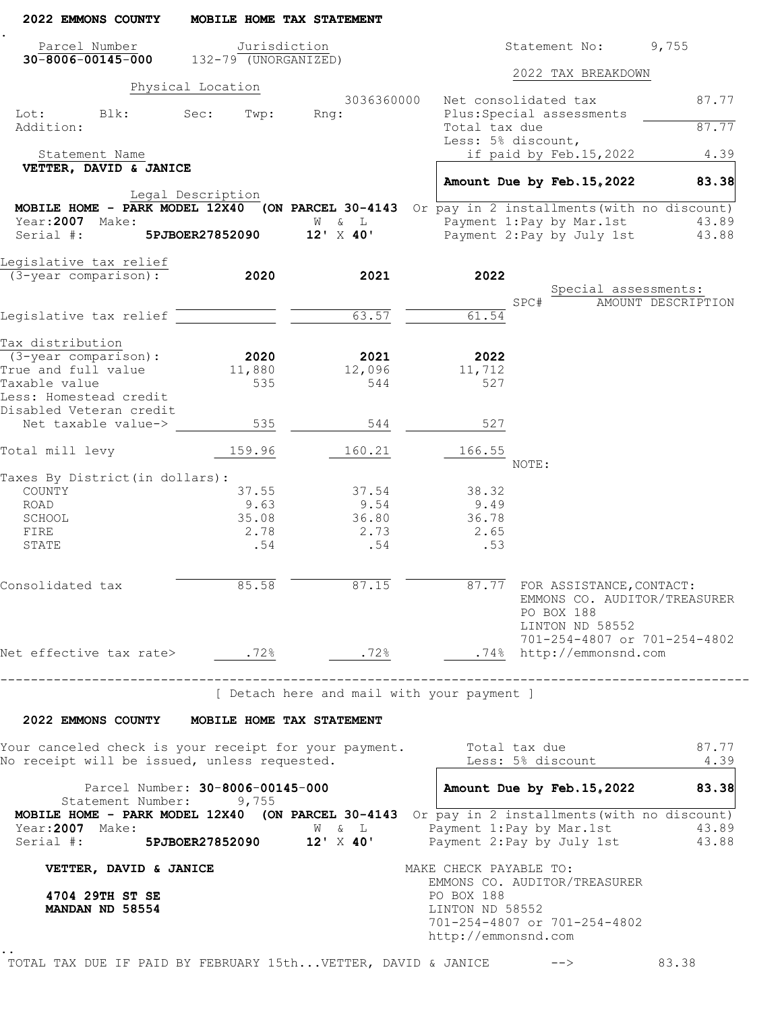| 2022 EMMONS COUNTY                                                                                                                          | MOBILE HOME TAX STATEMENT        |                                            |                                                      |                                                                                                 |                      |
|---------------------------------------------------------------------------------------------------------------------------------------------|----------------------------------|--------------------------------------------|------------------------------------------------------|-------------------------------------------------------------------------------------------------|----------------------|
| Parcel Number                                                                                                                               | Jurisdiction                     |                                            |                                                      | Statement No: 9,755                                                                             |                      |
| $30-8006-00145-000$ $132-79$ (UNORGANIZED)                                                                                                  |                                  |                                            |                                                      | 2022 TAX BREAKDOWN                                                                              |                      |
|                                                                                                                                             | Physical Location                | 3036360000                                 |                                                      | Net consolidated tax                                                                            | 87.77                |
| Lot: Blk:                                                                                                                                   | Sec:<br>Twp:                     | Rng:                                       |                                                      | Plus: Special assessments                                                                       |                      |
| Addition:                                                                                                                                   |                                  |                                            | Total tax due                                        |                                                                                                 | 87.77                |
| Statement Name                                                                                                                              |                                  |                                            |                                                      | Less: 5% discount,<br>if paid by Feb.15,2022                                                    | 4.39                 |
| VETTER, DAVID & JANICE                                                                                                                      |                                  |                                            |                                                      |                                                                                                 |                      |
|                                                                                                                                             |                                  |                                            |                                                      | Amount Due by Feb. 15, 2022                                                                     | 83.38                |
| <b>MOBILE HOME - PARK MODEL 12X40</b> (ON PARCEL 30-4143 Or pay in 2 installments (with no discount)                                        | Legal Description                |                                            |                                                      |                                                                                                 |                      |
| Year:2007 Make:                                                                                                                             |                                  | W & L                                      |                                                      | Payment 1:Pay by Mar.1st                                                                        | 43.89                |
| Serial #:                                                                                                                                   |                                  | $5PJDOER27852090$ $12'$ X 40'              |                                                      | Payment 2: Pay by July 1st                                                                      | 43.88                |
|                                                                                                                                             |                                  |                                            |                                                      |                                                                                                 |                      |
| Legislative tax relief<br>(3-year comparison):                                                                                              | 2020                             | 2021                                       | 2022                                                 |                                                                                                 |                      |
|                                                                                                                                             |                                  |                                            |                                                      |                                                                                                 | Special assessments: |
|                                                                                                                                             |                                  |                                            |                                                      | SPC#                                                                                            | AMOUNT DESCRIPTION   |
| Legislative tax relief                                                                                                                      |                                  | 63.57                                      | 61.54                                                |                                                                                                 |                      |
| Tax distribution                                                                                                                            |                                  |                                            |                                                      |                                                                                                 |                      |
| (3-year comparison):                                                                                                                        | 2020                             | 2021                                       | 2022                                                 |                                                                                                 |                      |
| True and full value                                                                                                                         | 11,880                           | 12,096                                     | 11,712                                               |                                                                                                 |                      |
| Taxable value<br>Less: Homestead credit                                                                                                     | 535                              | 544                                        | 527                                                  |                                                                                                 |                      |
| Disabled Veteran credit                                                                                                                     |                                  |                                            |                                                      |                                                                                                 |                      |
| Net taxable value->                                                                                                                         | 535                              | 544                                        | 527                                                  |                                                                                                 |                      |
| Total mill levy                                                                                                                             | 159.96                           | 160.21                                     | 166.55                                               | NOTE:                                                                                           |                      |
| Taxes By District (in dollars):                                                                                                             |                                  |                                            |                                                      |                                                                                                 |                      |
| COUNTY                                                                                                                                      | 37.55                            | 37.54                                      | 38.32                                                |                                                                                                 |                      |
| ROAD                                                                                                                                        | 9.63                             | 9.54                                       | 9.49                                                 |                                                                                                 |                      |
| SCHOOL<br>FIRE                                                                                                                              | 35.08<br>2.78                    | 36.80<br>2.73                              | 36.78<br>2.65                                        |                                                                                                 |                      |
| STATE                                                                                                                                       | .54                              | .54                                        | .53                                                  |                                                                                                 |                      |
| Consolidated tax                                                                                                                            | 85.58                            | 87.15                                      |                                                      | 87.77 FOR ASSISTANCE, CONTACT:<br>EMMONS CO. AUDITOR/TREASURER<br>PO BOX 188<br>LINTON ND 58552 |                      |
|                                                                                                                                             |                                  |                                            |                                                      | 701-254-4807 or 701-254-4802                                                                    |                      |
| ------------------------------------                                                                                                        |                                  |                                            |                                                      |                                                                                                 |                      |
|                                                                                                                                             |                                  | [ Detach here and mail with your payment ] |                                                      |                                                                                                 |                      |
| 2022 EMMONS COUNTY MOBILE HOME TAX STATEMENT                                                                                                |                                  |                                            |                                                      |                                                                                                 |                      |
| Your canceled check is your receipt for your payment.<br>No receipt will be issued, unless requested.                                       |                                  |                                            |                                                      | Total tax due<br>Less: 5% discount                                                              | 87.77<br>4.39        |
|                                                                                                                                             | Parcel Number: 30-8006-00145-000 |                                            |                                                      | Amount Due by Feb. 15, 2022                                                                     | 83.38                |
| Statement Number: 9,755<br>MOBILE HOME - PARK MODEL 12X40 (ON PARCEL 30-4143 Or pay in 2 installments (with no discount)<br>Year:2007 Make: |                                  |                                            |                                                      | W & L Payment 1: Pay by Mar. 1st                                                                | 43.89                |
| Serial #: 5PJBOER27852090 12' X 40'                                                                                                         |                                  |                                            |                                                      | Payment 2: Pay by July 1st                                                                      | 43.88                |
| VETTER, DAVID & JANICE                                                                                                                      |                                  |                                            | MAKE CHECK PAYABLE TO:                               |                                                                                                 |                      |
| 4704 29TH ST SE<br>MANDAN ND 58554                                                                                                          |                                  |                                            | PO BOX 188<br>LINTON ND 58552<br>http://emmonsnd.com | EMMONS CO. AUDITOR/TREASURER<br>701-254-4807 or 701-254-4802                                    |                      |
| TOTAL TAX DUE IF PAID BY FEBRUARY 15thVETTER, DAVID & JANICE                                                                                |                                  |                                            |                                                      | $-->$                                                                                           | 83.38                |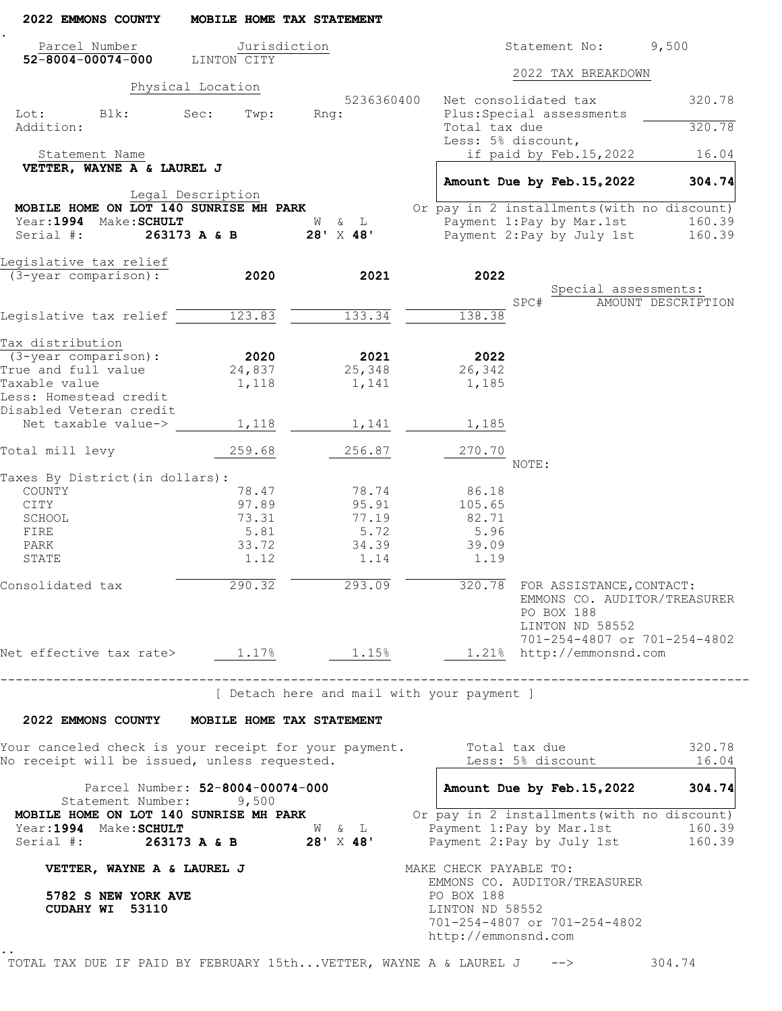| 2022 EMMONS COUNTY                                                          | MOBILE HOME TAX STATEMENT                 |                                            |                                                               |                                                                                                                                  |                    |  |
|-----------------------------------------------------------------------------|-------------------------------------------|--------------------------------------------|---------------------------------------------------------------|----------------------------------------------------------------------------------------------------------------------------------|--------------------|--|
| Parcel Number<br>$52 - 8004 - 00074 - 000$                                  | Jurisdiction<br>LINTON CITY               |                                            |                                                               | Statement No:                                                                                                                    | 9,500              |  |
|                                                                             | Physical Location                         |                                            |                                                               | 2022 TAX BREAKDOWN                                                                                                               |                    |  |
|                                                                             |                                           | 5236360400                                 |                                                               | Net consolidated tax                                                                                                             | 320.78             |  |
| Lot: Blk:<br>Addition:                                                      | Sec:<br>Twp:                              | Rng:                                       | Total tax due                                                 | Plus: Special assessments                                                                                                        | 320.78             |  |
| Statement Name                                                              |                                           |                                            | Less: 5% discount,                                            | if paid by Feb.15,2022                                                                                                           | 16.04              |  |
| VETTER, WAYNE A & LAUREL J                                                  |                                           |                                            |                                                               |                                                                                                                                  |                    |  |
|                                                                             |                                           |                                            |                                                               | Amount Due by Feb. 15, 2022                                                                                                      | 304.74             |  |
| MOBILE HOME ON LOT 140 SUNRISE MH PARK                                      | Legal Description                         |                                            |                                                               | Or pay in 2 installments (with no discount)                                                                                      |                    |  |
| Year: 1994 Make: SCHULT<br>Serial #:                                        | $263173$ A & B $28'$ X 48'                | W & L                                      |                                                               | Payment 1: Pay by Mar. 1st<br>Payment 2: Pay by July 1st                                                                         | 160.39<br>160.39   |  |
|                                                                             |                                           |                                            |                                                               |                                                                                                                                  |                    |  |
| Legislative tax relief                                                      |                                           |                                            |                                                               |                                                                                                                                  |                    |  |
| (3-year comparison):                                                        | 2020                                      | 2021                                       | 2022                                                          |                                                                                                                                  |                    |  |
|                                                                             |                                           |                                            |                                                               | Special assessments:<br>SPC#                                                                                                     | AMOUNT DESCRIPTION |  |
| Legislative tax relief 123.83                                               |                                           | 133.34                                     | 138.38                                                        |                                                                                                                                  |                    |  |
|                                                                             |                                           |                                            |                                                               |                                                                                                                                  |                    |  |
| Tax distribution                                                            |                                           |                                            |                                                               |                                                                                                                                  |                    |  |
| (3-year comparison):<br>True and full value                                 | 2020                                      | 2021<br>25,348                             | 2022<br>26,342                                                |                                                                                                                                  |                    |  |
| Taxable value                                                               | 24,837<br>1,118                           | 1,141                                      | 1,185                                                         |                                                                                                                                  |                    |  |
| Less: Homestead credit                                                      |                                           |                                            |                                                               |                                                                                                                                  |                    |  |
| Disabled Veteran credit                                                     |                                           |                                            |                                                               |                                                                                                                                  |                    |  |
| Net taxable value->                                                         | 1,118                                     | 1,141                                      | 1,185                                                         |                                                                                                                                  |                    |  |
| Total mill levy                                                             | 259.68                                    | 256.87                                     | 270.70                                                        | NOTE:                                                                                                                            |                    |  |
| Taxes By District (in dollars) :                                            |                                           |                                            |                                                               |                                                                                                                                  |                    |  |
| COUNTY                                                                      | 78.47                                     | 78.74                                      | 86.18                                                         |                                                                                                                                  |                    |  |
| CITY                                                                        | 97.89                                     | 95.91                                      | 105.65                                                        |                                                                                                                                  |                    |  |
| SCHOOL                                                                      | 73.31                                     | 77.19                                      | 82.71                                                         |                                                                                                                                  |                    |  |
| FIRE<br>PARK                                                                | 5.81<br>33.72                             | 5.72<br>34.39                              | 5.96<br>39.09                                                 |                                                                                                                                  |                    |  |
| STATE                                                                       | 1.12                                      | 1.14                                       | 1.19                                                          |                                                                                                                                  |                    |  |
|                                                                             |                                           |                                            |                                                               |                                                                                                                                  |                    |  |
| Consolidated tax                                                            | 290.32                                    | 293.09                                     |                                                               | 320.78 FOR ASSISTANCE, CONTACT:<br>EMMONS CO. AUDITOR/TREASURER<br>PO BOX 188<br>LINTON ND 58552<br>701-254-4807 or 701-254-4802 |                    |  |
| Net effective tax rate> 1.17% 1.15% 1.21% http://emmonsnd.com               |                                           |                                            |                                                               |                                                                                                                                  |                    |  |
| ------------------------------------                                        |                                           | [ Detach here and mail with your payment ] |                                                               |                                                                                                                                  |                    |  |
| 2022 EMMONS COUNTY MOBILE HOME TAX STATEMENT                                |                                           |                                            |                                                               |                                                                                                                                  |                    |  |
| Your canceled check is your receipt for your payment.                       |                                           |                                            |                                                               | Total tax due                                                                                                                    | 320.78             |  |
| No receipt will be issued, unless requested.                                |                                           |                                            |                                                               | Less: 5% discount                                                                                                                | 16.04              |  |
| Statement Number:<br>MOBILE HOME ON LOT 140 SUNRISE MH PARK                 | Parcel Number: 52-8004-00074-000<br>9,500 |                                            |                                                               | Amount Due by Feb. 15, 2022 304.74<br>Or pay in 2 installments (with no discount)                                                |                    |  |
| Year: 1994 Make: SCHULT<br>Serial #: 263173 A & B 28' X 48'                 |                                           | $\mathbb{W} \qquad \& \qquad \mathbb{L}$   |                                                               | Payment 1: Pay by Mar. 1st<br>Payment 2: Pay by July 1st 160.39                                                                  | 160.39             |  |
| VETTER, WAYNE A & LAUREL J                                                  |                                           |                                            | MAKE CHECK PAYABLE TO:                                        |                                                                                                                                  |                    |  |
| 5782 S NEW YORK AVE<br>CUDAHY WI 53110                                      |                                           |                                            | EMMONS CO. AUDITOR/TREASURER<br>PO BOX 188<br>LINTON ND 58552 |                                                                                                                                  |                    |  |
|                                                                             |                                           |                                            | http://emmonsnd.com                                           | 701-254-4807 or 701-254-4802                                                                                                     |                    |  |
| TOTAL TAX DUE IF PAID BY FEBRUARY 15thVETTER, WAYNE A & LAUREL J --> 304.74 |                                           |                                            |                                                               |                                                                                                                                  |                    |  |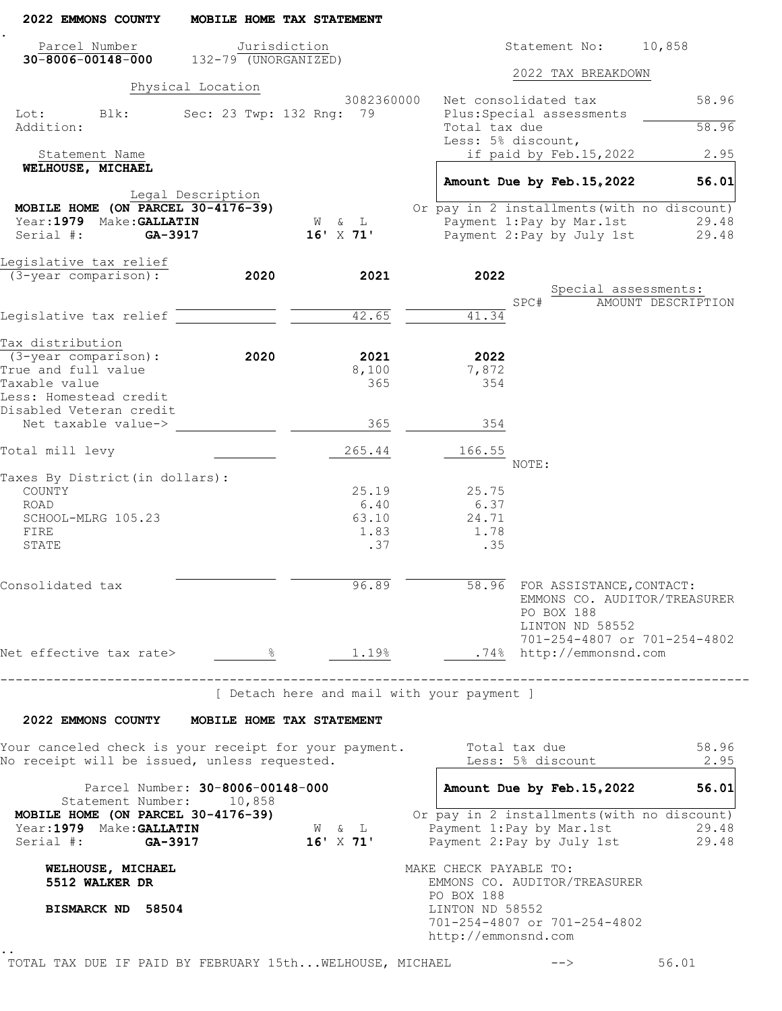| 2022 EMMONS COUNTY                                                                                                         |                                  | MOBILE HOME TAX STATEMENT                               |                                     |       |                                                                 |                                                                                                                     |
|----------------------------------------------------------------------------------------------------------------------------|----------------------------------|---------------------------------------------------------|-------------------------------------|-------|-----------------------------------------------------------------|---------------------------------------------------------------------------------------------------------------------|
| Parcel Number<br>$30 - 8006 - 00148 - 000$                                                                                 | 132-79 (UNORGANIZED)             | Jurisdiction                                            |                                     |       | Statement No:                                                   | 10,858                                                                                                              |
|                                                                                                                            |                                  |                                                         |                                     |       | 2022 TAX BREAKDOWN                                              |                                                                                                                     |
|                                                                                                                            | Physical Location                | 3082360000                                              | Net consolidated tax                |       |                                                                 | 58.96                                                                                                               |
| Blk:<br>Lot:<br>Addition:                                                                                                  |                                  | Sec: 23 Twp: 132 Rng: 79                                | Total tax due<br>Less: 5% discount, |       | Plus: Special assessments                                       | 58.96                                                                                                               |
| Statement Name                                                                                                             |                                  |                                                         |                                     |       | if paid by Feb.15,2022                                          | 2.95                                                                                                                |
| WELHOUSE, MICHAEL                                                                                                          |                                  |                                                         |                                     |       | Amount Due by Feb. 15, 2022                                     | 56.01                                                                                                               |
| MOBILE HOME (ON PARCEL 30-4176-39)                                                                                         | Legal Description                |                                                         |                                     |       |                                                                 | Or pay in 2 installments (with no discount)                                                                         |
| Year: 1979 Make: GALLATIN                                                                                                  |                                  | W & L                                                   |                                     |       | Payment 1: Pay by Mar. 1st                                      | 29.48                                                                                                               |
| Serial #:<br>GA-3917                                                                                                       |                                  | $16'$ X 71'                                             |                                     |       | Payment 2: Pay by July 1st                                      | 29.48                                                                                                               |
| Legislative tax relief                                                                                                     |                                  |                                                         |                                     |       |                                                                 |                                                                                                                     |
| (3-year comparison):                                                                                                       | 2020                             | 2021                                                    | 2022                                |       | Special assessments:                                            |                                                                                                                     |
|                                                                                                                            |                                  |                                                         |                                     | SPC#  |                                                                 | AMOUNT DESCRIPTION                                                                                                  |
| Legislative tax relief                                                                                                     |                                  | 42.65                                                   | 41.34                               |       |                                                                 |                                                                                                                     |
| Tax distribution                                                                                                           |                                  |                                                         |                                     |       |                                                                 |                                                                                                                     |
| $(3 - year \text{ comparison})$ :                                                                                          | 2020                             | 2021                                                    | 2022                                |       |                                                                 |                                                                                                                     |
| True and full value<br>Taxable value                                                                                       |                                  | 8,100<br>365                                            | 7,872<br>354                        |       |                                                                 |                                                                                                                     |
| Less: Homestead credit<br>Disabled Veteran credit                                                                          |                                  |                                                         |                                     |       |                                                                 |                                                                                                                     |
| Net taxable value->                                                                                                        |                                  | 365                                                     | 354                                 |       |                                                                 |                                                                                                                     |
| Total mill levy                                                                                                            |                                  | 265.44                                                  | 166.55                              | NOTE: |                                                                 |                                                                                                                     |
| Taxes By District (in dollars):                                                                                            |                                  |                                                         |                                     |       |                                                                 |                                                                                                                     |
| COUNTY                                                                                                                     |                                  | 25.19                                                   | 25.75                               |       |                                                                 |                                                                                                                     |
| ROAD                                                                                                                       |                                  | 6.40                                                    | 6.37                                |       |                                                                 |                                                                                                                     |
| SCHOOL-MLRG 105.23                                                                                                         |                                  | 63.10                                                   | 24.71                               |       |                                                                 |                                                                                                                     |
| FIRE<br>STATE                                                                                                              |                                  | 1.83<br>.37                                             | 1.78<br>.35                         |       |                                                                 |                                                                                                                     |
|                                                                                                                            |                                  |                                                         |                                     |       |                                                                 |                                                                                                                     |
| Consolidated tax                                                                                                           |                                  | 96.89                                                   |                                     |       | 58.96 FOR ASSISTANCE, CONTACT:<br>PO BOX 188<br>LINTON ND 58552 | EMMONS CO. AUDITOR/TREASURER                                                                                        |
| Net effective tax rate> $\frac{8}{1.19\%}$ $\frac{1.19\%}{1.19\%}$ .74% http://emmonsnd.com                                |                                  |                                                         |                                     |       |                                                                 | 701-254-4807 or 701-254-4802                                                                                        |
| ----------------------------------                                                                                         |                                  | [ Detach here and mail with your payment ]              |                                     |       |                                                                 |                                                                                                                     |
|                                                                                                                            |                                  |                                                         |                                     |       |                                                                 |                                                                                                                     |
| 2022 EMMONS COUNTY MOBILE HOME TAX STATEMENT                                                                               |                                  |                                                         |                                     |       |                                                                 |                                                                                                                     |
| Your canceled check is your receipt for your payment.        Total tax due<br>No receipt will be issued, unless requested. |                                  |                                                         |                                     |       | Less: 5% discount                                               | 58.96<br>2.95                                                                                                       |
|                                                                                                                            | Parcel Number: 30-8006-00148-000 |                                                         |                                     |       | Amount Due by Feb. 15, 2022                                     | 56.01                                                                                                               |
| Statement Number: 10,858<br>MOBILE HOME (ON PARCEL 30-4176-39)<br>MUBILE $\overline{N}$<br>Year:1979 Make: GALLATIN        |                                  | $\mathbb{W}\qquad \&\qquad \mathbb{L}$<br>$16'$ X $71'$ |                                     |       |                                                                 | Or pay in 2 installments (with no discount)<br>Payment 1: Pay by Mar. 1st 29.48<br>Payment 2: Pay by July 1st 29.48 |
| Serial #: GA-3917                                                                                                          |                                  |                                                         |                                     |       |                                                                 |                                                                                                                     |
| WELHOUSE, MICHAEL<br>5512 WALKER DR                                                                                        |                                  |                                                         | MAKE CHECK PAYABLE TO:              |       | EMMONS CO. AUDITOR/TREASURER                                    |                                                                                                                     |
| BISMARCK ND 58504                                                                                                          |                                  |                                                         | PO BOX 188<br>LINTON ND 58552       |       |                                                                 |                                                                                                                     |
|                                                                                                                            |                                  |                                                         |                                     |       | 701-254-4807 or 701-254-4802                                    |                                                                                                                     |
|                                                                                                                            |                                  |                                                         | http://emmonsnd.com                 |       |                                                                 |                                                                                                                     |
|                                                                                                                            |                                  |                                                         |                                     |       |                                                                 |                                                                                                                     |